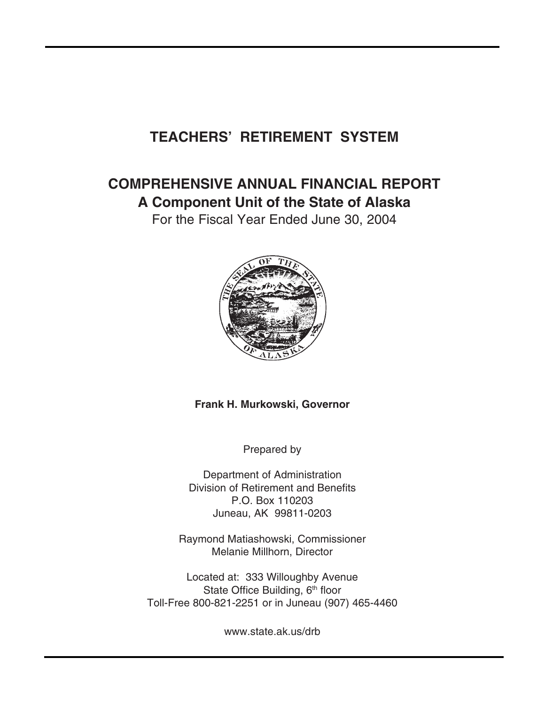# **TEACHERS' RETIREMENT SYSTEM**

# **COMPREHENSIVE ANNUAL FINANCIAL REPORT A Component Unit of the State of Alaska**

For the Fiscal Year Ended June 30, 2004



**Frank H. Murkowski, Governor**

Prepared by

Department of Administration Division of Retirement and Benefits P.O. Box 110203 Juneau, AK 99811-0203

Raymond Matiashowski, Commissioner Melanie Millhorn, Director

Located at: 333 Willoughby Avenue State Office Building, 6<sup>th</sup> floor Toll-Free 800-821-2251 or in Juneau (907) 465-4460

www.state.ak.us/drb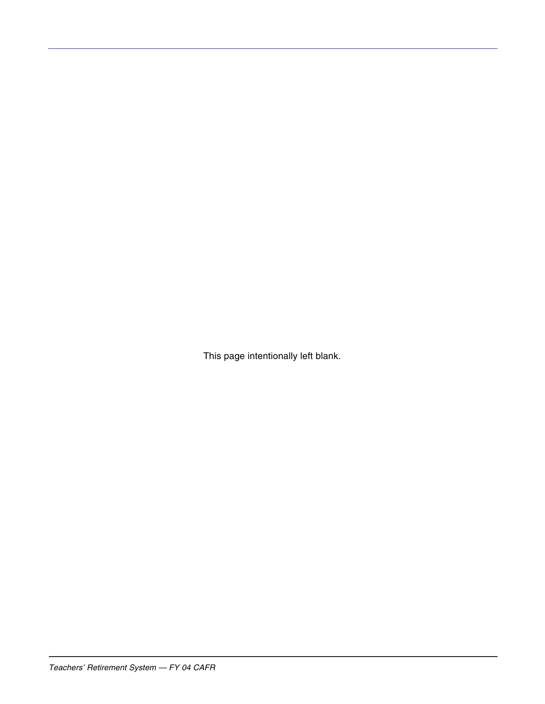This page intentionally left blank.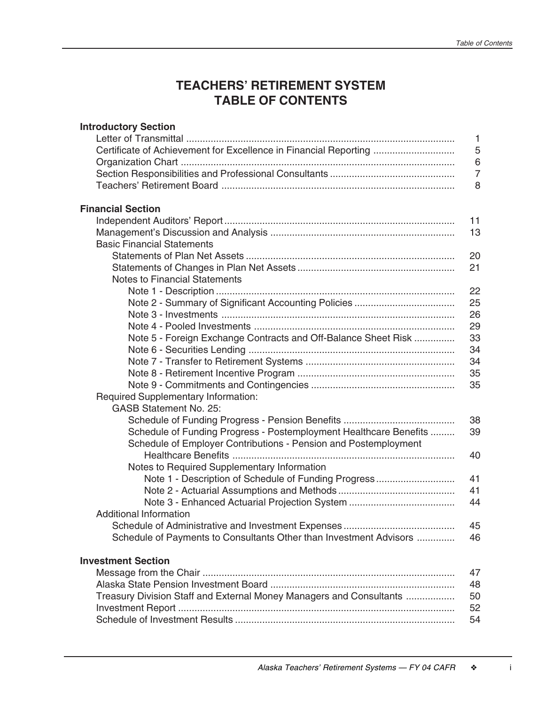# **TEACHERS' RETIREMENT SYSTEM TABLE OF CONTENTS**

| <b>Introductory Section</b>                                         |                |
|---------------------------------------------------------------------|----------------|
|                                                                     | $\mathbf{1}$   |
| Certificate of Achievement for Excellence in Financial Reporting    | 5<br>6         |
|                                                                     | $\overline{7}$ |
|                                                                     | 8              |
|                                                                     |                |
| <b>Financial Section</b>                                            |                |
|                                                                     | 11             |
|                                                                     | 13             |
| <b>Basic Financial Statements</b>                                   |                |
|                                                                     | 20             |
|                                                                     | 21             |
| <b>Notes to Financial Statements</b>                                |                |
|                                                                     | 22             |
|                                                                     | 25             |
|                                                                     | 26             |
|                                                                     | 29             |
| Note 5 - Foreign Exchange Contracts and Off-Balance Sheet Risk      | 33             |
|                                                                     | 34             |
|                                                                     | 34             |
|                                                                     | 35             |
|                                                                     | 35             |
| <b>Required Supplementary Information:</b>                          |                |
| <b>GASB Statement No. 25:</b>                                       |                |
|                                                                     | 38             |
| Schedule of Funding Progress - Postemployment Healthcare Benefits   | 39             |
| Schedule of Employer Contributions - Pension and Postemployment     |                |
|                                                                     | 40             |
| Notes to Required Supplementary Information                         |                |
| Note 1 - Description of Schedule of Funding Progress                | 41             |
|                                                                     | 41             |
|                                                                     | 44             |
| <b>Additional Information</b>                                       |                |
|                                                                     | 45             |
| Schedule of Payments to Consultants Other than Investment Advisors  | 46             |
| <b>Investment Section</b>                                           |                |
|                                                                     | 47             |
|                                                                     | 48             |
| Treasury Division Staff and External Money Managers and Consultants | 50             |
|                                                                     | 52             |
|                                                                     | 54             |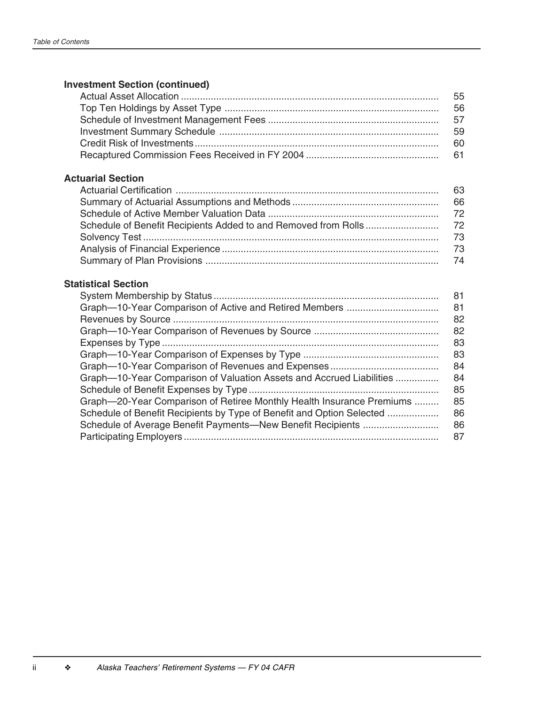## **Investment Section (continued)**

| -55 |
|-----|
| -56 |
|     |
| -59 |
| -60 |
|     |

## **Actuarial Section**

## **Statistical Section**

|                                                                       | 81 |
|-----------------------------------------------------------------------|----|
|                                                                       | 81 |
|                                                                       | 82 |
|                                                                       | 82 |
|                                                                       | 83 |
|                                                                       | 83 |
|                                                                       | 84 |
| Graph-10-Year Comparison of Valuation Assets and Accrued Liabilities  | 84 |
|                                                                       | 85 |
| Graph-20-Year Comparison of Retiree Monthly Health Insurance Premiums | 85 |
| Schedule of Benefit Recipients by Type of Benefit and Option Selected | 86 |
|                                                                       | 86 |
|                                                                       | 87 |
|                                                                       |    |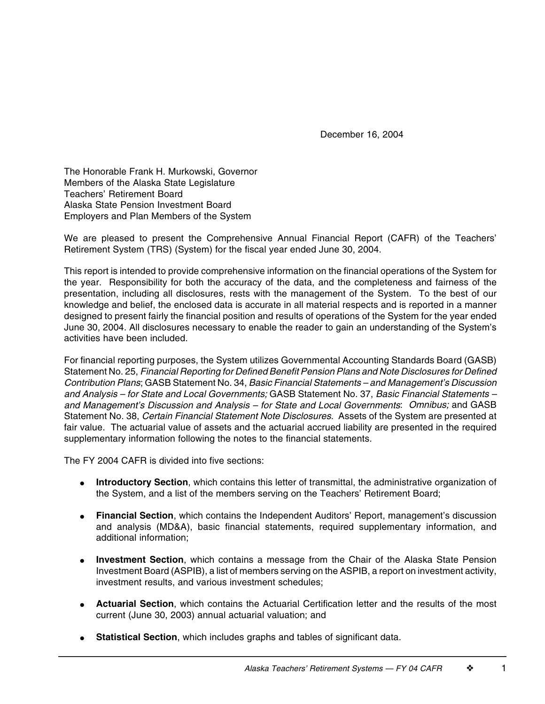December 16, 2004

The Honorable Frank H. Murkowski, Governor Members of the Alaska State Legislature Teachers' Retirement Board Alaska State Pension Investment Board Employers and Plan Members of the System

We are pleased to present the Comprehensive Annual Financial Report (CAFR) of the Teachers' Retirement System (TRS) (System) for the fiscal year ended June 30, 2004.

This report is intended to provide comprehensive information on the financial operations of the System for the year. Responsibility for both the accuracy of the data, and the completeness and fairness of the presentation, including all disclosures, rests with the management of the System. To the best of our knowledge and belief, the enclosed data is accurate in all material respects and is reported in a manner designed to present fairly the financial position and results of operations of the System for the year ended June 30, 2004. All disclosures necessary to enable the reader to gain an understanding of the System's activities have been included.

For financial reporting purposes, the System utilizes Governmental Accounting Standards Board (GASB) Statement No. 25, Financial Reporting for Defined Benefit Pension Plans and Note Disclosures for Defined Contribution Plans; GASB Statement No. 34, Basic Financial Statements – and Management's Discussion and Analysis – for State and Local Governments; GASB Statement No. 37, Basic Financial Statements – and Management's Discussion and Analysis – for State and Local Governments: Omnibus; and GASB Statement No. 38, Certain Financial Statement Note Disclosures. Assets of the System are presented at fair value. The actuarial value of assets and the actuarial accrued liability are presented in the required supplementary information following the notes to the financial statements.

The FY 2004 CAFR is divided into five sections:

- **Introductory Section**, which contains this letter of transmittal, the administrative organization of the System, and a list of the members serving on the Teachers' Retirement Board;
- **Financial Section**, which contains the Independent Auditors' Report, management's discussion and analysis (MD&A), basic financial statements, required supplementary information, and additional information;
- **Investment Section**, which contains a message from the Chair of the Alaska State Pension Investment Board (ASPIB), a list of members serving on the ASPIB, a report on investment activity, investment results, and various investment schedules;
- **Actuarial Section**, which contains the Actuarial Certification letter and the results of the most current (June 30, 2003) annual actuarial valuation; and
- **Statistical Section**, which includes graphs and tables of significant data.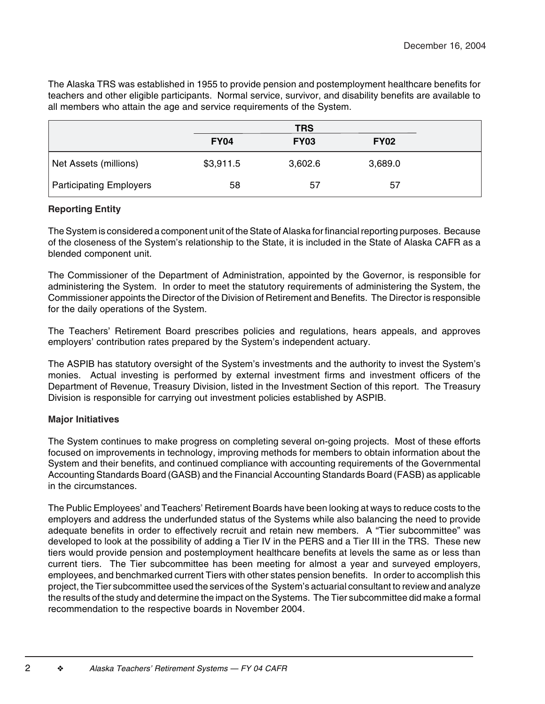The Alaska TRS was established in 1955 to provide pension and postemployment healthcare benefits for teachers and other eligible participants. Normal service, survivor, and disability benefits are available to all members who attain the age and service requirements of the System.

|                                |             | <b>TRS</b>  |             |  |  |  |
|--------------------------------|-------------|-------------|-------------|--|--|--|
|                                | <b>FY04</b> | <b>FY03</b> | <b>FY02</b> |  |  |  |
| Net Assets (millions)          | \$3,911.5   | 3,602.6     | 3,689.0     |  |  |  |
| <b>Participating Employers</b> | 58          | 57          | 57          |  |  |  |

## **Reporting Entity**

The System is considered a component unit of the State of Alaska for financial reporting purposes. Because of the closeness of the System's relationship to the State, it is included in the State of Alaska CAFR as a blended component unit.

The Commissioner of the Department of Administration, appointed by the Governor, is responsible for administering the System. In order to meet the statutory requirements of administering the System, the Commissioner appoints the Director of the Division of Retirement and Benefits. The Director is responsible for the daily operations of the System.

The Teachers' Retirement Board prescribes policies and regulations, hears appeals, and approves employers' contribution rates prepared by the System's independent actuary.

The ASPIB has statutory oversight of the System's investments and the authority to invest the System's monies. Actual investing is performed by external investment firms and investment officers of the Department of Revenue, Treasury Division, listed in the Investment Section of this report. The Treasury Division is responsible for carrying out investment policies established by ASPIB.

#### **Major Initiatives**

The System continues to make progress on completing several on-going projects. Most of these efforts focused on improvements in technology, improving methods for members to obtain information about the System and their benefits, and continued compliance with accounting requirements of the Governmental Accounting Standards Board (GASB) and the Financial Accounting Standards Board (FASB) as applicable in the circumstances.

The Public Employees' and Teachers' Retirement Boards have been looking at ways to reduce costs to the employers and address the underfunded status of the Systems while also balancing the need to provide adequate benefits in order to effectively recruit and retain new members. A "Tier subcommittee" was developed to look at the possibility of adding a Tier IV in the PERS and a Tier III in the TRS. These new tiers would provide pension and postemployment healthcare benefits at levels the same as or less than current tiers. The Tier subcommittee has been meeting for almost a year and surveyed employers, employees, and benchmarked current Tiers with other states pension benefits. In order to accomplish this project, the Tier subcommittee used the services of the System's actuarial consultant to review and analyze the results of the study and determine the impact on the Systems. The Tier subcommittee did make a formal recommendation to the respective boards in November 2004.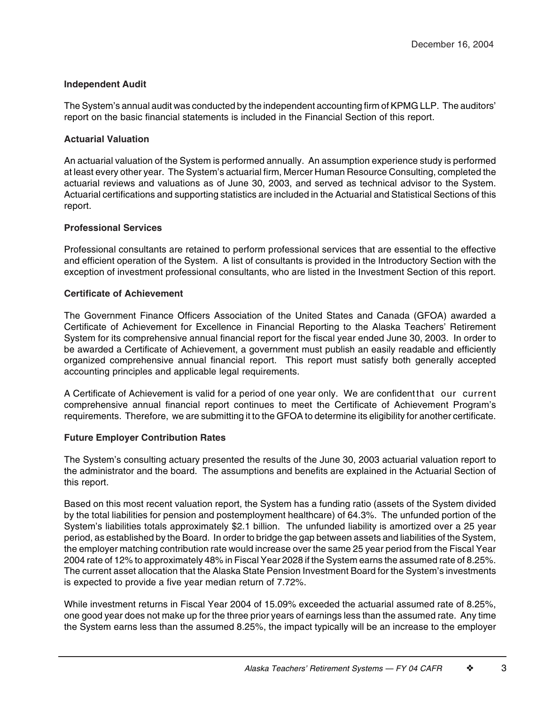#### **Independent Audit**

The System's annual audit was conducted by the independent accounting firm of KPMG LLP. The auditors' report on the basic financial statements is included in the Financial Section of this report.

#### **Actuarial Valuation**

An actuarial valuation of the System is performed annually. An assumption experience study is performed at least every other year. The System's actuarial firm, Mercer Human Resource Consulting, completed the actuarial reviews and valuations as of June 30, 2003, and served as technical advisor to the System. Actuarial certifications and supporting statistics are included in the Actuarial and Statistical Sections of this report.

#### **Professional Services**

Professional consultants are retained to perform professional services that are essential to the effective and efficient operation of the System. A list of consultants is provided in the Introductory Section with the exception of investment professional consultants, who are listed in the Investment Section of this report.

#### **Certificate of Achievement**

The Government Finance Officers Association of the United States and Canada (GFOA) awarded a Certificate of Achievement for Excellence in Financial Reporting to the Alaska Teachers' Retirement System for its comprehensive annual financial report for the fiscal year ended June 30, 2003. In order to be awarded a Certificate of Achievement, a government must publish an easily readable and efficiently organized comprehensive annual financial report. This report must satisfy both generally accepted accounting principles and applicable legal requirements.

A Certificate of Achievement is valid for a period of one year only. We are confident that our current comprehensive annual financial report continues to meet the Certificate of Achievement Program's requirements. Therefore, we are submitting it to the GFOA to determine its eligibility for another certificate.

#### **Future Employer Contribution Rates**

The System's consulting actuary presented the results of the June 30, 2003 actuarial valuation report to the administrator and the board. The assumptions and benefits are explained in the Actuarial Section of this report.

Based on this most recent valuation report, the System has a funding ratio (assets of the System divided by the total liabilities for pension and postemployment healthcare) of 64.3%. The unfunded portion of the System's liabilities totals approximately \$2.1 billion. The unfunded liability is amortized over a 25 year period, as established by the Board. In order to bridge the gap between assets and liabilities of the System, the employer matching contribution rate would increase over the same 25 year period from the Fiscal Year 2004 rate of 12% to approximately 48% in Fiscal Year 2028 if the System earns the assumed rate of 8.25%. The current asset allocation that the Alaska State Pension Investment Board for the System's investments is expected to provide a five year median return of 7.72%.

While investment returns in Fiscal Year 2004 of 15.09% exceeded the actuarial assumed rate of 8.25%, one good year does not make up for the three prior years of earnings less than the assumed rate. Any time the System earns less than the assumed 8.25%, the impact typically will be an increase to the employer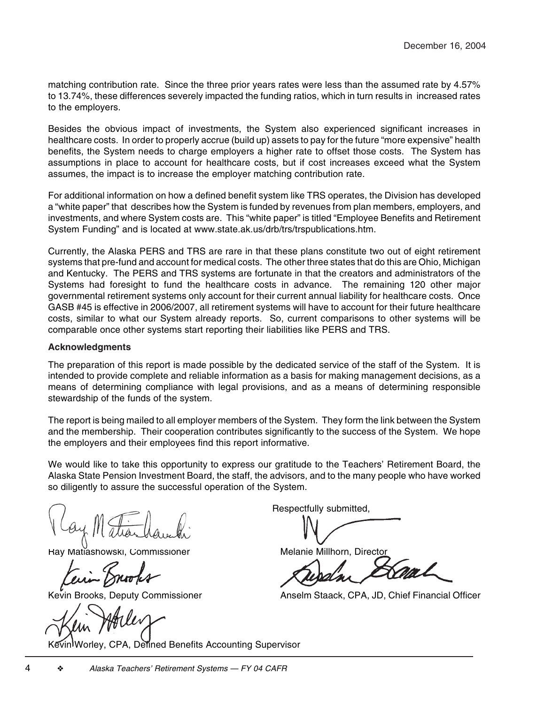matching contribution rate. Since the three prior years rates were less than the assumed rate by 4.57% to 13.74%, these differences severely impacted the funding ratios, which in turn results in increased rates to the employers.

Besides the obvious impact of investments, the System also experienced significant increases in healthcare costs. In order to properly accrue (build up) assets to pay for the future "more expensive" health benefits, the System needs to charge employers a higher rate to offset those costs. The System has assumptions in place to account for healthcare costs, but if cost increases exceed what the System assumes, the impact is to increase the employer matching contribution rate.

For additional information on how a defined benefit system like TRS operates, the Division has developed a "white paper" that describes how the System is funded by revenues from plan members, employers, and investments, and where System costs are. This "white paper" is titled "Employee Benefits and Retirement System Funding" and is located at www.state.ak.us/drb/trs/trspublications.htm.

Currently, the Alaska PERS and TRS are rare in that these plans constitute two out of eight retirement systems that pre-fund and account for medical costs. The other three states that do this are Ohio, Michigan and Kentucky. The PERS and TRS systems are fortunate in that the creators and administrators of the Systems had foresight to fund the healthcare costs in advance. The remaining 120 other major governmental retirement systems only account for their current annual liability for healthcare costs. Once GASB #45 is effective in 2006/2007, all retirement systems will have to account for their future healthcare costs, similar to what our System already reports. So, current comparisons to other systems will be comparable once other systems start reporting their liabilities like PERS and TRS.

## **Acknowledgments**

The preparation of this report is made possible by the dedicated service of the staff of the System. It is intended to provide complete and reliable information as a basis for making management decisions, as a means of determining compliance with legal provisions, and as a means of determining responsible stewardship of the funds of the system.

The report is being mailed to all employer members of the System. They form the link between the System and the membership. Their cooperation contributes significantly to the success of the System. We hope the employers and their employees find this report informative.

We would like to take this opportunity to express our gratitude to the Teachers' Retirement Board, the Alaska State Pension Investment Board, the staff, the advisors, and to the many people who have worked so diligently to assure the successful operation of the System.

Ray Matiashowski, Commissioner Melanie Melanie Millhorn, Director

Respectfully submitted,

Taal

Kevin Brooks, Deputy Commissioner Anselm Staack, CPA, JD, Chief Financial Officer

Kevin Worley, CPA, Defined Benefits Accounting Supervisor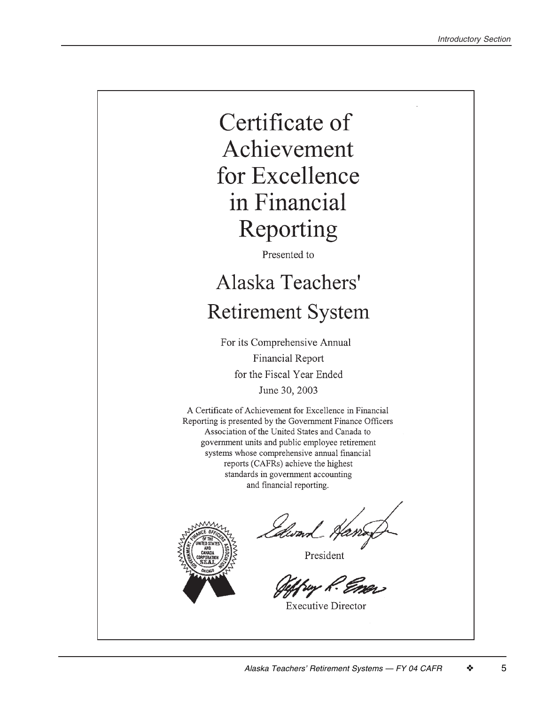# Certificate of Achievement for Excellence in Financial Reporting

Presented to

# Alaska Teachers' **Retirement System**

For its Comprehensive Annual **Financial Report** for the Fiscal Year Ended June 30, 2003

A Certificate of Achievement for Excellence in Financial Reporting is presented by the Government Finance Officers Association of the United States and Canada to government units and public employee retirement systems whose comprehensive annual financial reports (CAFRs) achieve the highest standards in government accounting and financial reporting.



Edward Hanny

**Executive Director**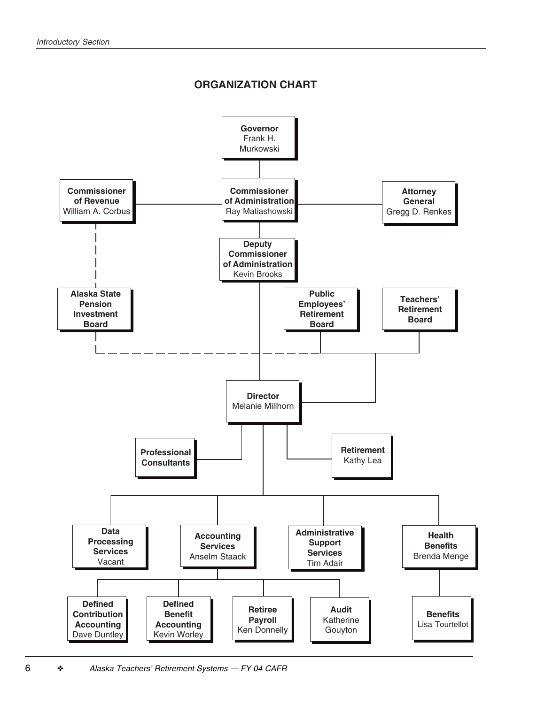## **ORGANIZATION CHART**

December 16, 2004

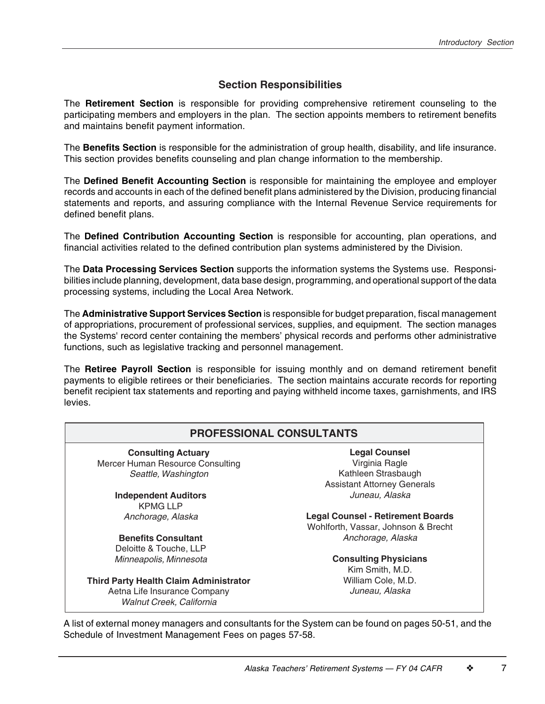## **Section Responsibilities**

The **Retirement Section** is responsible for providing comprehensive retirement counseling to the participating members and employers in the plan. The section appoints members to retirement benefits and maintains benefit payment information.

The **Benefits Section** is responsible for the administration of group health, disability, and life insurance. This section provides benefits counseling and plan change information to the membership.

The **Defined Benefit Accounting Section** is responsible for maintaining the employee and employer records and accounts in each of the defined benefit plans administered by the Division, producing financial statements and reports, and assuring compliance with the Internal Revenue Service requirements for defined benefit plans.

The **Defined Contribution Accounting Section** is responsible for accounting, plan operations, and financial activities related to the defined contribution plan systems administered by the Division.

The **Data Processing Services Section** supports the information systems the Systems use. Responsibilities include planning, development, data base design, programming, and operational support of the data processing systems, including the Local Area Network.

The **Administrative Support Services Section** is responsible for budget preparation, fiscal management of appropriations, procurement of professional services, supplies, and equipment. The section manages the Systems' record center containing the members' physical records and performs other administrative functions, such as legislative tracking and personnel management.

The **Retiree Payroll Section** is responsible for issuing monthly and on demand retirement benefit payments to eligible retirees or their beneficiaries. The section maintains accurate records for reporting benefit recipient tax statements and reporting and paying withheld income taxes, garnishments, and IRS levies.

| PROFESSIONAL CONSULTANTS                                 |                                                                                 |  |  |  |  |
|----------------------------------------------------------|---------------------------------------------------------------------------------|--|--|--|--|
| <b>Consulting Actuary</b>                                | <b>Legal Counsel</b>                                                            |  |  |  |  |
| Mercer Human Resource Consulting                         | Virginia Ragle                                                                  |  |  |  |  |
| Seattle, Washington                                      | Kathleen Strasbaugh                                                             |  |  |  |  |
|                                                          | <b>Assistant Attorney Generals</b>                                              |  |  |  |  |
| <b>Independent Auditors</b><br><b>KPMG LLP</b>           | Juneau, Alaska                                                                  |  |  |  |  |
| Anchorage, Alaska                                        | <b>Legal Counsel - Retirement Boards</b><br>Wohlforth, Vassar, Johnson & Brecht |  |  |  |  |
| <b>Benefits Consultant</b>                               | Anchorage, Alaska                                                               |  |  |  |  |
| Deloitte & Touche, LLP<br>Minneapolis, Minnesota         | <b>Consulting Physicians</b>                                                    |  |  |  |  |
|                                                          | Kim Smith, M.D.                                                                 |  |  |  |  |
| <b>Third Party Health Claim Administrator</b>            | William Cole, M.D.                                                              |  |  |  |  |
| Aetna Life Insurance Company<br>Walnut Creek, California | Juneau, Alaska                                                                  |  |  |  |  |

A list of external money managers and consultants for the System can be found on pages 50-51, and the Schedule of Investment Management Fees on pages 57-58.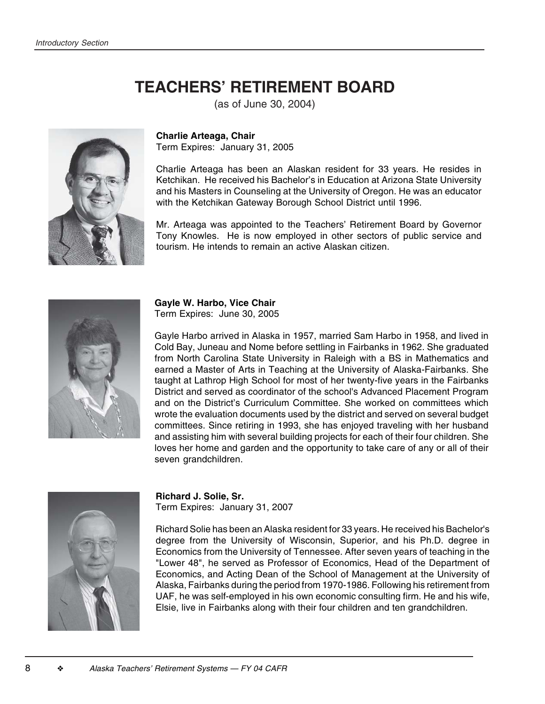# **TEACHERS' RETIREMENT BOARD**

(as of June 30, 2004)



**Charlie Arteaga, Chair**

Term Expires: January 31, 2005

Charlie Arteaga has been an Alaskan resident for 33 years. He resides in Ketchikan. He received his Bachelor's in Education at Arizona State University and his Masters in Counseling at the University of Oregon. He was an educator with the Ketchikan Gateway Borough School District until 1996.

December 16, 2004

Mr. Arteaga was appointed to the Teachers' Retirement Board by Governor Tony Knowles. He is now employed in other sectors of public service and tourism. He intends to remain an active Alaskan citizen.



**Gayle W. Harbo, Vice Chair** Term Expires: June 30, 2005

Gayle Harbo arrived in Alaska in 1957, married Sam Harbo in 1958, and lived in Cold Bay, Juneau and Nome before settling in Fairbanks in 1962. She graduated from North Carolina State University in Raleigh with a BS in Mathematics and earned a Master of Arts in Teaching at the University of Alaska-Fairbanks. She taught at Lathrop High School for most of her twenty-five years in the Fairbanks District and served as coordinator of the school's Advanced Placement Program and on the District's Curriculum Committee. She worked on committees which wrote the evaluation documents used by the district and served on several budget committees. Since retiring in 1993, she has enjoyed traveling with her husband and assisting him with several building projects for each of their four children. She loves her home and garden and the opportunity to take care of any or all of their seven grandchildren.



**Richard J. Solie, Sr.** Term Expires: January 31, 2007

Richard Solie has been an Alaska resident for 33 years. He received his Bachelor's degree from the University of Wisconsin, Superior, and his Ph.D. degree in Economics from the University of Tennessee. After seven years of teaching in the "Lower 48", he served as Professor of Economics, Head of the Department of Economics, and Acting Dean of the School of Management at the University of Alaska, Fairbanks during the period from 1970-1986. Following his retirement from UAF, he was self-employed in his own economic consulting firm. He and his wife, Elsie, live in Fairbanks along with their four children and ten grandchildren.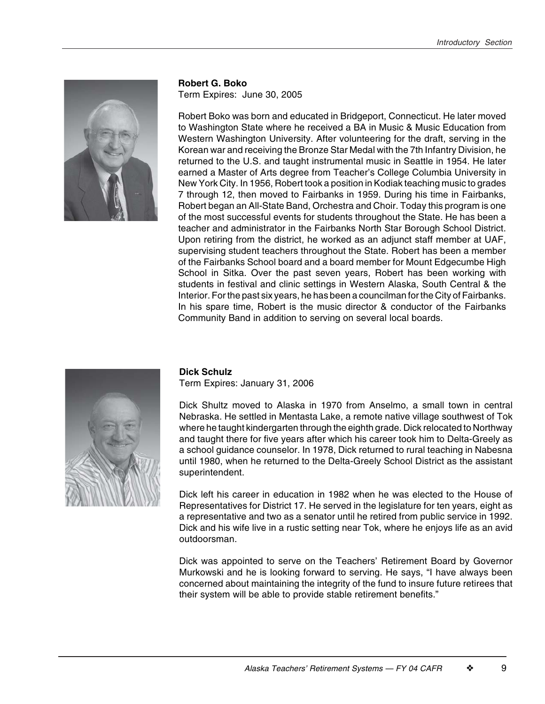

**Robert G. Boko**

Term Expires: June 30, 2005

Robert Boko was born and educated in Bridgeport, Connecticut. He later moved to Washington State where he received a BA in Music & Music Education from Western Washington University. After volunteering for the draft, serving in the Korean war and receiving the Bronze Star Medal with the 7th Infantry Division, he returned to the U.S. and taught instrumental music in Seattle in 1954. He later earned a Master of Arts degree from Teacher's College Columbia University in New York City. In 1956, Robert took a position in Kodiak teaching music to grades 7 through 12, then moved to Fairbanks in 1959. During his time in Fairbanks, Robert began an All-State Band, Orchestra and Choir. Today this program is one of the most successful events for students throughout the State. He has been a teacher and administrator in the Fairbanks North Star Borough School District. Upon retiring from the district, he worked as an adjunct staff member at UAF, supervising student teachers throughout the State. Robert has been a member of the Fairbanks School board and a board member for Mount Edgecumbe High School in Sitka. Over the past seven years, Robert has been working with students in festival and clinic settings in Western Alaska, South Central & the Interior. For the past six years, he has been a councilman for the City of Fairbanks. In his spare time, Robert is the music director & conductor of the Fairbanks Community Band in addition to serving on several local boards.



#### **Dick Schulz**

Term Expires: January 31, 2006

Dick Shultz moved to Alaska in 1970 from Anselmo, a small town in central Nebraska. He settled in Mentasta Lake, a remote native village southwest of Tok where he taught kindergarten through the eighth grade. Dick relocated to Northway and taught there for five years after which his career took him to Delta-Greely as a school guidance counselor. In 1978, Dick returned to rural teaching in Nabesna until 1980, when he returned to the Delta-Greely School District as the assistant superintendent.

Dick left his career in education in 1982 when he was elected to the House of Representatives for District 17. He served in the legislature for ten years, eight as a representative and two as a senator until he retired from public service in 1992. Dick and his wife live in a rustic setting near Tok, where he enjoys life as an avid outdoorsman.

Dick was appointed to serve on the Teachers' Retirement Board by Governor Murkowski and he is looking forward to serving. He says, "I have always been concerned about maintaining the integrity of the fund to insure future retirees that their system will be able to provide stable retirement benefits."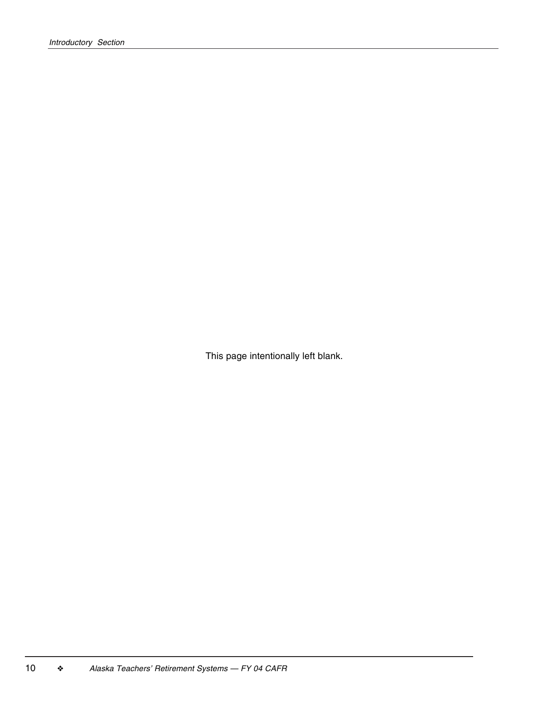This page intentionally left blank.

December 16, 2004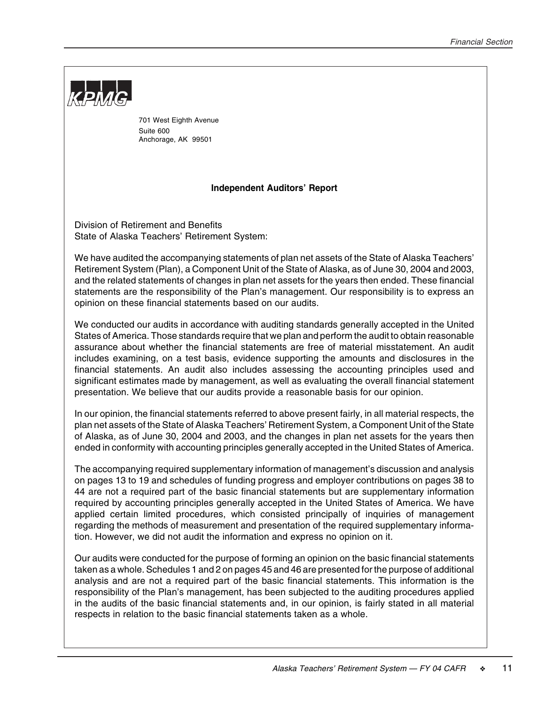

701 West Eighth Avenue Suite 600 Anchorage, AK 99501

## **Independent Auditors' Report**

Division of Retirement and Benefits State of Alaska Teachers' Retirement System:

We have audited the accompanying statements of plan net assets of the State of Alaska Teachers' Retirement System (Plan), a Component Unit of the State of Alaska, as of June 30, 2004 and 2003, and the related statements of changes in plan net assets for the years then ended. These financial statements are the responsibility of the Plan's management. Our responsibility is to express an opinion on these financial statements based on our audits.

We conducted our audits in accordance with auditing standards generally accepted in the United States of America. Those standards require that we plan and perform the audit to obtain reasonable assurance about whether the financial statements are free of material misstatement. An audit includes examining, on a test basis, evidence supporting the amounts and disclosures in the financial statements. An audit also includes assessing the accounting principles used and significant estimates made by management, as well as evaluating the overall financial statement presentation. We believe that our audits provide a reasonable basis for our opinion.

In our opinion, the financial statements referred to above present fairly, in all material respects, the plan net assets of the State of Alaska Teachers' Retirement System, a Component Unit of the State of Alaska, as of June 30, 2004 and 2003, and the changes in plan net assets for the years then ended in conformity with accounting principles generally accepted in the United States of America.

The accompanying required supplementary information of management's discussion and analysis on pages 13 to 19 and schedules of funding progress and employer contributions on pages 38 to 44 are not a required part of the basic financial statements but are supplementary information required by accounting principles generally accepted in the United States of America. We have applied certain limited procedures, which consisted principally of inquiries of management regarding the methods of measurement and presentation of the required supplementary information. However, we did not audit the information and express no opinion on it.

Our audits were conducted for the purpose of forming an opinion on the basic financial statements taken as a whole. Schedules 1 and 2 on pages 45 and 46 are presented for the purpose of additional analysis and are not a required part of the basic financial statements. This information is the responsibility of the Plan's management, has been subjected to the auditing procedures applied in the audits of the basic financial statements and, in our opinion, is fairly stated in all material respects in relation to the basic financial statements taken as a whole.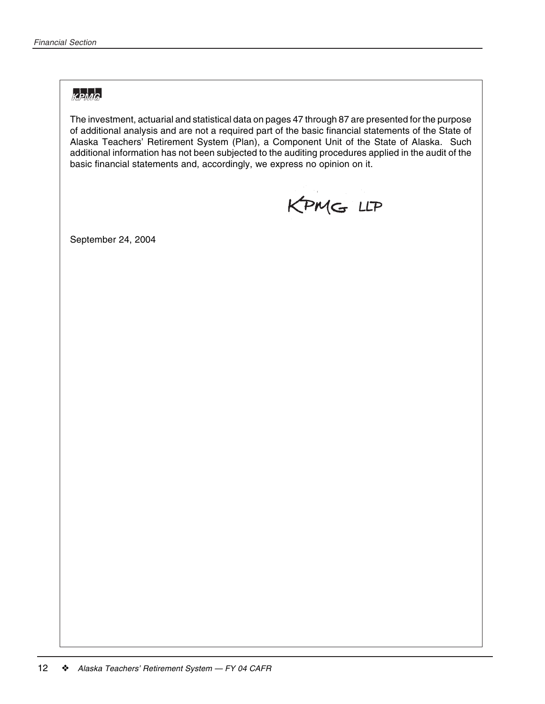## KPMG

The investment, actuarial and statistical data on pages 47 through 87 are presented for the purpose of additional analysis and are not a required part of the basic financial statements of the State of Alaska Teachers' Retirement System (Plan), a Component Unit of the State of Alaska. Such additional information has not been subjected to the auditing procedures applied in the audit of the basic financial statements and, accordingly, we express no opinion on it.

KPMG LLP

September 24, 2004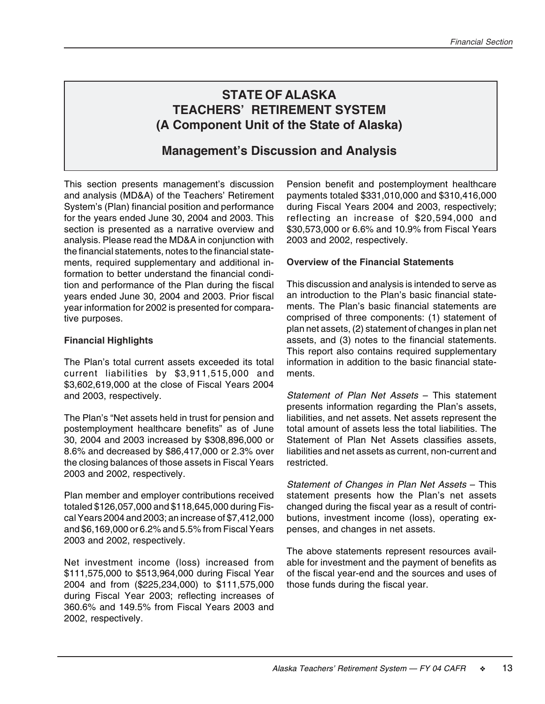# **Management's Discussion and Analysis**

This section presents management's discussion and analysis (MD&A) of the Teachers' Retirement System's (Plan) financial position and performance for the years ended June 30, 2004 and 2003. This section is presented as a narrative overview and analysis. Please read the MD&A in conjunction with the financial statements, notes to the financial statements, required supplementary and additional information to better understand the financial condition and performance of the Plan during the fiscal years ended June 30, 2004 and 2003. Prior fiscal year information for 2002 is presented for comparative purposes.

## **Financial Highlights**

The Plan's total current assets exceeded its total current liabilities by \$3,911,515,000 and \$3,602,619,000 at the close of Fiscal Years 2004 and 2003, respectively.

The Plan's "Net assets held in trust for pension and postemployment healthcare benefits" as of June 30, 2004 and 2003 increased by \$308,896,000 or 8.6% and decreased by \$86,417,000 or 2.3% over the closing balances of those assets in Fiscal Years 2003 and 2002, respectively.

Plan member and employer contributions received totaled \$126,057,000 and \$118,645,000 during Fiscal Years 2004 and 2003; an increase of \$7,412,000 and \$6,169,000 or 6.2% and 5.5% from Fiscal Years 2003 and 2002, respectively.

Net investment income (loss) increased from \$111,575,000 to \$513,964,000 during Fiscal Year 2004 and from (\$225,234,000) to \$111,575,000 during Fiscal Year 2003; reflecting increases of 360.6% and 149.5% from Fiscal Years 2003 and 2002, respectively.

Pension benefit and postemployment healthcare payments totaled \$331,010,000 and \$310,416,000 during Fiscal Years 2004 and 2003, respectively; reflecting an increase of \$20,594,000 and \$30,573,000 or 6.6% and 10.9% from Fiscal Years 2003 and 2002, respectively.

## **Overview of the Financial Statements**

This discussion and analysis is intended to serve as an introduction to the Plan's basic financial statements. The Plan's basic financial statements are comprised of three components: (1) statement of plan net assets, (2) statement of changes in plan net assets, and (3) notes to the financial statements. This report also contains required supplementary information in addition to the basic financial statements.

Statement of Plan Net Assets – This statement presents information regarding the Plan's assets, liabilities, and net assets. Net assets represent the total amount of assets less the total liabilities. The Statement of Plan Net Assets classifies assets, liabilities and net assets as current, non-current and restricted.

Statement of Changes in Plan Net Assets – This statement presents how the Plan's net assets changed during the fiscal year as a result of contributions, investment income (loss), operating expenses, and changes in net assets.

The above statements represent resources available for investment and the payment of benefits as of the fiscal year-end and the sources and uses of those funds during the fiscal year.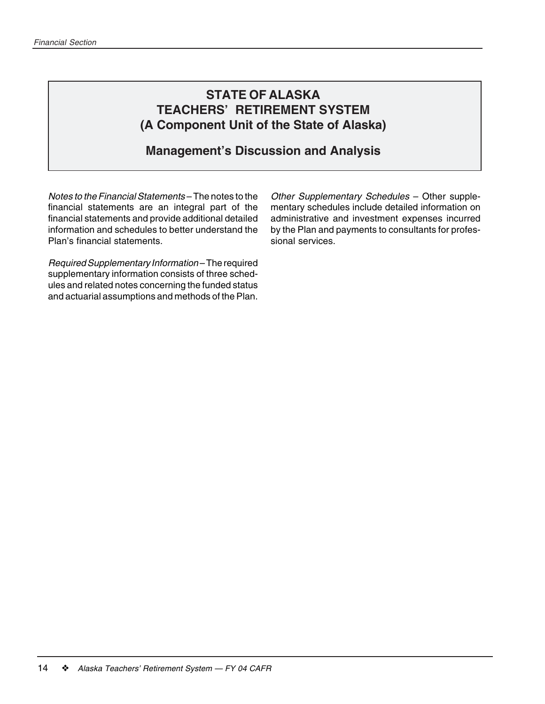# **Management's Discussion and Analysis**

Notes to the Financial Statements – The notes to the financial statements are an integral part of the financial statements and provide additional detailed information and schedules to better understand the Plan's financial statements.

Required Supplementary Information – The required supplementary information consists of three schedules and related notes concerning the funded status and actuarial assumptions and methods of the Plan. Other Supplementary Schedules – Other supplementary schedules include detailed information on administrative and investment expenses incurred by the Plan and payments to consultants for professional services.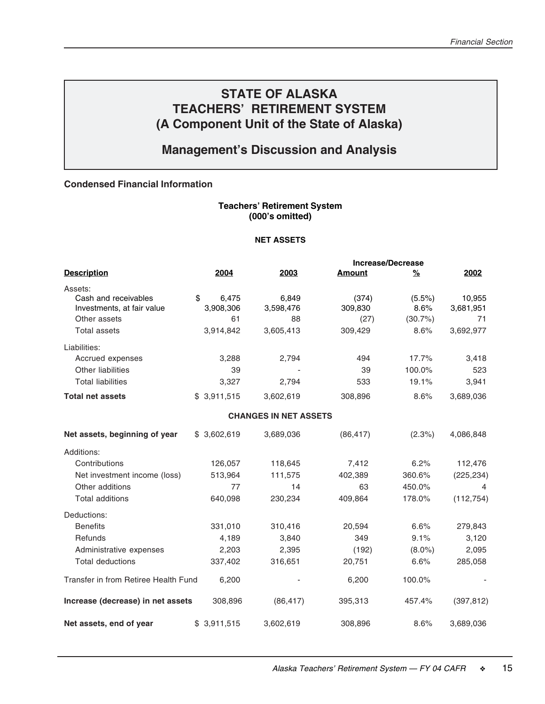# **Management's Discussion and Analysis**

#### **Condensed Financial Information**

#### **Teachers' Retirement System (000's omitted)**

#### **NET ASSETS**

|                                      |             |                              |               | <b>Increase/Decrease</b> |            |
|--------------------------------------|-------------|------------------------------|---------------|--------------------------|------------|
| <b>Description</b>                   | 2004        | 2003                         | <b>Amount</b> | $\frac{9}{6}$            | 2002       |
| Assets:                              |             |                              |               |                          |            |
| Cash and receivables                 | \$<br>6,475 | 6,849                        | (374)         | $(5.5\%)$                | 10,955     |
| Investments, at fair value           | 3,908,306   | 3,598,476                    | 309,830       | 8.6%                     | 3,681,951  |
| Other assets                         | 61          | 88                           | (27)          | (30.7%                   | 71         |
| <b>Total assets</b>                  | 3,914,842   | 3,605,413                    | 309,429       | 8.6%                     | 3,692,977  |
| Liabilities:                         |             |                              |               |                          |            |
| Accrued expenses                     | 3,288       | 2,794                        | 494           | 17.7%                    | 3,418      |
| Other liabilities                    | 39          |                              | 39            | 100.0%                   | 523        |
| <b>Total liabilities</b>             | 3,327       | 2,794                        | 533           | 19.1%                    | 3,941      |
| <b>Total net assets</b>              | \$3,911,515 | 3,602,619                    | 308,896       | 8.6%                     | 3,689,036  |
|                                      |             | <b>CHANGES IN NET ASSETS</b> |               |                          |            |
| Net assets, beginning of year        | \$3,602,619 | 3,689,036                    | (86, 417)     | (2.3%)                   | 4,086,848  |
| Additions:                           |             |                              |               |                          |            |
| Contributions                        | 126,057     | 118,645                      | 7,412         | 6.2%                     | 112,476    |
| Net investment income (loss)         | 513,964     | 111,575                      | 402,389       | 360.6%                   | (225, 234) |
| Other additions                      | 77          | 14                           | 63            | 450.0%                   | 4          |
| Total additions                      | 640,098     | 230,234                      | 409,864       | 178.0%                   | (112, 754) |
| Deductions:                          |             |                              |               |                          |            |
| <b>Benefits</b>                      | 331,010     | 310,416                      | 20,594        | 6.6%                     | 279,843    |
| Refunds                              | 4,189       | 3,840                        | 349           | 9.1%                     | 3,120      |
| Administrative expenses              | 2,203       | 2,395                        | (192)         | $(8.0\%)$                | 2,095      |
| <b>Total deductions</b>              | 337,402     | 316,651                      | 20,751        | 6.6%                     | 285,058    |
| Transfer in from Retiree Health Fund | 6,200       |                              | 6,200         | 100.0%                   |            |
| Increase (decrease) in net assets    | 308,896     | (86, 417)                    | 395,313       | 457.4%                   | (397, 812) |
| Net assets, end of year              | \$3,911,515 | 3,602,619                    | 308,896       | 8.6%                     | 3,689,036  |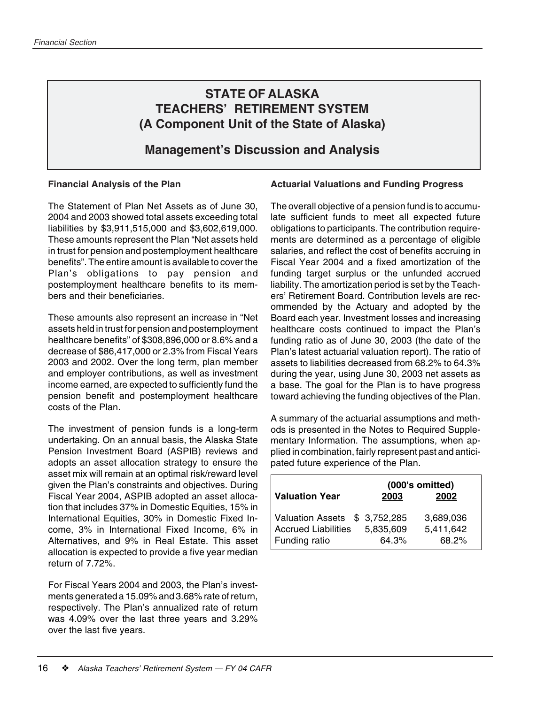## **Management's Discussion and Analysis**

## **Financial Analysis of the Plan**

The Statement of Plan Net Assets as of June 30, 2004 and 2003 showed total assets exceeding total liabilities by \$3,911,515,000 and \$3,602,619,000. These amounts represent the Plan "Net assets held in trust for pension and postemployment healthcare benefits". The entire amount is available to cover the Plan's obligations to pay pension and postemployment healthcare benefits to its members and their beneficiaries.

These amounts also represent an increase in "Net assets held in trust for pension and postemployment healthcare benefits" of \$308,896,000 or 8.6% and a decrease of \$86,417,000 or 2.3% from Fiscal Years 2003 and 2002. Over the long term, plan member and employer contributions, as well as investment income earned, are expected to sufficiently fund the pension benefit and postemployment healthcare costs of the Plan.

The investment of pension funds is a long-term undertaking. On an annual basis, the Alaska State Pension Investment Board (ASPIB) reviews and adopts an asset allocation strategy to ensure the asset mix will remain at an optimal risk/reward level given the Plan's constraints and objectives. During Fiscal Year 2004, ASPIB adopted an asset allocation that includes 37% in Domestic Equities, 15% in International Equities, 30% in Domestic Fixed Income, 3% in International Fixed Income, 6% in Alternatives, and 9% in Real Estate. This asset allocation is expected to provide a five year median return of 7.72%.

For Fiscal Years 2004 and 2003, the Plan's investments generated a 15.09% and 3.68% rate of return, respectively. The Plan's annualized rate of return was 4.09% over the last three years and 3.29% over the last five years.

## **Actuarial Valuations and Funding Progress**

The overall objective of a pension fund is to accumulate sufficient funds to meet all expected future obligations to participants. The contribution requirements are determined as a percentage of eligible salaries, and reflect the cost of benefits accruing in Fiscal Year 2004 and a fixed amortization of the funding target surplus or the unfunded accrued liability. The amortization period is set by the Teachers' Retirement Board. Contribution levels are recommended by the Actuary and adopted by the Board each year. Investment losses and increasing healthcare costs continued to impact the Plan's funding ratio as of June 30, 2003 (the date of the Plan's latest actuarial valuation report). The ratio of assets to liabilities decreased from 68.2% to 64.3% during the year, using June 30, 2003 net assets as a base. The goal for the Plan is to have progress toward achieving the funding objectives of the Plan.

A summary of the actuarial assumptions and methods is presented in the Notes to Required Supplementary Information. The assumptions, when applied in combination, fairly represent past and anticipated future experience of the Plan.

|                                                                              | (000's omitted)    |                                 |  |  |  |  |
|------------------------------------------------------------------------------|--------------------|---------------------------------|--|--|--|--|
| <b>Valuation Year</b>                                                        | 2003               | 2002                            |  |  |  |  |
| Valuation Assets \$ 3,752,285<br><b>Accrued Liabilities</b><br>Funding ratio | 5,835,609<br>64.3% | 3,689,036<br>5,411,642<br>68.2% |  |  |  |  |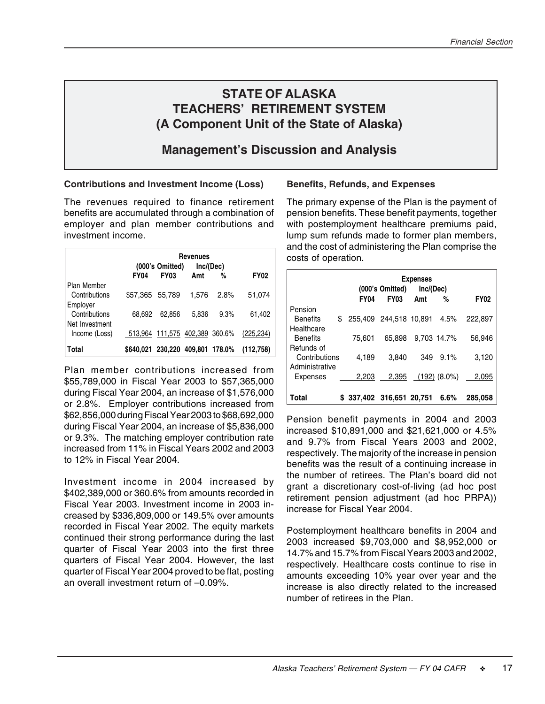## **Management's Discussion and Analysis**

## **Contributions and Investment Income (Loss)**

The revenues required to finance retirement benefits are accumulated through a combination of employer and plan member contributions and investment income.

|                                             | (000's Omitted)                  |                        |       |      |             |
|---------------------------------------------|----------------------------------|------------------------|-------|------|-------------|
|                                             | <b>FY04</b>                      | <b>FY03</b>            | Amt   | %    | <b>FY02</b> |
| Plan Member<br>Contributions                | \$57,365 55,789                  |                        | 1.576 | 2.8% | 51,074      |
| Employer<br>Contributions<br>Net Investment | 68.692                           | 62.856                 | 5,836 | 9.3% | 61,402      |
| Income (Loss)                               | 513.964                          | 111,575 402,389 360.6% |       |      | (225, 234)  |
| Total                                       | \$640,021 230,220 409,801 178.0% |                        |       |      | (112, 758)  |

Plan member contributions increased from \$55,789,000 in Fiscal Year 2003 to \$57,365,000 during Fiscal Year 2004, an increase of \$1,576,000 or 2.8%. Employer contributions increased from \$62,856,000 during Fiscal Year 2003 to \$68,692,000 during Fiscal Year 2004, an increase of \$5,836,000 or 9.3%. The matching employer contribution rate increased from 11% in Fiscal Years 2002 and 2003 to 12% in Fiscal Year 2004.

Investment income in 2004 increased by \$402,389,000 or 360.6% from amounts recorded in Fiscal Year 2003. Investment income in 2003 increased by \$336,809,000 or 149.5% over amounts recorded in Fiscal Year 2002. The equity markets continued their strong performance during the last quarter of Fiscal Year 2003 into the first three quarters of Fiscal Year 2004. However, the last quarter of Fiscal Year 2004 proved to be flat, posting an overall investment return of –0.09%.

#### **Benefits, Refunds, and Expenses**

The primary expense of the Plan is the payment of pension benefits. These benefit payments, together with postemployment healthcare premiums paid, lump sum refunds made to former plan members, and the cost of administering the Plan comprise the costs of operation.

| <b>Expenses</b>                          |    |                           |                        |           |                |             |  |  |
|------------------------------------------|----|---------------------------|------------------------|-----------|----------------|-------------|--|--|
|                                          |    |                           | (000's Omitted)        | Inc/(Dec) |                |             |  |  |
|                                          |    | <b>FY04</b>               | <b>FY03</b>            | Amt       | %              | <b>FY02</b> |  |  |
| Pension<br><b>Benefits</b><br>Healthcare | \$ |                           | 255.409 244.518 10.891 |           | 4.5%           | 222.897     |  |  |
| <b>Benefits</b><br>Refunds of            |    | 75.601                    | 65.898                 |           | 9.703 14.7%    | 56.946      |  |  |
| Contributions<br>Administrative          |    | 4,189                     | 3.840                  | 349       | 9.1%           | 3,120       |  |  |
| Expenses                                 |    | 2.203                     | 2,395                  |           | $(192)$ (8.0%) | 2,095       |  |  |
| Total                                    |    | \$ 337.402 316.651 20.751 |                        |           | 6.6%           | 285.058     |  |  |

Pension benefit payments in 2004 and 2003 increased \$10,891,000 and \$21,621,000 or 4.5% and 9.7% from Fiscal Years 2003 and 2002, respectively. The majority of the increase in pension benefits was the result of a continuing increase in the number of retirees. The Plan's board did not grant a discretionary cost-of-living (ad hoc post retirement pension adjustment (ad hoc PRPA)) increase for Fiscal Year 2004.

Postemployment healthcare benefits in 2004 and 2003 increased \$9,703,000 and \$8,952,000 or 14.7% and 15.7% from Fiscal Years 2003 and 2002, respectively. Healthcare costs continue to rise in amounts exceeding 10% year over year and the increase is also directly related to the increased number of retirees in the Plan.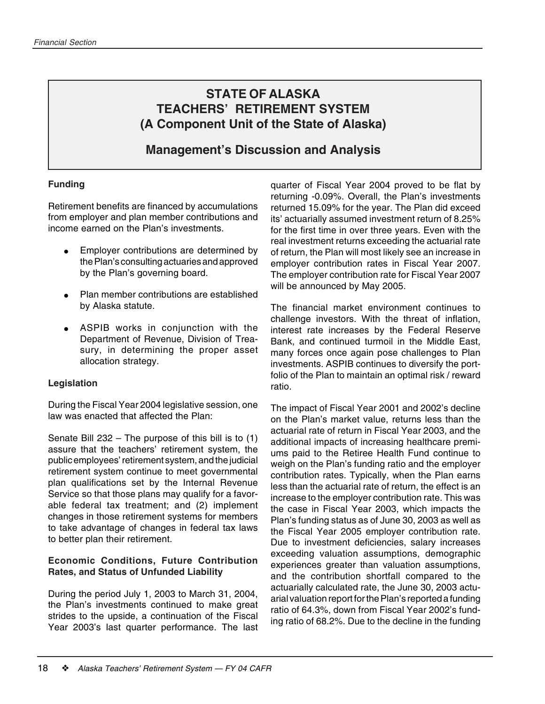# **Management's Discussion and Analysis**

## **Funding**

Retirement benefits are financed by accumulations from employer and plan member contributions and income earned on the Plan's investments.

- Employer contributions are determined by the Plan's consulting actuaries and approved by the Plan's governing board.
- **Plan member contributions are established** by Alaska statute.
- ASPIB works in conjunction with the Department of Revenue, Division of Treasury, in determining the proper asset allocation strategy.

## **Legislation**

During the Fiscal Year 2004 legislative session, one law was enacted that affected the Plan:

Senate Bill 232 – The purpose of this bill is to (1) assure that the teachers' retirement system, the public employees' retirement system, and the judicial retirement system continue to meet governmental plan qualifications set by the Internal Revenue Service so that those plans may qualify for a favorable federal tax treatment; and (2) implement changes in those retirement systems for members to take advantage of changes in federal tax laws to better plan their retirement.

## **Economic Conditions, Future Contribution Rates, and Status of Unfunded Liability**

During the period July 1, 2003 to March 31, 2004, the Plan's investments continued to make great strides to the upside, a continuation of the Fiscal Year 2003's last quarter performance. The last quarter of Fiscal Year 2004 proved to be flat by returning -0.09%. Overall, the Plan's investments returned 15.09% for the year. The Plan did exceed its' actuarially assumed investment return of 8.25% for the first time in over three years. Even with the real investment returns exceeding the actuarial rate of return, the Plan will most likely see an increase in employer contribution rates in Fiscal Year 2007. The employer contribution rate for Fiscal Year 2007 will be announced by May 2005.

The financial market environment continues to challenge investors. With the threat of inflation, interest rate increases by the Federal Reserve Bank, and continued turmoil in the Middle East, many forces once again pose challenges to Plan investments. ASPIB continues to diversify the portfolio of the Plan to maintain an optimal risk / reward ratio.

The impact of Fiscal Year 2001 and 2002's decline on the Plan's market value, returns less than the actuarial rate of return in Fiscal Year 2003, and the additional impacts of increasing healthcare premiums paid to the Retiree Health Fund continue to weigh on the Plan's funding ratio and the employer contribution rates. Typically, when the Plan earns less than the actuarial rate of return, the effect is an increase to the employer contribution rate. This was the case in Fiscal Year 2003, which impacts the Plan's funding status as of June 30, 2003 as well as the Fiscal Year 2005 employer contribution rate. Due to investment deficiencies, salary increases exceeding valuation assumptions, demographic experiences greater than valuation assumptions, and the contribution shortfall compared to the actuarially calculated rate, the June 30, 2003 actuarial valuation report for the Plan's reported a funding ratio of 64.3%, down from Fiscal Year 2002's funding ratio of 68.2%. Due to the decline in the funding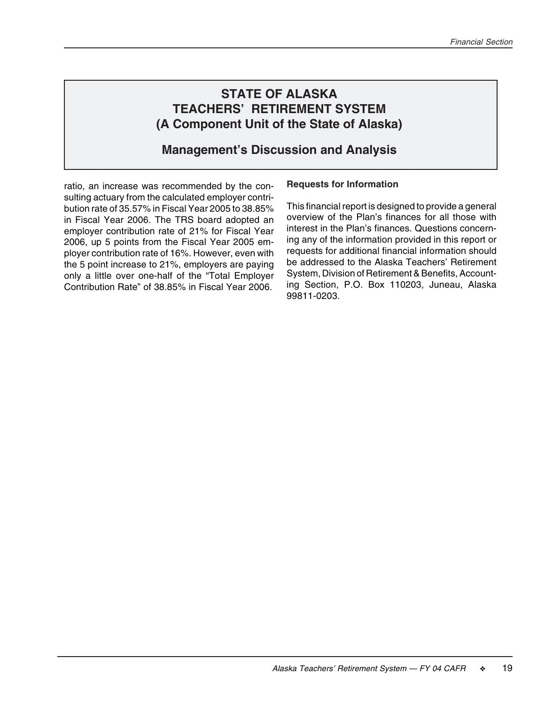## **Management's Discussion and Analysis**

ratio, an increase was recommended by the consulting actuary from the calculated employer contribution rate of 35.57% in Fiscal Year 2005 to 38.85% in Fiscal Year 2006. The TRS board adopted an employer contribution rate of 21% for Fiscal Year 2006, up 5 points from the Fiscal Year 2005 employer contribution rate of 16%. However, even with the 5 point increase to 21%, employers are paying only a little over one-half of the "Total Employer Contribution Rate" of 38.85% in Fiscal Year 2006.

## **Requests for Information**

This financial report is designed to provide a general overview of the Plan's finances for all those with interest in the Plan's finances. Questions concerning any of the information provided in this report or requests for additional financial information should be addressed to the Alaska Teachers' Retirement System, Division of Retirement & Benefits, Accounting Section, P.O. Box 110203, Juneau, Alaska 99811-0203.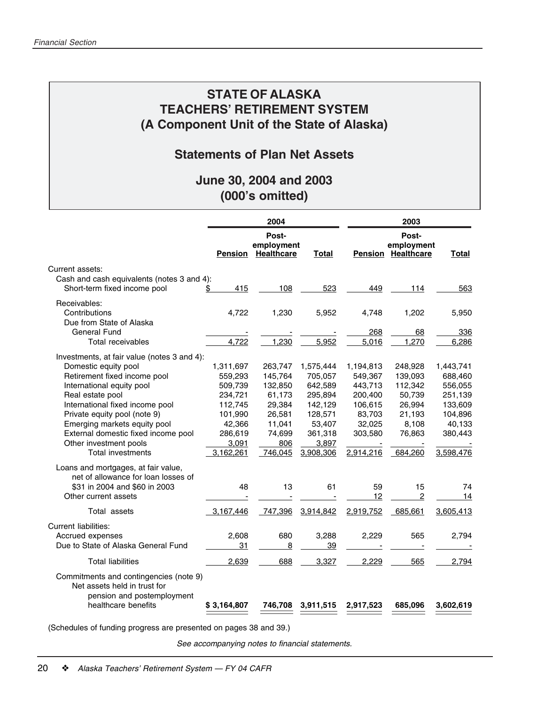# **Statements of Plan Net Assets**

# **June 30, 2004 and 2003 (000's omitted)**

| 2004      |                                                                                                                                                 |                                                                                       | 2003                                                                                                                                    |                                                                                          |                                                                                                                        |
|-----------|-------------------------------------------------------------------------------------------------------------------------------------------------|---------------------------------------------------------------------------------------|-----------------------------------------------------------------------------------------------------------------------------------------|------------------------------------------------------------------------------------------|------------------------------------------------------------------------------------------------------------------------|
|           | Post-                                                                                                                                           | <b>Total</b>                                                                          |                                                                                                                                         | Post-                                                                                    | <b>Total</b>                                                                                                           |
|           |                                                                                                                                                 |                                                                                       |                                                                                                                                         |                                                                                          |                                                                                                                        |
|           |                                                                                                                                                 |                                                                                       |                                                                                                                                         |                                                                                          |                                                                                                                        |
| 415<br>S  | 108                                                                                                                                             | 523                                                                                   | 449                                                                                                                                     | 114                                                                                      | 563                                                                                                                    |
|           |                                                                                                                                                 |                                                                                       |                                                                                                                                         |                                                                                          |                                                                                                                        |
|           |                                                                                                                                                 |                                                                                       |                                                                                                                                         |                                                                                          | 5,950                                                                                                                  |
|           |                                                                                                                                                 |                                                                                       |                                                                                                                                         |                                                                                          |                                                                                                                        |
|           |                                                                                                                                                 |                                                                                       |                                                                                                                                         | 68                                                                                       | 336                                                                                                                    |
| 4,722     | 1,230                                                                                                                                           | 5,952                                                                                 | 5,016                                                                                                                                   | 1,270                                                                                    | 6,286                                                                                                                  |
|           |                                                                                                                                                 |                                                                                       |                                                                                                                                         |                                                                                          |                                                                                                                        |
|           |                                                                                                                                                 |                                                                                       |                                                                                                                                         |                                                                                          | 1,443,741                                                                                                              |
|           |                                                                                                                                                 |                                                                                       |                                                                                                                                         |                                                                                          | 688,460                                                                                                                |
|           |                                                                                                                                                 |                                                                                       |                                                                                                                                         |                                                                                          | 556,055                                                                                                                |
|           |                                                                                                                                                 |                                                                                       |                                                                                                                                         |                                                                                          | 251,139                                                                                                                |
|           |                                                                                                                                                 |                                                                                       |                                                                                                                                         |                                                                                          | 133,609                                                                                                                |
|           |                                                                                                                                                 |                                                                                       | 83.703                                                                                                                                  |                                                                                          | 104,896                                                                                                                |
| 42,366    |                                                                                                                                                 |                                                                                       |                                                                                                                                         | 8,108                                                                                    | 40,133                                                                                                                 |
| 286,619   | 74,699                                                                                                                                          | 361,318                                                                               | 303,580                                                                                                                                 | 76,863                                                                                   | 380,443                                                                                                                |
| 3,091     | 806                                                                                                                                             | 3,897                                                                                 |                                                                                                                                         |                                                                                          |                                                                                                                        |
| 3,162,261 | 746,045                                                                                                                                         | 3,908,306                                                                             | 2,914,216                                                                                                                               | 684,260                                                                                  | 3,598,476                                                                                                              |
| 48        | 13                                                                                                                                              | 61                                                                                    | 59<br>12                                                                                                                                | 15<br>$\overline{c}$                                                                     | 74<br>14                                                                                                               |
| 3.167.446 | 747.396                                                                                                                                         | 3,914,842                                                                             | 2,919,752                                                                                                                               | 685.661                                                                                  | 3.605.413                                                                                                              |
|           |                                                                                                                                                 |                                                                                       |                                                                                                                                         |                                                                                          |                                                                                                                        |
|           |                                                                                                                                                 |                                                                                       |                                                                                                                                         |                                                                                          | 2,794                                                                                                                  |
| 31        | 8                                                                                                                                               | 39                                                                                    |                                                                                                                                         |                                                                                          |                                                                                                                        |
| 2,639     | 688                                                                                                                                             | 3,327                                                                                 | 2,229                                                                                                                                   | 565                                                                                      | 2,794                                                                                                                  |
|           | 746,708                                                                                                                                         | 3,911,515                                                                             | 2,917,523                                                                                                                               | 685,096                                                                                  | 3,602,619                                                                                                              |
|           | Cash and cash equivalents (notes 3 and 4):<br>4,722<br>1,311,697<br>559,293<br>509,739<br>234,721<br>112,745<br>101,990<br>2,608<br>\$3,164,807 | 1,230<br>263,747<br>145,764<br>132,850<br>61,173<br>29,384<br>26,581<br>11,041<br>680 | employment<br><b>Pension Healthcare</b><br>5,952<br>1,575,444<br>705,057<br>642,589<br>295,894<br>142,129<br>128,571<br>53,407<br>3,288 | 4,748<br>268<br>1,194,813<br>549,367<br>443,713<br>200,400<br>106,615<br>32,025<br>2,229 | employment<br><b>Pension Healthcare</b><br>1,202<br>248,928<br>139,093<br>112,342<br>50,739<br>26,994<br>21,193<br>565 |

(Schedules of funding progress are presented on pages 38 and 39.)

See accompanying notes to financial statements.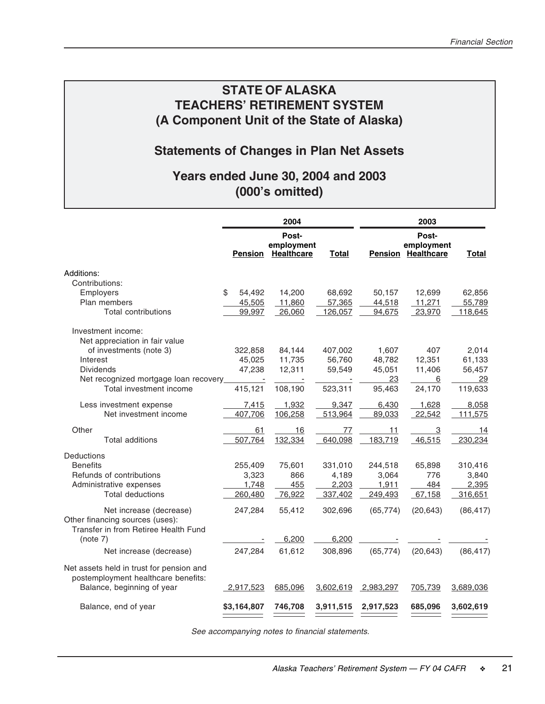# **Statements of Changes in Plan Net Assets**

# **Years ended June 30, 2004 and 2003 (000's omitted)**

|                                                                                                               | 2004           |                                          |                          |           | 2003                                             |              |  |  |
|---------------------------------------------------------------------------------------------------------------|----------------|------------------------------------------|--------------------------|-----------|--------------------------------------------------|--------------|--|--|
|                                                                                                               | <b>Pension</b> | Post-<br>employment<br><b>Healthcare</b> | <b>Total</b>             |           | Post-<br>employment<br><b>Pension Healthcare</b> | <b>Total</b> |  |  |
| Additions:                                                                                                    |                |                                          |                          |           |                                                  |              |  |  |
| Contributions:                                                                                                |                |                                          |                          |           |                                                  |              |  |  |
| <b>Employers</b>                                                                                              | \$<br>54,492   | 14,200                                   | 68,692                   | 50,157    | 12,699                                           | 62,856       |  |  |
| Plan members                                                                                                  | 45,505         | 11,860                                   | 57,365                   | 44,518    | 11,271                                           | 55,789       |  |  |
| <b>Total contributions</b>                                                                                    | 99,997         | 26,060                                   | 126,057                  | 94,675    | 23,970                                           | 118,645      |  |  |
| Investment income:                                                                                            |                |                                          |                          |           |                                                  |              |  |  |
| Net appreciation in fair value                                                                                |                |                                          |                          |           |                                                  |              |  |  |
| of investments (note 3)                                                                                       | 322,858        | 84,144                                   | 407,002                  | 1,607     | 407                                              | 2,014        |  |  |
| Interest                                                                                                      | 45,025         | 11,735                                   | 56,760                   | 48,782    | 12,351                                           | 61,133       |  |  |
| <b>Dividends</b>                                                                                              | 47,238         | 12,311                                   | 59,549                   | 45,051    | 11,406                                           | 56,457       |  |  |
| Net recognized mortgage loan recovery_                                                                        | $\sim$ $-$     | $\sim$                                   | $\overline{\phantom{a}}$ | 23        | 6                                                | 29           |  |  |
| Total investment income                                                                                       | 415,121        | 108,190                                  | 523,311                  | 95,463    | 24,170                                           | 119,633      |  |  |
| Less investment expense                                                                                       | 7,415          | 1,932                                    | 9,347                    | 6,430     | 1,628                                            | 8,058        |  |  |
| Net investment income                                                                                         | 407,706        | 106,258                                  | 513,964                  | 89,033    | 22,542                                           | 111,575      |  |  |
| Other                                                                                                         | 61             | 16                                       | 77                       | 11        | 3                                                | 14           |  |  |
| <b>Total additions</b>                                                                                        | 507,764        | 132,334                                  | 640,098                  | 183,719   | 46,515                                           | 230,234      |  |  |
| Deductions                                                                                                    |                |                                          |                          |           |                                                  |              |  |  |
| <b>Benefits</b>                                                                                               | 255,409        | 75,601                                   | 331,010                  | 244,518   | 65,898                                           | 310,416      |  |  |
| Refunds of contributions                                                                                      | 3,323          | 866                                      | 4,189                    | 3,064     | 776                                              | 3,840        |  |  |
| Administrative expenses                                                                                       | 1,748          | 455                                      | 2,203                    | 1,911     | 484                                              | 2,395        |  |  |
| <b>Total deductions</b>                                                                                       | 260,480        | 76,922                                   | 337,402                  | 249,493   | 67,158                                           | 316,651      |  |  |
| Net increase (decrease)<br>Other financing sources (uses):                                                    | 247,284        | 55,412                                   | 302,696                  | (65, 774) | (20, 643)                                        | (86, 417)    |  |  |
| Transfer in from Retiree Health Fund<br>(note 7)                                                              |                | 6,200                                    | 6,200                    |           |                                                  |              |  |  |
|                                                                                                               |                |                                          |                          |           |                                                  |              |  |  |
| Net increase (decrease)                                                                                       | 247,284        | 61,612                                   | 308,896                  | (65, 774) | (20, 643)                                        | (86, 417)    |  |  |
| Net assets held in trust for pension and<br>postemployment healthcare benefits:<br>Balance, beginning of year | 2,917,523      | 685,096                                  | 3,602,619                | 2,983,297 | 705,739                                          | 3,689,036    |  |  |
| Balance, end of year                                                                                          | \$3,164,807    | 746,708                                  | 3,911,515                | 2,917,523 | 685,096                                          | 3,602,619    |  |  |
|                                                                                                               |                |                                          |                          |           |                                                  |              |  |  |

See accompanying notes to financial statements.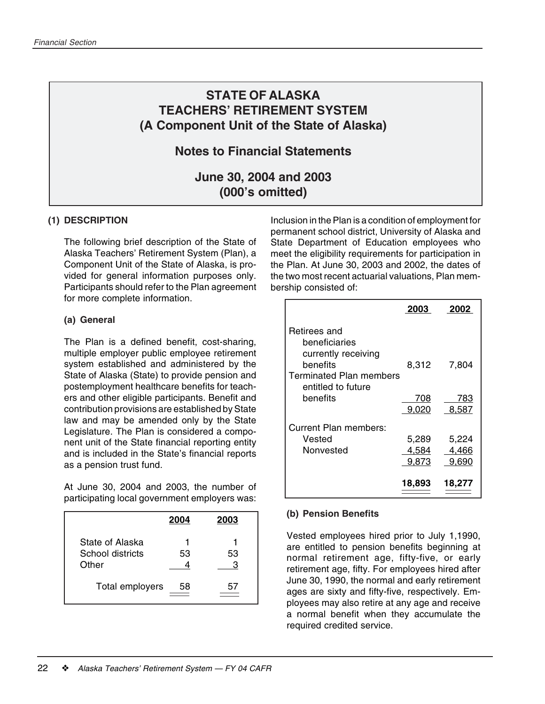# **Notes to Financial Statements**

# **June 30, 2004 and 2003 (000's omitted)**

## **(1) DESCRIPTION**

The following brief description of the State of Alaska Teachers' Retirement System (Plan), a Component Unit of the State of Alaska, is provided for general information purposes only. Participants should refer to the Plan agreement for more complete information.

## **(a) General**

The Plan is a defined benefit, cost-sharing, multiple employer public employee retirement system established and administered by the State of Alaska (State) to provide pension and postemployment healthcare benefits for teachers and other eligible participants. Benefit and contribution provisions are established by State law and may be amended only by the State Legislature. The Plan is considered a component unit of the State financial reporting entity and is included in the State's financial reports as a pension trust fund.

At June 30, 2004 and 2003, the number of participating local government employers was:

|                                              | 2004 | 2003    |  |
|----------------------------------------------|------|---------|--|
| State of Alaska<br>School districts<br>Other | 53   | 53<br>R |  |
| Total employers                              | 58   |         |  |
|                                              |      |         |  |

Inclusion in the Plan is a condition of employment for permanent school district, University of Alaska and State Department of Education employees who meet the eligibility requirements for participation in the Plan. At June 30, 2003 and 2002, the dates of the two most recent actuarial valuations, Plan membership consisted of:

|                                               | 2003         | 2002         |
|-----------------------------------------------|--------------|--------------|
| Retirees and<br>beneficiaries                 |              |              |
| currently receiving<br>benefits               | 8,312        | 7,804        |
| Terminated Plan members<br>entitled to future |              |              |
| benefits                                      | 708<br>9,020 | 783<br>8,587 |
| Current Plan members:                         |              |              |
| Vested                                        | 5,289        | 5,224        |
| Nonvested                                     | 4,584        | 4,466        |
|                                               | 9,873        | 9,690        |
|                                               | 18,893       | 18,277       |

#### **(b) Pension Benefits**

Vested employees hired prior to July 1,1990, are entitled to pension benefits beginning at normal retirement age, fifty-five, or early retirement age, fifty. For employees hired after June 30, 1990, the normal and early retirement ages are sixty and fifty-five, respectively. Employees may also retire at any age and receive a normal benefit when they accumulate the required credited service.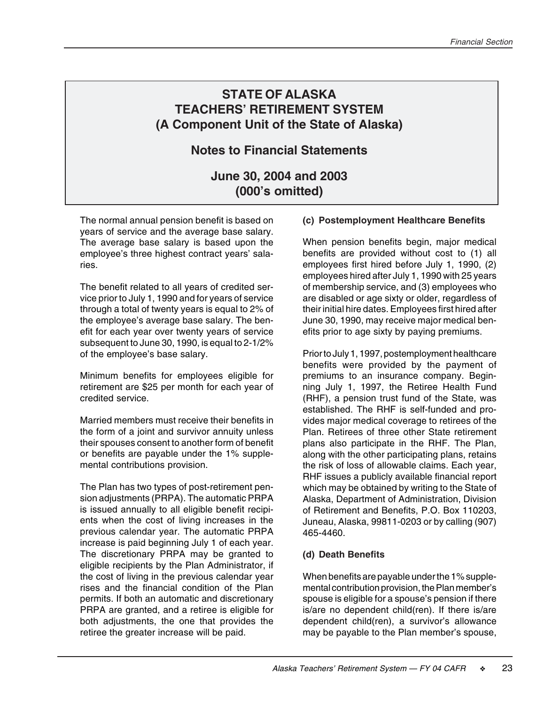# **Notes to Financial Statements**

# **June 30, 2004 and 2003 (000's omitted)**

The normal annual pension benefit is based on years of service and the average base salary. The average base salary is based upon the employee's three highest contract years' salaries.

The benefit related to all years of credited service prior to July 1, 1990 and for years of service through a total of twenty years is equal to 2% of the employee's average base salary. The benefit for each year over twenty years of service subsequent to June 30, 1990, is equal to 2-1/2% of the employee's base salary.

Minimum benefits for employees eligible for retirement are \$25 per month for each year of credited service.

Married members must receive their benefits in the form of a joint and survivor annuity unless their spouses consent to another form of benefit or benefits are payable under the 1% supplemental contributions provision.

The Plan has two types of post-retirement pension adjustments (PRPA). The automatic PRPA is issued annually to all eligible benefit recipients when the cost of living increases in the previous calendar year. The automatic PRPA increase is paid beginning July 1 of each year. The discretionary PRPA may be granted to eligible recipients by the Plan Administrator, if the cost of living in the previous calendar year rises and the financial condition of the Plan permits. If both an automatic and discretionary PRPA are granted, and a retiree is eligible for both adjustments, the one that provides the retiree the greater increase will be paid.

## **(c) Postemployment Healthcare Benefits**

When pension benefits begin, major medical benefits are provided without cost to (1) all employees first hired before July 1, 1990, (2) employees hired after July 1, 1990 with 25 years of membership service, and (3) employees who are disabled or age sixty or older, regardless of their initial hire dates. Employees first hired after June 30, 1990, may receive major medical benefits prior to age sixty by paying premiums.

Prior to July 1, 1997, postemployment healthcare benefits were provided by the payment of premiums to an insurance company. Beginning July 1, 1997, the Retiree Health Fund (RHF), a pension trust fund of the State, was established. The RHF is self-funded and provides major medical coverage to retirees of the Plan. Retirees of three other State retirement plans also participate in the RHF. The Plan, along with the other participating plans, retains the risk of loss of allowable claims. Each year, RHF issues a publicly available financial report which may be obtained by writing to the State of Alaska, Department of Administration, Division of Retirement and Benefits, P.O. Box 110203, Juneau, Alaska, 99811-0203 or by calling (907) 465-4460.

## **(d) Death Benefits**

When benefits are payable under the 1% supplemental contribution provision, the Plan member's spouse is eligible for a spouse's pension if there is/are no dependent child(ren). If there is/are dependent child(ren), a survivor's allowance may be payable to the Plan member's spouse,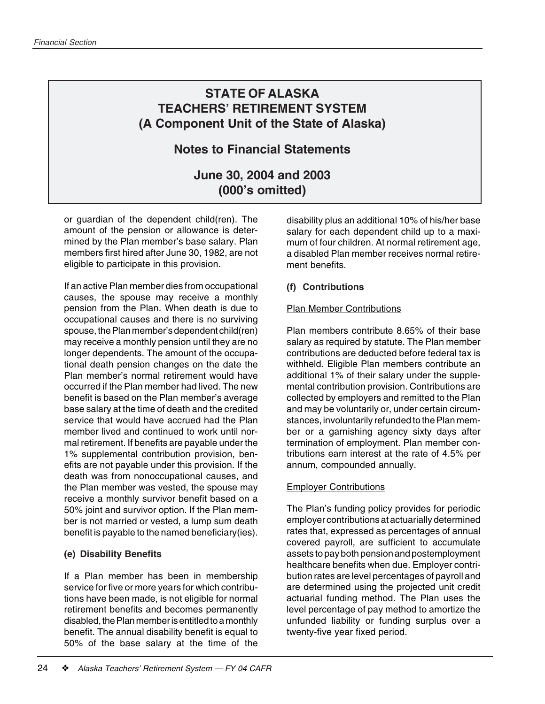# **Notes to Financial Statements**

# **June 30, 2004 and 2003 (000's omitted)**

or guardian of the dependent child(ren). The amount of the pension or allowance is determined by the Plan member's base salary. Plan members first hired after June 30, 1982, are not eligible to participate in this provision.

If an active Plan member dies from occupational causes, the spouse may receive a monthly pension from the Plan. When death is due to occupational causes and there is no surviving spouse, the Plan member's dependent child(ren) may receive a monthly pension until they are no longer dependents. The amount of the occupational death pension changes on the date the Plan member's normal retirement would have occurred if the Plan member had lived. The new benefit is based on the Plan member's average base salary at the time of death and the credited service that would have accrued had the Plan member lived and continued to work until normal retirement. If benefits are payable under the 1% supplemental contribution provision, benefits are not payable under this provision. If the death was from nonoccupational causes, and the Plan member was vested, the spouse may receive a monthly survivor benefit based on a 50% joint and survivor option. If the Plan member is not married or vested, a lump sum death benefit is payable to the named beneficiary(ies).

## **(e) Disability Benefits**

If a Plan member has been in membership service for five or more years for which contributions have been made, is not eligible for normal retirement benefits and becomes permanently disabled, the Plan member is entitled to a monthly benefit. The annual disability benefit is equal to 50% of the base salary at the time of the disability plus an additional 10% of his/her base salary for each dependent child up to a maximum of four children. At normal retirement age, a disabled Plan member receives normal retirement benefits.

## **(f) Contributions**

## Plan Member Contributions

Plan members contribute 8.65% of their base salary as required by statute. The Plan member contributions are deducted before federal tax is withheld. Eligible Plan members contribute an additional 1% of their salary under the supplemental contribution provision. Contributions are collected by employers and remitted to the Plan and may be voluntarily or, under certain circumstances, involuntarily refunded to the Plan member or a garnishing agency sixty days after termination of employment. Plan member contributions earn interest at the rate of 4.5% per annum, compounded annually.

## Employer Contributions

The Plan's funding policy provides for periodic employer contributions at actuarially determined rates that, expressed as percentages of annual covered payroll, are sufficient to accumulate assets to pay both pension and postemployment healthcare benefits when due. Employer contribution rates are level percentages of payroll and are determined using the projected unit credit actuarial funding method. The Plan uses the level percentage of pay method to amortize the unfunded liability or funding surplus over a twenty-five year fixed period.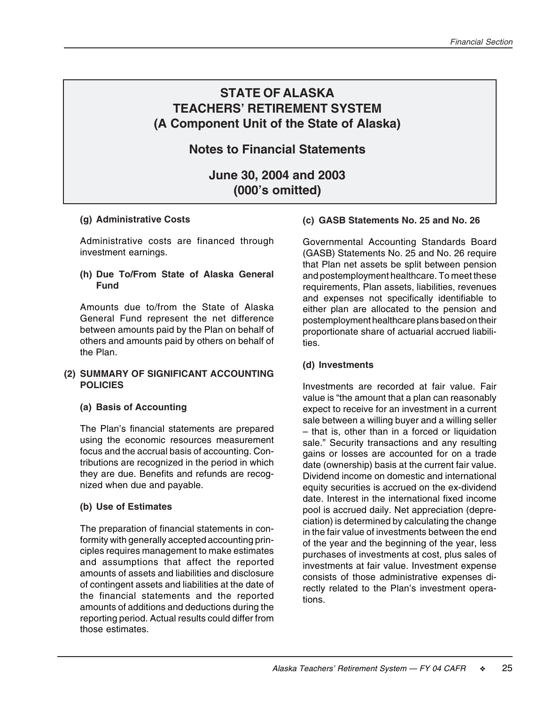## **Notes to Financial Statements**

# **June 30, 2004 and 2003 (000's omitted)**

## **(g) Administrative Costs**

Administrative costs are financed through investment earnings.

#### **(h) Due To/From State of Alaska General Fund**

Amounts due to/from the State of Alaska General Fund represent the net difference between amounts paid by the Plan on behalf of others and amounts paid by others on behalf of the Plan.

## **(2) SUMMARY OF SIGNIFICANT ACCOUNTING POLICIES**

## **(a) Basis of Accounting**

The Plan's financial statements are prepared using the economic resources measurement focus and the accrual basis of accounting. Contributions are recognized in the period in which they are due. Benefits and refunds are recognized when due and payable.

#### **(b) Use of Estimates**

The preparation of financial statements in conformity with generally accepted accounting principles requires management to make estimates and assumptions that affect the reported amounts of assets and liabilities and disclosure of contingent assets and liabilities at the date of the financial statements and the reported amounts of additions and deductions during the reporting period. Actual results could differ from those estimates.

## **(c) GASB Statements No. 25 and No. 26**

Governmental Accounting Standards Board (GASB) Statements No. 25 and No. 26 require that Plan net assets be split between pension and postemployment healthcare. To meet these requirements, Plan assets, liabilities, revenues and expenses not specifically identifiable to either plan are allocated to the pension and postemployment healthcare plans based on their proportionate share of actuarial accrued liabilities.

## **(d) Investments**

Investments are recorded at fair value. Fair value is "the amount that a plan can reasonably expect to receive for an investment in a current sale between a willing buyer and a willing seller – that is, other than in a forced or liquidation sale." Security transactions and any resulting gains or losses are accounted for on a trade date (ownership) basis at the current fair value. Dividend income on domestic and international equity securities is accrued on the ex-dividend date. Interest in the international fixed income pool is accrued daily. Net appreciation (depreciation) is determined by calculating the change in the fair value of investments between the end of the year and the beginning of the year, less purchases of investments at cost, plus sales of investments at fair value. Investment expense consists of those administrative expenses directly related to the Plan's investment operations.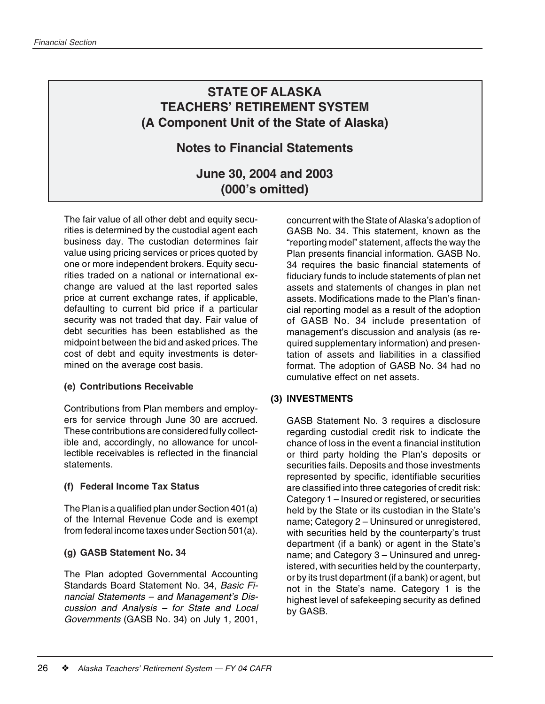## **Notes to Financial Statements**

# **June 30, 2004 and 2003 (000's omitted)**

The fair value of all other debt and equity securities is determined by the custodial agent each business day. The custodian determines fair value using pricing services or prices quoted by one or more independent brokers. Equity securities traded on a national or international exchange are valued at the last reported sales price at current exchange rates, if applicable, defaulting to current bid price if a particular security was not traded that day. Fair value of debt securities has been established as the midpoint between the bid and asked prices. The cost of debt and equity investments is determined on the average cost basis.

## **(e) Contributions Receivable**

Contributions from Plan members and employers for service through June 30 are accrued. These contributions are considered fully collectible and, accordingly, no allowance for uncollectible receivables is reflected in the financial statements.

## **(f) Federal Income Tax Status**

The Plan is a qualified plan under Section 401(a) of the Internal Revenue Code and is exempt from federal income taxes under Section 501(a).

## **(g) GASB Statement No. 34**

The Plan adopted Governmental Accounting Standards Board Statement No. 34, Basic Financial Statements – and Management's Discussion and Analysis – for State and Local Governments (GASB No. 34) on July 1, 2001,

concurrent with the State of Alaska's adoption of GASB No. 34. This statement, known as the "reporting model" statement, affects the way the Plan presents financial information. GASB No. 34 requires the basic financial statements of fiduciary funds to include statements of plan net assets and statements of changes in plan net assets. Modifications made to the Plan's financial reporting model as a result of the adoption of GASB No. 34 include presentation of management's discussion and analysis (as required supplementary information) and presentation of assets and liabilities in a classified format. The adoption of GASB No. 34 had no cumulative effect on net assets.

## **(3) INVESTMENTS**

GASB Statement No. 3 requires a disclosure regarding custodial credit risk to indicate the chance of loss in the event a financial institution or third party holding the Plan's deposits or securities fails. Deposits and those investments represented by specific, identifiable securities are classified into three categories of credit risk: Category 1 – Insured or registered, or securities held by the State or its custodian in the State's name; Category 2 – Uninsured or unregistered, with securities held by the counterparty's trust department (if a bank) or agent in the State's name; and Category 3 – Uninsured and unregistered, with securities held by the counterparty, or by its trust department (if a bank) or agent, but not in the State's name. Category 1 is the highest level of safekeeping security as defined by GASB.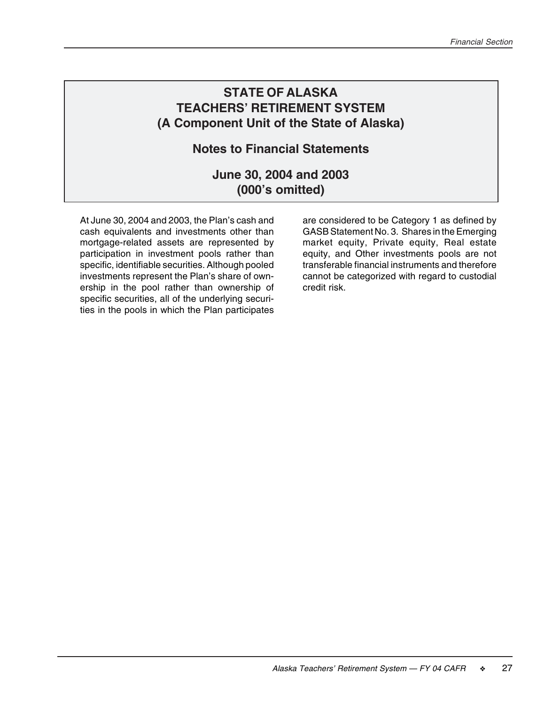## **Notes to Financial Statements**

# **June 30, 2004 and 2003 (000's omitted)**

At June 30, 2004 and 2003, the Plan's cash and cash equivalents and investments other than mortgage-related assets are represented by participation in investment pools rather than specific, identifiable securities. Although pooled investments represent the Plan's share of ownership in the pool rather than ownership of specific securities, all of the underlying securities in the pools in which the Plan participates

are considered to be Category 1 as defined by GASB Statement No. 3. Shares in the Emerging market equity, Private equity, Real estate equity, and Other investments pools are not transferable financial instruments and therefore cannot be categorized with regard to custodial credit risk.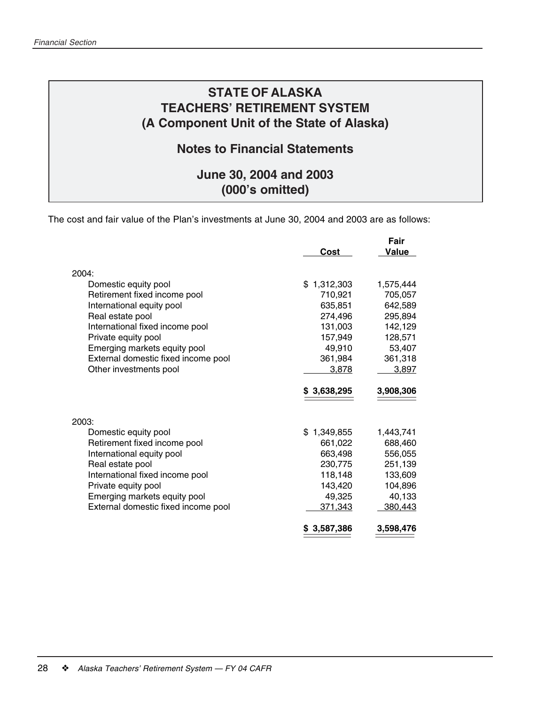# **Notes to Financial Statements**

# **June 30, 2004 and 2003 (000's omitted)**

**Fair**

The cost and fair value of the Plan's investments at June 30, 2004 and 2003 are as follows:

|                                     |                | rair      |
|-------------------------------------|----------------|-----------|
|                                     | Cost           | Value     |
| 2004:                               |                |           |
| Domestic equity pool                | \$1,312,303    | 1,575,444 |
| Retirement fixed income pool        | 710,921        | 705,057   |
| International equity pool           | 635,851        | 642,589   |
| Real estate pool                    | 274,496        | 295,894   |
| International fixed income pool     | 131,003        | 142,129   |
| Private equity pool                 | 157,949        | 128,571   |
| Emerging markets equity pool        | 49,910         | 53,407    |
| External domestic fixed income pool | 361,984        | 361,318   |
| Other investments pool              | 3,878          | 3,897     |
|                                     | 3,638,295<br>S | 3,908,306 |
|                                     |                |           |
| 2003:                               |                |           |
| Domestic equity pool                | \$1,349,855    | 1,443,741 |
| Retirement fixed income pool        | 661,022        | 688,460   |
| International equity pool           | 663,498        | 556,055   |
| Real estate pool                    | 230,775        | 251,139   |
| International fixed income pool     | 118,148        | 133,609   |
| Private equity pool                 | 143,420        | 104,896   |
| Emerging markets equity pool        | 49,325         | 40,133    |
| External domestic fixed income pool | 371,343        | 380,443   |
|                                     | \$3,587,386    | 3,598,476 |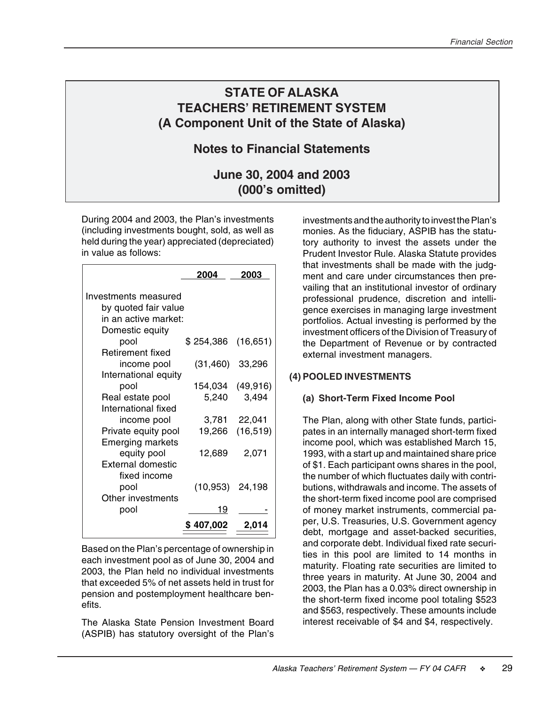# **Notes to Financial Statements**

# **June 30, 2004 and 2003 (000's omitted)**

During 2004 and 2003, the Plan's investments (including investments bought, sold, as well as held during the year) appreciated (depreciated) in value as follows:

|                          | 2004                | 2003            |
|--------------------------|---------------------|-----------------|
| Investments measured     |                     |                 |
| by quoted fair value     |                     |                 |
| in an active market:     |                     |                 |
| Domestic equity          |                     |                 |
| pool                     | $$254,386$ (16,651) |                 |
| Retirement fixed         |                     |                 |
| income pool              | $(31, 460)$ 33,296  |                 |
| International equity     |                     |                 |
| pool                     | 154,034 (49,916)    |                 |
| Real estate pool         | 5,240               | 3,494           |
| International fixed      |                     |                 |
| income pool              |                     | 3,781 22,041    |
| Private equity pool      |                     | 19,266 (16,519) |
| <b>Emerging markets</b>  |                     |                 |
| equity pool              | 12,689              | 2,071           |
| <b>External domestic</b> |                     |                 |
| fixed income             |                     |                 |
| pool                     | (10, 953)           | 24,198          |
| Other investments        |                     |                 |
| pool                     | 19                  |                 |
|                          | \$ 407,002          | 2,014           |

Based on the Plan's percentage of ownership in each investment pool as of June 30, 2004 and 2003, the Plan held no individual investments that exceeded 5% of net assets held in trust for pension and postemployment healthcare benefits.

The Alaska State Pension Investment Board (ASPIB) has statutory oversight of the Plan's investments and the authority to invest the Plan's monies. As the fiduciary, ASPIB has the statutory authority to invest the assets under the Prudent Investor Rule. Alaska Statute provides that investments shall be made with the judgment and care under circumstances then prevailing that an institutional investor of ordinary professional prudence, discretion and intelligence exercises in managing large investment portfolios. Actual investing is performed by the investment officers of the Division of Treasury of the Department of Revenue or by contracted external investment managers.

## **(4) POOLED INVESTMENTS**

## **(a) Short-Term Fixed Income Pool**

The Plan, along with other State funds, participates in an internally managed short-term fixed income pool, which was established March 15, 1993, with a start up and maintained share price of \$1. Each participant owns shares in the pool, the number of which fluctuates daily with contributions, withdrawals and income. The assets of the short-term fixed income pool are comprised of money market instruments, commercial paper, U.S. Treasuries, U.S. Government agency debt, mortgage and asset-backed securities, and corporate debt. Individual fixed rate securities in this pool are limited to 14 months in maturity. Floating rate securities are limited to three years in maturity. At June 30, 2004 and 2003, the Plan has a 0.03% direct ownership in the short-term fixed income pool totaling \$523 and \$563, respectively. These amounts include interest receivable of \$4 and \$4, respectively.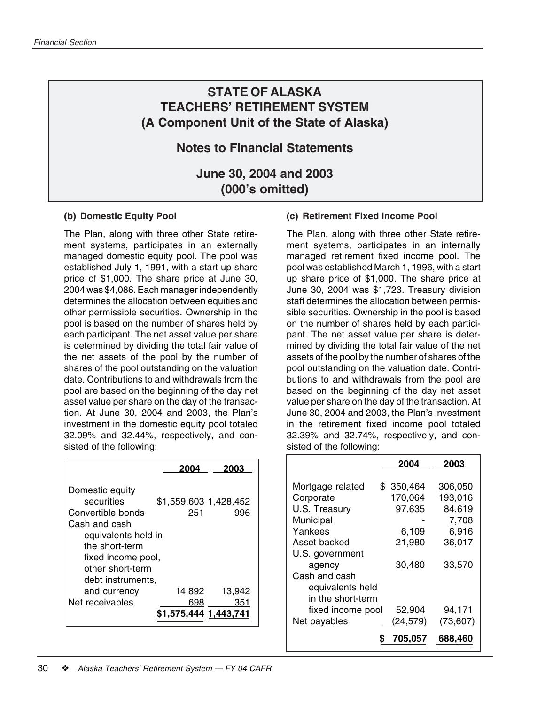## **Notes to Financial Statements**

# **June 30, 2004 and 2003 (000's omitted)**

## **(b) Domestic Equity Pool**

The Plan, along with three other State retirement systems, participates in an externally managed domestic equity pool. The pool was established July 1, 1991, with a start up share price of \$1,000. The share price at June 30, 2004 was \$4,086. Each manager independently determines the allocation between equities and other permissible securities. Ownership in the pool is based on the number of shares held by each participant. The net asset value per share is determined by dividing the total fair value of the net assets of the pool by the number of shares of the pool outstanding on the valuation date. Contributions to and withdrawals from the pool are based on the beginning of the day net asset value per share on the day of the transaction. At June 30, 2004 and 2003, the Plan's investment in the domestic equity pool totaled 32.09% and 32.44%, respectively, and consisted of the following:

|                                                                                                                                                                             | 2004                         | 2003   |
|-----------------------------------------------------------------------------------------------------------------------------------------------------------------------------|------------------------------|--------|
| Domestic equity<br>securities<br>Convertible bonds<br>Cash and cash<br>equivalents held in<br>the short-term<br>fixed income pool,<br>other short-term<br>debt instruments. | \$1,559,603 1,428,452<br>251 | 996    |
| and currency                                                                                                                                                                | 14,892                       | 13,942 |
| Net receivables                                                                                                                                                             | 698.                         | 351    |
|                                                                                                                                                                             |                              |        |

## **(c) Retirement Fixed Income Pool**

The Plan, along with three other State retirement systems, participates in an internally managed retirement fixed income pool. The pool was established March 1, 1996, with a start up share price of \$1,000. The share price at June 30, 2004 was \$1,723. Treasury division staff determines the allocation between permissible securities. Ownership in the pool is based on the number of shares held by each participant. The net asset value per share is determined by dividing the total fair value of the net assets of the pool by the number of shares of the pool outstanding on the valuation date. Contributions to and withdrawals from the pool are based on the beginning of the day net asset value per share on the day of the transaction. At June 30, 2004 and 2003, the Plan's investment in the retirement fixed income pool totaled 32.39% and 32.74%, respectively, and consisted of the following:

|                                                             | 2004                            | 2003                                  |
|-------------------------------------------------------------|---------------------------------|---------------------------------------|
| Mortgage related<br>Corporate<br>U.S. Treasury<br>Municipal | \$ 350,464<br>170,064<br>97,635 | 306,050<br>193,016<br>84,619<br>7,708 |
| Yankees<br>Asset backed<br>U.S. government                  | 6,109<br>21,980                 | 6,916<br>36,017                       |
| agency<br>Cash and cash<br>equivalents held                 | 30,480                          | 33,570                                |
| in the short-term<br>fixed income pool<br>Net payables      | 52,904<br><u>(24,579)</u>       | 94,171<br>(73, 607)                   |
|                                                             | 705,057                         | 688.460                               |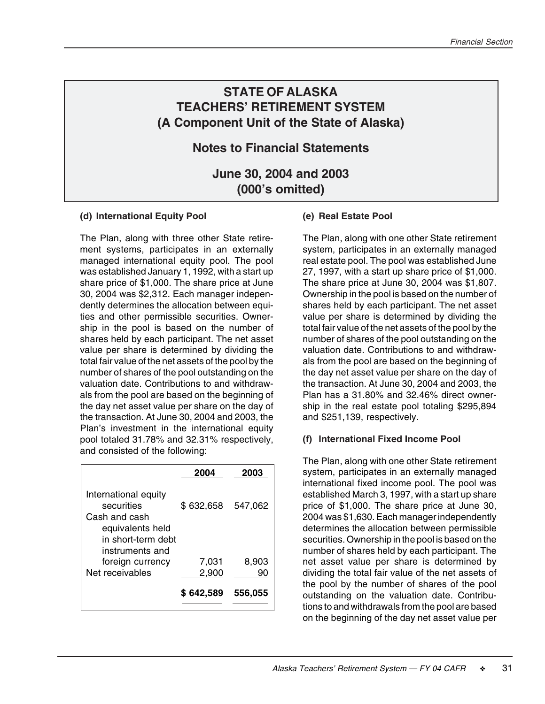## **Notes to Financial Statements**

**June 30, 2004 and 2003 (000's omitted)**

## **(d) International Equity Pool**

The Plan, along with three other State retirement systems, participates in an externally managed international equity pool. The pool was established January 1, 1992, with a start up share price of \$1,000. The share price at June 30, 2004 was \$2,312. Each manager independently determines the allocation between equities and other permissible securities. Ownership in the pool is based on the number of shares held by each participant. The net asset value per share is determined by dividing the total fair value of the net assets of the pool by the number of shares of the pool outstanding on the valuation date. Contributions to and withdrawals from the pool are based on the beginning of the day net asset value per share on the day of the transaction. At June 30, 2004 and 2003, the Plan's investment in the international equity pool totaled 31.78% and 32.31% respectively, and consisted of the following:

|                                                                                                                  | 2004      | 2003    |
|------------------------------------------------------------------------------------------------------------------|-----------|---------|
| International equity<br>securities<br>Cash and cash<br>equivalents held<br>in short-term debt<br>instruments and | \$632,658 | 547.062 |
| foreign currency                                                                                                 | 7,031     | 8,903   |
| Net receivables                                                                                                  | 2.900     |         |
|                                                                                                                  | \$642,589 | 556,055 |

## **(e) Real Estate Pool**

The Plan, along with one other State retirement system, participates in an externally managed real estate pool. The pool was established June 27, 1997, with a start up share price of \$1,000. The share price at June 30, 2004 was \$1,807. Ownership in the pool is based on the number of shares held by each participant. The net asset value per share is determined by dividing the total fair value of the net assets of the pool by the number of shares of the pool outstanding on the valuation date. Contributions to and withdrawals from the pool are based on the beginning of the day net asset value per share on the day of the transaction. At June 30, 2004 and 2003, the Plan has a 31.80% and 32.46% direct ownership in the real estate pool totaling \$295,894 and \$251,139, respectively.

## **(f) International Fixed Income Pool**

The Plan, along with one other State retirement system, participates in an externally managed international fixed income pool. The pool was established March 3, 1997, with a start up share price of \$1,000. The share price at June 30, 2004 was \$1,630. Each manager independently determines the allocation between permissible securities. Ownership in the pool is based on the number of shares held by each participant. The net asset value per share is determined by dividing the total fair value of the net assets of the pool by the number of shares of the pool outstanding on the valuation date. Contributions to and withdrawals from the pool are based on the beginning of the day net asset value per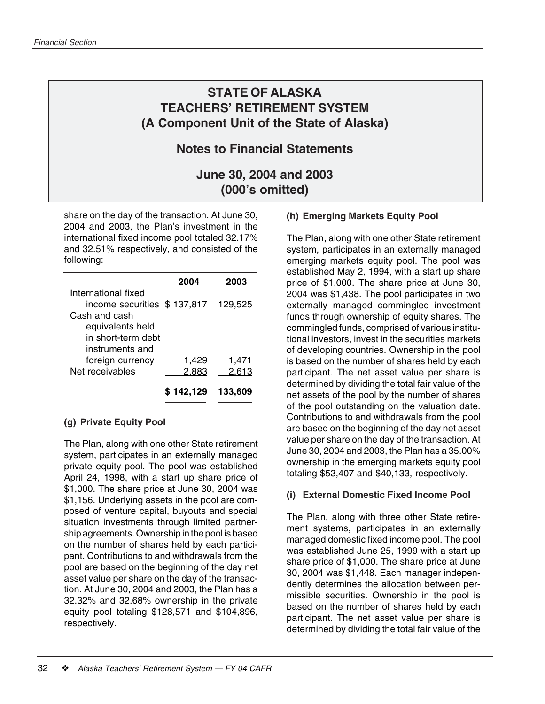# **Notes to Financial Statements**

# **June 30, 2004 and 2003 (000's omitted)**

share on the day of the transaction. At June 30, 2004 and 2003, the Plan's investment in the international fixed income pool totaled 32.17% and 32.51% respectively, and consisted of the following:

|                             | 2004      | 2003    |
|-----------------------------|-----------|---------|
| International fixed         |           |         |
| income securities \$137,817 |           | 129,525 |
| Cash and cash               |           |         |
| equivalents held            |           |         |
| in short-term debt          |           |         |
| instruments and             |           |         |
| foreign currency            | 1,429     | 1,471   |
| Net receivables             | 2,883     | 2,613   |
|                             | \$142,129 | 133,609 |

## **(g) Private Equity Pool**

The Plan, along with one other State retirement system, participates in an externally managed private equity pool. The pool was established April 24, 1998, with a start up share price of \$1,000. The share price at June 30, 2004 was \$1,156. Underlying assets in the pool are composed of venture capital, buyouts and special situation investments through limited partnership agreements. Ownership in the pool is based on the number of shares held by each participant. Contributions to and withdrawals from the pool are based on the beginning of the day net asset value per share on the day of the transaction. At June 30, 2004 and 2003, the Plan has a 32.32% and 32.68% ownership in the private equity pool totaling \$128,571 and \$104,896, respectively.

## **(h) Emerging Markets Equity Pool**

The Plan, along with one other State retirement system, participates in an externally managed emerging markets equity pool. The pool was established May 2, 1994, with a start up share price of \$1,000. The share price at June 30, 2004 was \$1,438. The pool participates in two externally managed commingled investment funds through ownership of equity shares. The commingled funds, comprised of various institutional investors, invest in the securities markets of developing countries. Ownership in the pool is based on the number of shares held by each participant. The net asset value per share is determined by dividing the total fair value of the net assets of the pool by the number of shares of the pool outstanding on the valuation date. Contributions to and withdrawals from the pool are based on the beginning of the day net asset value per share on the day of the transaction. At June 30, 2004 and 2003, the Plan has a 35.00% ownership in the emerging markets equity pool totaling \$53,407 and \$40,133, respectively.

## **(i) External Domestic Fixed Income Pool**

The Plan, along with three other State retirement systems, participates in an externally managed domestic fixed income pool. The pool was established June 25, 1999 with a start up share price of \$1,000. The share price at June 30, 2004 was \$1,448. Each manager independently determines the allocation between permissible securities. Ownership in the pool is based on the number of shares held by each participant. The net asset value per share is determined by dividing the total fair value of the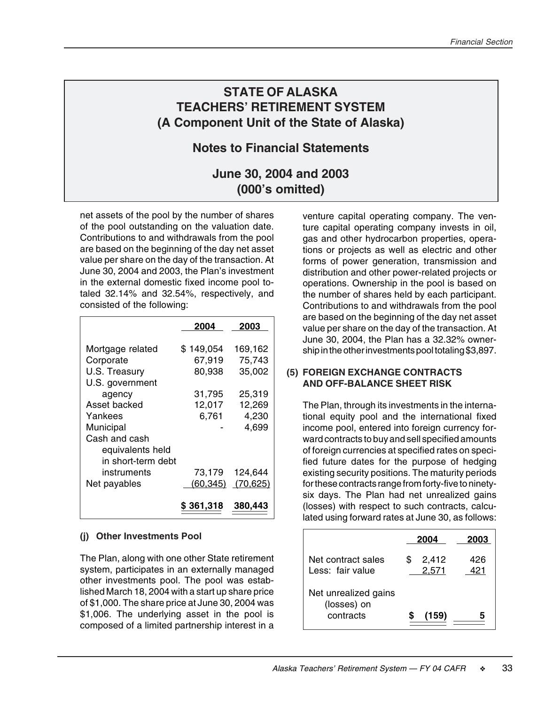## **Notes to Financial Statements**

### **June 30, 2004 and 2003 (000's omitted)**

net assets of the pool by the number of shares of the pool outstanding on the valuation date. Contributions to and withdrawals from the pool are based on the beginning of the day net asset value per share on the day of the transaction. At June 30, 2004 and 2003, the Plan's investment in the external domestic fixed income pool totaled 32.14% and 32.54%, respectively, and consisted of the following:

|                                                                                     | 2004                          | 2003                                          |
|-------------------------------------------------------------------------------------|-------------------------------|-----------------------------------------------|
| Mortgage related<br>Corporate<br>U.S. Treasury<br>U.S. government                   | \$149,054<br>67,919<br>80,938 | 169,162<br>75.743<br>35,002                   |
| agency<br>Asset backed<br>Yankees<br>Municipal<br>Cash and cash<br>equivalents held | 31,795<br>12,017<br>6,761     | 25,319<br>12,269<br>4,230<br>4,699            |
| in short-term debt<br>instruments<br>Net payables                                   | 73,179<br>\$ 361,318          | 124,644<br>$(60, 345)$ $(70, 625)$<br>380,443 |

### **(j) Other Investments Pool**

The Plan, along with one other State retirement system, participates in an externally managed other investments pool. The pool was established March 18, 2004 with a start up share price of \$1,000. The share price at June 30, 2004 was \$1,006. The underlying asset in the pool is composed of a limited partnership interest in a venture capital operating company. The venture capital operating company invests in oil, gas and other hydrocarbon properties, operations or projects as well as electric and other forms of power generation, transmission and distribution and other power-related projects or operations. Ownership in the pool is based on the number of shares held by each participant. Contributions to and withdrawals from the pool are based on the beginning of the day net asset value per share on the day of the transaction. At June 30, 2004, the Plan has a 32.32% ownership in the other investments pool totaling \$3,897.

### **(5) FOREIGN EXCHANGE CONTRACTS AND OFF-BALANCE SHEET RISK**

The Plan, through its investments in the international equity pool and the international fixed income pool, entered into foreign currency forward contracts to buy and sell specified amounts of foreign currencies at specified rates on specified future dates for the purpose of hedging existing security positions. The maturity periods for these contracts range from forty-five to ninetysix days. The Plan had net unrealized gains (losses) with respect to such contracts, calculated using forward rates at June 30, as follows:

|                                                  | 2004           | 2003       |
|--------------------------------------------------|----------------|------------|
| Net contract sales<br>Less: fair value           | 2,412<br>2,571 | 426<br>421 |
| Net unrealized gains<br>(losses) on<br>contracts | (159)          | 5          |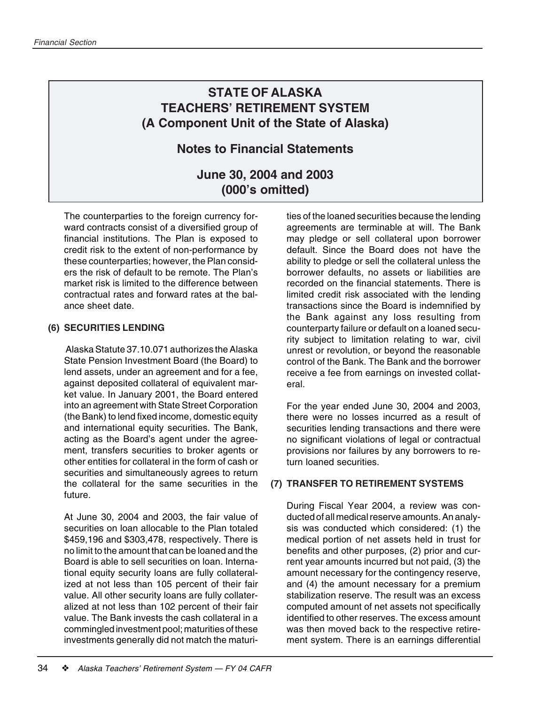### **Notes to Financial Statements**

## **June 30, 2004 and 2003 (000's omitted)**

The counterparties to the foreign currency forward contracts consist of a diversified group of financial institutions. The Plan is exposed to credit risk to the extent of non-performance by these counterparties; however, the Plan considers the risk of default to be remote. The Plan's market risk is limited to the difference between contractual rates and forward rates at the balance sheet date.

### **(6) SECURITIES LENDING**

 Alaska Statute 37.10.071 authorizes the Alaska State Pension Investment Board (the Board) to lend assets, under an agreement and for a fee, against deposited collateral of equivalent market value. In January 2001, the Board entered into an agreement with State Street Corporation (the Bank) to lend fixed income, domestic equity and international equity securities. The Bank, acting as the Board's agent under the agreement, transfers securities to broker agents or other entities for collateral in the form of cash or securities and simultaneously agrees to return the collateral for the same securities in the future.

At June 30, 2004 and 2003, the fair value of securities on loan allocable to the Plan totaled \$459,196 and \$303,478, respectively. There is no limit to the amount that can be loaned and the Board is able to sell securities on loan. International equity security loans are fully collateralized at not less than 105 percent of their fair value. All other security loans are fully collateralized at not less than 102 percent of their fair value. The Bank invests the cash collateral in a commingled investment pool; maturities of these investments generally did not match the maturi-

ties of the loaned securities because the lending agreements are terminable at will. The Bank may pledge or sell collateral upon borrower default. Since the Board does not have the ability to pledge or sell the collateral unless the borrower defaults, no assets or liabilities are recorded on the financial statements. There is limited credit risk associated with the lending transactions since the Board is indemnified by the Bank against any loss resulting from counterparty failure or default on a loaned security subject to limitation relating to war, civil unrest or revolution, or beyond the reasonable control of the Bank. The Bank and the borrower receive a fee from earnings on invested collateral.

For the year ended June 30, 2004 and 2003, there were no losses incurred as a result of securities lending transactions and there were no significant violations of legal or contractual provisions nor failures by any borrowers to return loaned securities.

### **(7) TRANSFER TO RETIREMENT SYSTEMS**

During Fiscal Year 2004, a review was conducted of all medical reserve amounts. An analysis was conducted which considered: (1) the medical portion of net assets held in trust for benefits and other purposes, (2) prior and current year amounts incurred but not paid, (3) the amount necessary for the contingency reserve, and (4) the amount necessary for a premium stabilization reserve. The result was an excess computed amount of net assets not specifically identified to other reserves. The excess amount was then moved back to the respective retirement system. There is an earnings differential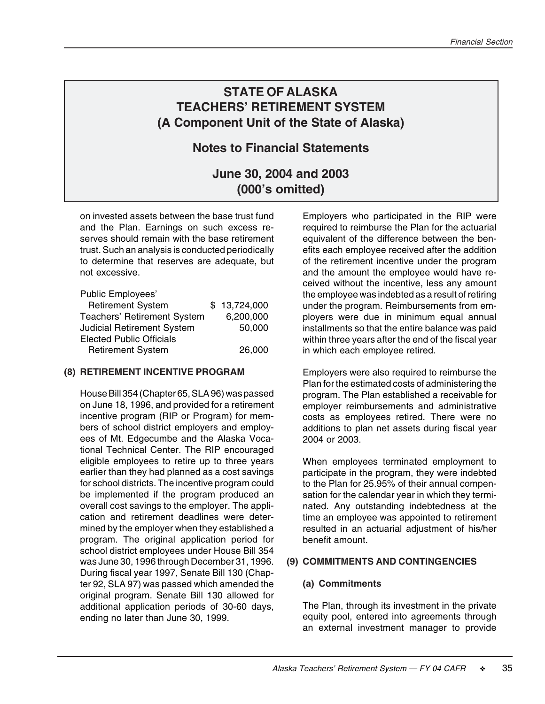### **Notes to Financial Statements**

### **June 30, 2004 and 2003 (000's omitted)**

on invested assets between the base trust fund and the Plan. Earnings on such excess reserves should remain with the base retirement trust. Such an analysis is conducted periodically to determine that reserves are adequate, but not excessive.

| Public Employees'                  |              |
|------------------------------------|--------------|
| <b>Retirement System</b>           | \$13,724,000 |
| <b>Teachers' Retirement System</b> | 6,200,000    |
| <b>Judicial Retirement System</b>  | 50,000       |
| <b>Elected Public Officials</b>    |              |
| <b>Retirement System</b>           | 26,000       |

### **(8) RETIREMENT INCENTIVE PROGRAM**

House Bill 354 (Chapter 65, SLA 96) was passed on June 18, 1996, and provided for a retirement incentive program (RIP or Program) for members of school district employers and employees of Mt. Edgecumbe and the Alaska Vocational Technical Center. The RIP encouraged eligible employees to retire up to three years earlier than they had planned as a cost savings for school districts. The incentive program could be implemented if the program produced an overall cost savings to the employer. The application and retirement deadlines were determined by the employer when they established a program. The original application period for school district employees under House Bill 354 was June 30, 1996 through December 31, 1996. During fiscal year 1997, Senate Bill 130 (Chapter 92, SLA 97) was passed which amended the original program. Senate Bill 130 allowed for additional application periods of 30-60 days, ending no later than June 30, 1999.

Employers who participated in the RIP were required to reimburse the Plan for the actuarial equivalent of the difference between the benefits each employee received after the addition of the retirement incentive under the program and the amount the employee would have received without the incentive, less any amount the employee was indebted as a result of retiring under the program. Reimbursements from employers were due in minimum equal annual installments so that the entire balance was paid within three years after the end of the fiscal year in which each employee retired.

Employers were also required to reimburse the Plan for the estimated costs of administering the program. The Plan established a receivable for employer reimbursements and administrative costs as employees retired. There were no additions to plan net assets during fiscal year 2004 or 2003.

When employees terminated employment to participate in the program, they were indebted to the Plan for 25.95% of their annual compensation for the calendar year in which they terminated. Any outstanding indebtedness at the time an employee was appointed to retirement resulted in an actuarial adjustment of his/her benefit amount.

### **(9) COMMITMENTS AND CONTINGENCIES**

### **(a) Commitments**

The Plan, through its investment in the private equity pool, entered into agreements through an external investment manager to provide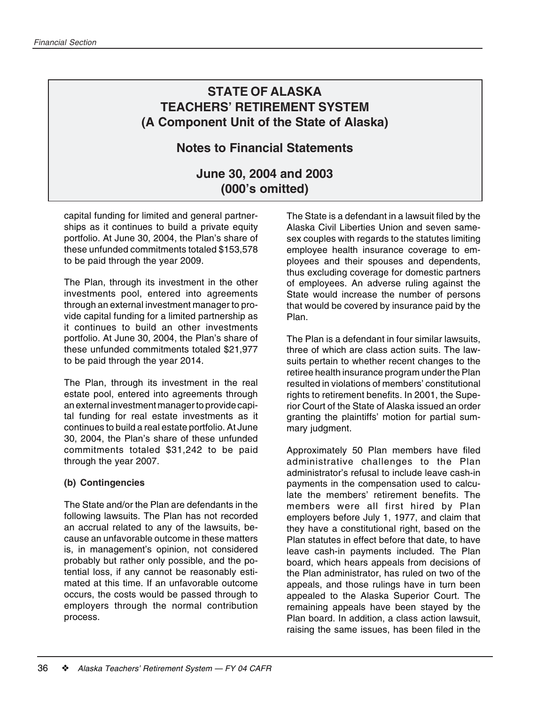### **Notes to Financial Statements**

### **June 30, 2004 and 2003 (000's omitted)**

capital funding for limited and general partnerships as it continues to build a private equity portfolio. At June 30, 2004, the Plan's share of these unfunded commitments totaled \$153,578 to be paid through the year 2009.

The Plan, through its investment in the other investments pool, entered into agreements through an external investment manager to provide capital funding for a limited partnership as it continues to build an other investments portfolio. At June 30, 2004, the Plan's share of these unfunded commitments totaled \$21,977 to be paid through the year 2014.

The Plan, through its investment in the real estate pool, entered into agreements through an external investment manager to provide capital funding for real estate investments as it continues to build a real estate portfolio. At June 30, 2004, the Plan's share of these unfunded commitments totaled \$31,242 to be paid through the year 2007.

### **(b) Contingencies**

The State and/or the Plan are defendants in the following lawsuits. The Plan has not recorded an accrual related to any of the lawsuits, because an unfavorable outcome in these matters is, in management's opinion, not considered probably but rather only possible, and the potential loss, if any cannot be reasonably estimated at this time. If an unfavorable outcome occurs, the costs would be passed through to employers through the normal contribution process.

The State is a defendant in a lawsuit filed by the Alaska Civil Liberties Union and seven samesex couples with regards to the statutes limiting employee health insurance coverage to employees and their spouses and dependents, thus excluding coverage for domestic partners of employees. An adverse ruling against the State would increase the number of persons that would be covered by insurance paid by the Plan.

The Plan is a defendant in four similar lawsuits, three of which are class action suits. The lawsuits pertain to whether recent changes to the retiree health insurance program under the Plan resulted in violations of members' constitutional rights to retirement benefits. In 2001, the Superior Court of the State of Alaska issued an order granting the plaintiffs' motion for partial summary judgment.

Approximately 50 Plan members have filed administrative challenges to the Plan administrator's refusal to include leave cash-in payments in the compensation used to calculate the members' retirement benefits. The members were all first hired by Plan employers before July 1, 1977, and claim that they have a constitutional right, based on the Plan statutes in effect before that date, to have leave cash-in payments included. The Plan board, which hears appeals from decisions of the Plan administrator, has ruled on two of the appeals, and those rulings have in turn been appealed to the Alaska Superior Court. The remaining appeals have been stayed by the Plan board. In addition, a class action lawsuit, raising the same issues, has been filed in the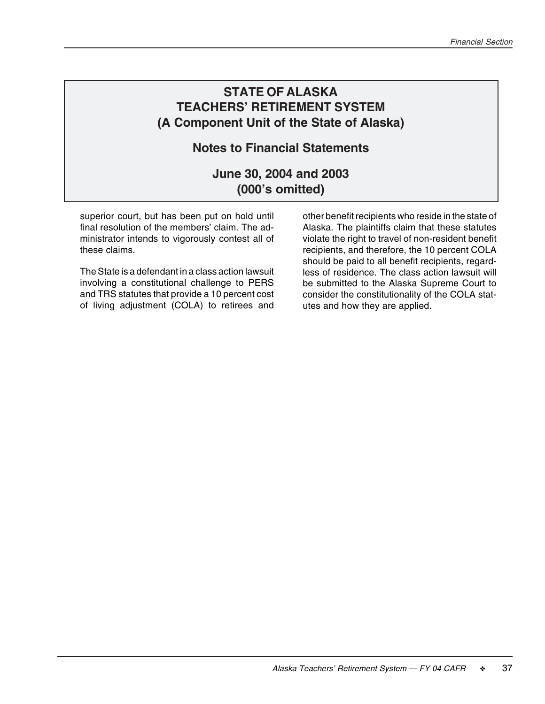### **Notes to Financial Statements**

### **June 30, 2004 and 2003 (000's omitted)**

superior court, but has been put on hold until final resolution of the members' claim. The administrator intends to vigorously contest all of these claims.

The State is a defendant in a class action lawsuit involving a constitutional challenge to PERS and TRS statutes that provide a 10 percent cost of living adjustment (COLA) to retirees and other benefit recipients who reside in the state of Alaska. The plaintiffs claim that these statutes violate the right to travel of non-resident benefit recipients, and therefore, the 10 percent COLA should be paid to all benefit recipients, regardless of residence. The class action lawsuit will be submitted to the Alaska Supreme Court to consider the constitutionality of the COLA statutes and how they are applied.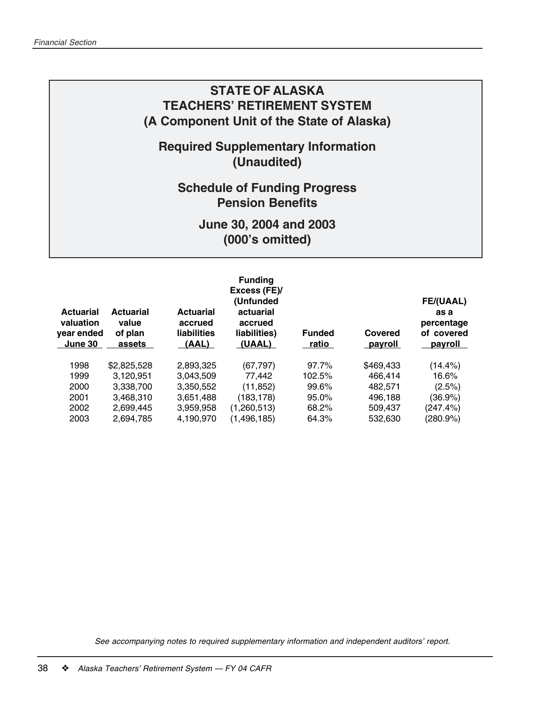## **Required Supplementary Information (Unaudited)**

## **Schedule of Funding Progress Pension Benefits**

### **June 30, 2004 and 2003 (000's omitted)**

| <b>Actuarial</b><br>valuation<br>year ended<br>June 30 | <b>Actuarial</b><br>value<br>of plan<br>assets | <b>Actuarial</b><br>accrued<br><b>liabilities</b><br>(AAL) | <b>Funding</b><br>Excess (FE)/<br>(Unfunded<br>actuarial<br>accrued<br>liabilities)<br>(UAAL) | <b>Funded</b><br>ratio | Covered<br>payroll | <b>FE/(UAAL)</b><br>as a<br>percentage<br>of covered<br>payroll |
|--------------------------------------------------------|------------------------------------------------|------------------------------------------------------------|-----------------------------------------------------------------------------------------------|------------------------|--------------------|-----------------------------------------------------------------|
| 1998                                                   | \$2,825,528                                    | 2,893,325                                                  | (67, 797)                                                                                     | 97.7%                  | \$469,433          | $(14.4\%)$                                                      |
| 1999                                                   | 3.120.951                                      | 3.043.509                                                  | 77.442                                                                                        | 102.5%                 | 466.414            | 16.6%                                                           |
| 2000                                                   | 3,338,700                                      | 3,350,552                                                  | (11, 852)                                                                                     | 99.6%                  | 482.571            | (2.5%)                                                          |
| 2001                                                   | 3.468.310                                      | 3.651.488                                                  | (183.178)                                                                                     | 95.0%                  | 496.188            | (36.9%)                                                         |
| 2002                                                   | 2,699,445                                      | 3,959,958                                                  | (1,260,513)                                                                                   | 68.2%                  | 509,437            | (247.4%)                                                        |
| 2003                                                   | 2.694.785                                      | 4.190.970                                                  | (1,496,185)                                                                                   | 64.3%                  | 532.630            | (280.9%)                                                        |

See accompanying notes to required supplementary information and independent auditors' report.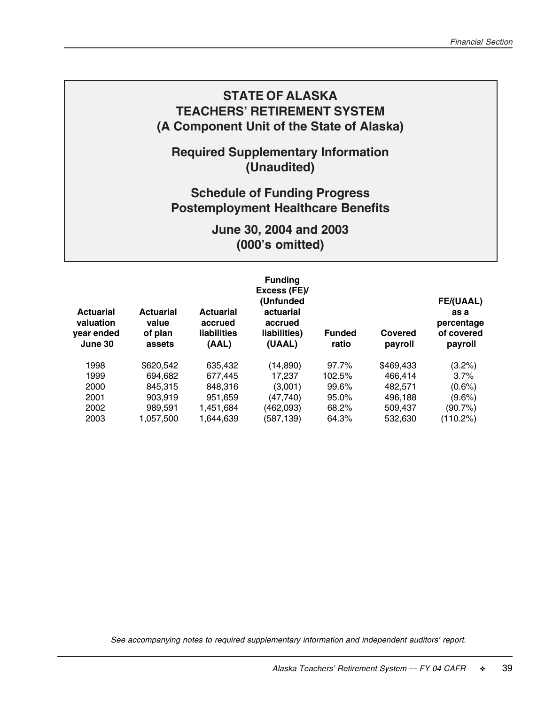### **Required Supplementary Information (Unaudited)**

### **Schedule of Funding Progress Postemployment Healthcare Benefits**

**June 30, 2004 and 2003 (000's omitted)**

| <b>Actuarial</b><br>valuation<br>year ended<br>June 30 | <b>Actuarial</b><br>value<br>of plan<br>assets | <b>Actuarial</b><br>accrued<br>liabilities<br>(AAL) | <b>Funding</b><br>Excess (FE)/<br>(Unfunded<br>actuarial<br>accrued<br>liabilities)<br>(UAAL) | <b>Funded</b><br>ratio | Covered<br>payroll | FE/(UAAL)<br>as a<br>percentage<br>of covered<br>payroll |
|--------------------------------------------------------|------------------------------------------------|-----------------------------------------------------|-----------------------------------------------------------------------------------------------|------------------------|--------------------|----------------------------------------------------------|
| 1998                                                   | \$620,542                                      | 635.432                                             | (14, 890)                                                                                     | 97.7%                  | \$469,433          | (3.2%)                                                   |
| 1999                                                   | 694.682                                        | 677.445                                             | 17.237                                                                                        | 102.5%                 | 466.414            | $3.7\%$                                                  |
| 2000                                                   | 845.315                                        | 848.316                                             | (3,001)                                                                                       | 99.6%                  | 482.571            | $(0.6\%)$                                                |
| 2001                                                   | 903.919                                        | 951,659                                             | (47,740)                                                                                      | 95.0%                  | 496.188            | $(9.6\%)$                                                |
| 2002                                                   | 989,591                                        | 1,451,684                                           | (462,093)                                                                                     | 68.2%                  | 509,437            | (90.7%)                                                  |
| 2003                                                   | 1.057.500                                      | 1.644.639                                           | (587,139)                                                                                     | 64.3%                  | 532,630            | (110.2%)                                                 |

See accompanying notes to required supplementary information and independent auditors' report.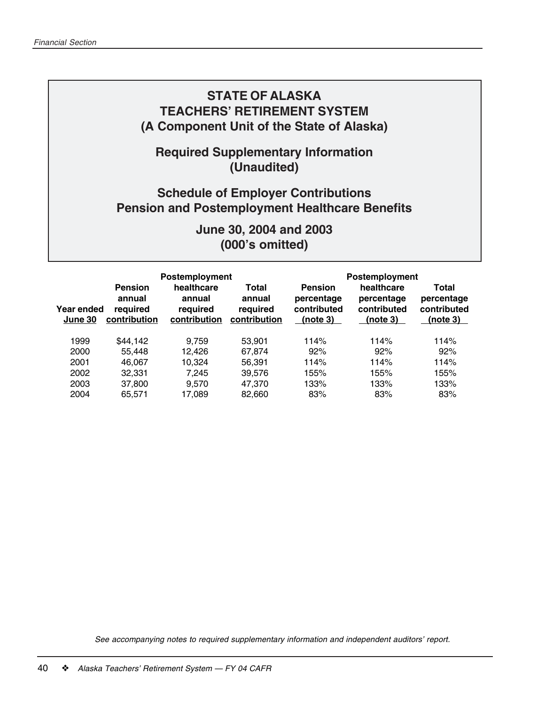**Required Supplementary Information (Unaudited)**

## **Schedule of Employer Contributions Pension and Postemployment Healthcare Benefits**

**June 30, 2004 and 2003 (000's omitted)**

|                       |                                                      | Postemployment                                   |                                             |                                                         | Postemployment                                      |                                                |
|-----------------------|------------------------------------------------------|--------------------------------------------------|---------------------------------------------|---------------------------------------------------------|-----------------------------------------------------|------------------------------------------------|
| Year ended<br>June 30 | <b>Pension</b><br>annual<br>required<br>contribution | healthcare<br>annual<br>required<br>contribution | Total<br>annual<br>required<br>contribution | <b>Pension</b><br>percentage<br>contributed<br>(note 3) | healthcare<br>percentage<br>contributed<br>(note 3) | Total<br>percentage<br>contributed<br>(note 3) |
| 1999                  | \$44,142                                             | 9,759                                            | 53,901                                      | 114%                                                    | 114%                                                | 114%                                           |
| 2000                  | 55,448                                               | 12,426                                           | 67.874                                      | 92%                                                     | 92%                                                 | 92%                                            |
| 2001                  | 46,067                                               | 10,324                                           | 56,391                                      | 114%                                                    | 114%                                                | 114%                                           |
| 2002                  | 32,331                                               | 7.245                                            | 39,576                                      | 155%                                                    | 155%                                                | 155%                                           |
| 2003                  | 37,800                                               | 9.570                                            | 47.370                                      | 133%                                                    | 133%                                                | 133%                                           |
| 2004                  | 65.571                                               | 17,089                                           | 82,660                                      | 83%                                                     | 83%                                                 | 83%                                            |

See accompanying notes to required supplementary information and independent auditors' report.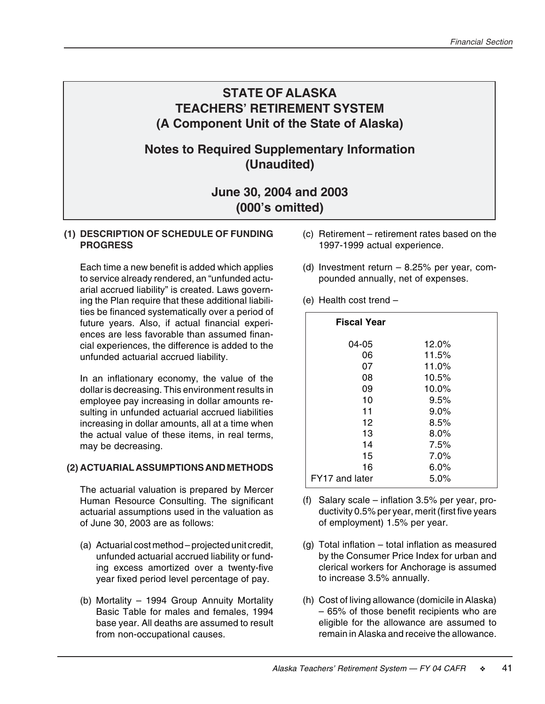## **Notes to Required Supplementary Information (Unaudited)**

## **June 30, 2004 and 2003 (000's omitted)**

#### **(1) DESCRIPTION OF SCHEDULE OF FUNDING PROGRESS**

Each time a new benefit is added which applies to service already rendered, an "unfunded actuarial accrued liability" is created. Laws governing the Plan require that these additional liabilities be financed systematically over a period of future years. Also, if actual financial experiences are less favorable than assumed financial experiences, the difference is added to the unfunded actuarial accrued liability.

In an inflationary economy, the value of the dollar is decreasing. This environment results in employee pay increasing in dollar amounts resulting in unfunded actuarial accrued liabilities increasing in dollar amounts, all at a time when the actual value of these items, in real terms, may be decreasing.

### **(2) ACTUARIAL ASSUMPTIONS AND METHODS**

The actuarial valuation is prepared by Mercer Human Resource Consulting. The significant actuarial assumptions used in the valuation as of June 30, 2003 are as follows:

- (a) Actuarial cost method projected unit credit, unfunded actuarial accrued liability or funding excess amortized over a twenty-five year fixed period level percentage of pay.
- (b) Mortality 1994 Group Annuity Mortality Basic Table for males and females, 1994 base year. All deaths are assumed to result from non-occupational causes.
- (c) Retirement retirement rates based on the 1997-1999 actual experience.
- (d) Investment return 8.25% per year, compounded annually, net of expenses.
- (e) Health cost trend –

| <b>Fiscal Year</b> |         |
|--------------------|---------|
| 04-05              | 12.0%   |
| 06                 | 11.5%   |
| 07                 | 11.0%   |
| 08                 | 10.5%   |
| 09                 | 10.0%   |
| 10                 | 9.5%    |
| 11                 | $9.0\%$ |
| 12                 | 8.5%    |
| 13                 | 8.0%    |
| 14                 | 7.5%    |
| 15                 | 7.0%    |
| 16                 | 6.0%    |
| FY17 and later     | 5.0%    |

- (f) Salary scale inflation 3.5% per year, productivity 0.5% per year, merit (first five years of employment) 1.5% per year.
- (g) Total inflation total inflation as measured by the Consumer Price Index for urban and clerical workers for Anchorage is assumed to increase 3.5% annually.
- (h) Cost of living allowance (domicile in Alaska) – 65% of those benefit recipients who are eligible for the allowance are assumed to remain in Alaska and receive the allowance.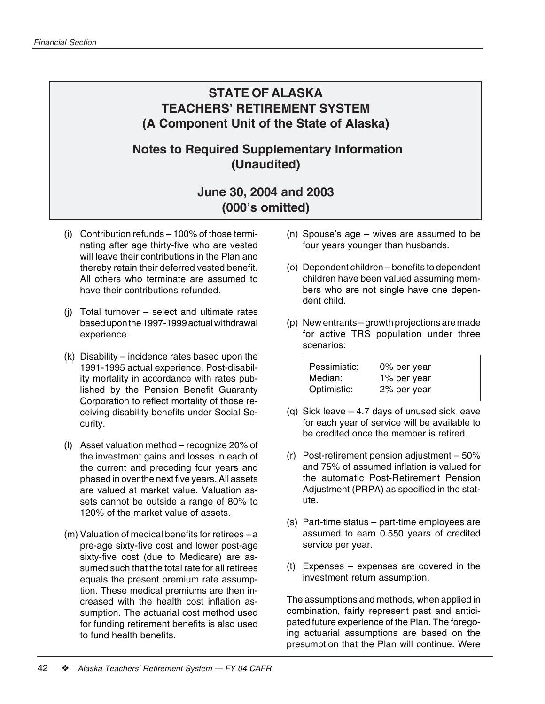**Notes to Required Supplementary Information (Unaudited)**

## **June 30, 2004 and 2003 (000's omitted)**

- (i) Contribution refunds 100% of those terminating after age thirty-five who are vested will leave their contributions in the Plan and thereby retain their deferred vested benefit. All others who terminate are assumed to have their contributions refunded.
- (j) Total turnover select and ultimate rates based upon the 1997-1999 actual withdrawal experience.
- (k) Disability incidence rates based upon the 1991-1995 actual experience. Post-disability mortality in accordance with rates published by the Pension Benefit Guaranty Corporation to reflect mortality of those receiving disability benefits under Social Security.
- (l) Asset valuation method recognize 20% of the investment gains and losses in each of the current and preceding four years and phased in over the next five years. All assets are valued at market value. Valuation assets cannot be outside a range of 80% to 120% of the market value of assets.
- (m) Valuation of medical benefits for retirees a pre-age sixty-five cost and lower post-age sixty-five cost (due to Medicare) are assumed such that the total rate for all retirees equals the present premium rate assumption. These medical premiums are then increased with the health cost inflation assumption. The actuarial cost method used for funding retirement benefits is also used to fund health benefits.
- (n) Spouse's age wives are assumed to be four years younger than husbands.
- (o) Dependent children benefits to dependent children have been valued assuming members who are not single have one dependent child.
- (p) New entrants growth projections are made for active TRS population under three scenarios:

| Pessimistic: | 0% per year |
|--------------|-------------|
| Median:      | 1% per year |
| Optimistic:  | 2% per year |

- (q) Sick leave 4.7 days of unused sick leave for each year of service will be available to be credited once the member is retired.
- (r) Post-retirement pension adjustment 50% and 75% of assumed inflation is valued for the automatic Post-Retirement Pension Adjustment (PRPA) as specified in the statute.
- (s) Part-time status part-time employees are assumed to earn 0.550 years of credited service per year.
- (t) Expenses expenses are covered in the investment return assumption.

The assumptions and methods, when applied in combination, fairly represent past and anticipated future experience of the Plan. The foregoing actuarial assumptions are based on the presumption that the Plan will continue. Were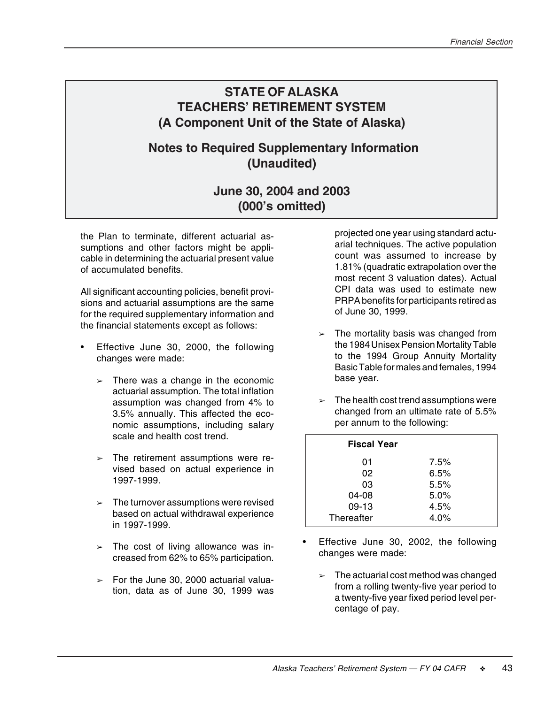### **Notes to Required Supplementary Information (Unaudited)**

### **June 30, 2004 and 2003 (000's omitted)**

the Plan to terminate, different actuarial assumptions and other factors might be applicable in determining the actuarial present value of accumulated benefits.

All significant accounting policies, benefit provisions and actuarial assumptions are the same for the required supplementary information and the financial statements except as follows:

- Effective June 30, 2000, the following changes were made:
	- $\geq$  There was a change in the economic actuarial assumption. The total inflation assumption was changed from 4% to 3.5% annually. This affected the economic assumptions, including salary scale and health cost trend.
	- $\geq$  The retirement assumptions were revised based on actual experience in 1997-1999.
	- $\geq$  The turnover assumptions were revised based on actual withdrawal experience in 1997-1999.
	- $\geq$  The cost of living allowance was increased from 62% to 65% participation.
	- $\geq$  For the June 30, 2000 actuarial valuation, data as of June 30, 1999 was

projected one year using standard actuarial techniques. The active population count was assumed to increase by 1.81% (quadratic extrapolation over the most recent 3 valuation dates). Actual CPI data was used to estimate new PRPA benefits for participants retired as of June 30, 1999.

- $\geq$  The mortality basis was changed from the 1984 Unisex Pension Mortality Table to the 1994 Group Annuity Mortality Basic Table for males and females, 1994 base year.
- $>$  The health cost trend assumptions were changed from an ultimate rate of 5.5% per annum to the following:

| <b>Fiscal Year</b> |         |
|--------------------|---------|
| 01                 | $7.5\%$ |
| 02                 | 6.5%    |
| 03                 | 5.5%    |
| 04-08              | 5.0%    |
| $09-13$            | 4.5%    |
| Thereafter         | 4.0%    |

- Effective June 30, 2002, the following changes were made:
	- $\geq$  The actuarial cost method was changed from a rolling twenty-five year period to a twenty-five year fixed period level percentage of pay.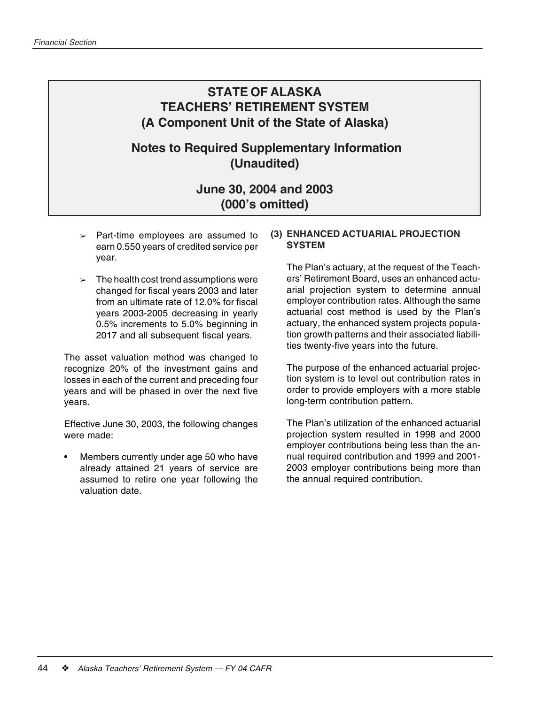**Notes to Required Supplementary Information (Unaudited)**

### **June 30, 2004 and 2003 (000's omitted)**

- $\geq$  Part-time employees are assumed to earn 0.550 years of credited service per year.
- $\geq$  The health cost trend assumptions were changed for fiscal years 2003 and later from an ultimate rate of 12.0% for fiscal years 2003-2005 decreasing in yearly 0.5% increments to 5.0% beginning in 2017 and all subsequent fiscal years.

The asset valuation method was changed to recognize 20% of the investment gains and losses in each of the current and preceding four years and will be phased in over the next five years.

Effective June 30, 2003, the following changes were made:

• Members currently under age 50 who have already attained 21 years of service are assumed to retire one year following the valuation date.

#### **(3) ENHANCED ACTUARIAL PROJECTION SYSTEM**

The Plan's actuary, at the request of the Teachers' Retirement Board, uses an enhanced actuarial projection system to determine annual employer contribution rates. Although the same actuarial cost method is used by the Plan's actuary, the enhanced system projects population growth patterns and their associated liabilities twenty-five years into the future.

The purpose of the enhanced actuarial projection system is to level out contribution rates in order to provide employers with a more stable long-term contribution pattern.

The Plan's utilization of the enhanced actuarial projection system resulted in 1998 and 2000 employer contributions being less than the annual required contribution and 1999 and 2001- 2003 employer contributions being more than the annual required contribution.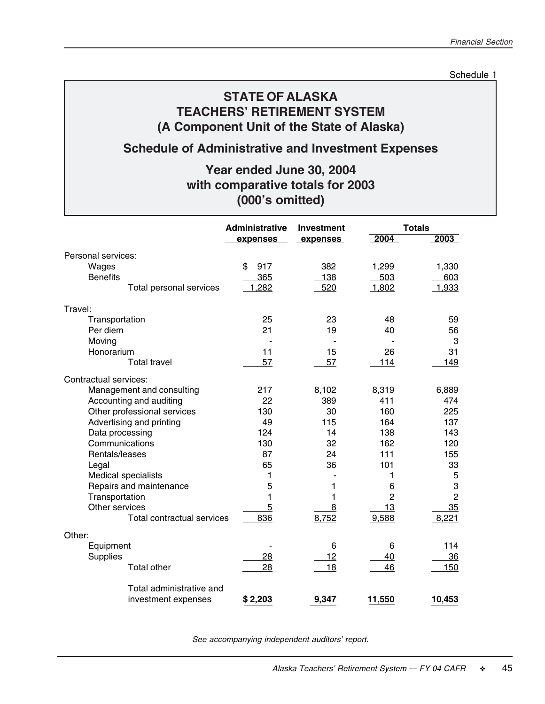Schedule 1

## **STATE OF ALASKA TEACHERS' RETIREMENT SYSTEM (A Component Unit of the State of Alaska)**

## **Schedule of Administrative and Investment Expenses**

### **Year ended June 30, 2004 with comparative totals for 2003 (000's omitted)**

|                                   | <b>Administrative</b> | <b>Investment</b> |        | <b>Totals</b>  |
|-----------------------------------|-----------------------|-------------------|--------|----------------|
|                                   | expenses              | expenses          | 2004   | 2003           |
| Personal services:                |                       |                   |        |                |
| Wages                             | \$<br>917             | 382               | 1,299  | 1,330          |
| <b>Benefits</b>                   | 365                   | 138               | 503    | 603            |
| Total personal services           | 1,282                 | 520               | 1,802  | 1,933          |
| Travel:                           |                       |                   |        |                |
| Transportation                    | 25                    | 23                | 48     | 59             |
| Per diem                          | 21                    | 19                | 40     | 56             |
| Moving                            |                       |                   |        | 3              |
| Honorarium                        | 11                    | <u> 15</u>        | 26     | 31             |
| <b>Total travel</b>               | 57                    | 57                | 114    | 149            |
| Contractual services:             |                       |                   |        |                |
| Management and consulting         | 217                   | 8,102             | 8,319  | 6,889          |
| Accounting and auditing           | 22                    | 389               | 411    | 474            |
| Other professional services       | 130                   | 30                | 160    | 225            |
| Advertising and printing          | 49                    | 115               | 164    | 137            |
| Data processing                   | 124                   | 14                | 138    | 143            |
| Communications                    | 130                   | 32                | 162    | 120            |
| Rentals/leases                    | 87                    | 24                | 111    | 155            |
| Legal                             | 65                    | 36                | 101    | 33             |
| <b>Medical specialists</b>        | 1                     |                   | 1      | 5              |
| Repairs and maintenance           | 5                     | 1                 | 6      | 3              |
| Transportation                    | 1                     | 1                 | 2      | $\overline{2}$ |
| Other services                    | 5                     | 8                 | 13     | 35             |
| <b>Total contractual services</b> | 836                   | 8,752             | 9,588  | 8,221          |
| Other:                            |                       |                   |        |                |
| Equipment                         |                       | 6                 | 6      | 114            |
| Supplies                          | 28                    | 12                | 40     | 36             |
| <b>Total other</b>                | 28                    | 18                | 46     | 150            |
| Total administrative and          |                       |                   |        |                |
| investment expenses               | \$2,203               | 9,347             | 11,550 | 10,453         |

See accompanying independent auditors' report.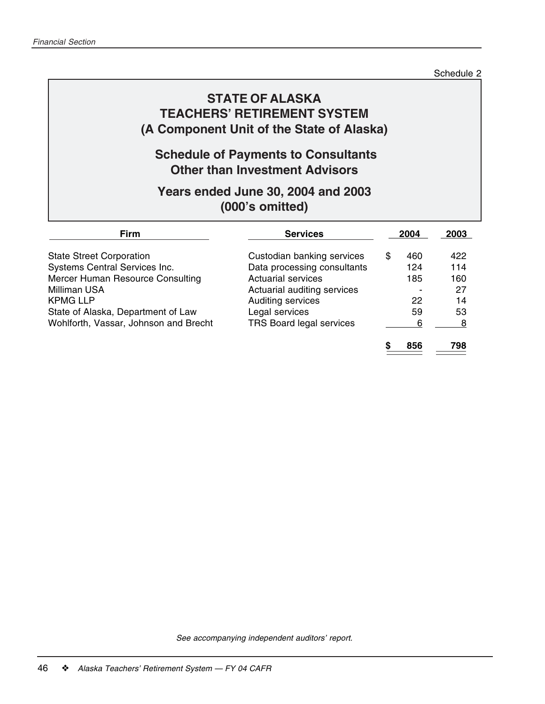Schedule 2

## **STATE OF ALASKA TEACHERS' RETIREMENT SYSTEM (A Component Unit of the State of Alaska)**

### **Schedule of Payments to Consultants Other than Investment Advisors**

### **Years ended June 30, 2004 and 2003 (000's omitted)**

| <b>Firm</b>                           | <b>Services</b>                 |   | 2004 | 2003 |
|---------------------------------------|---------------------------------|---|------|------|
| <b>State Street Corporation</b>       | Custodian banking services      | S | 460  | 422  |
| Systems Central Services Inc.         | Data processing consultants     |   | 124  | 114  |
| Mercer Human Resource Consulting      | <b>Actuarial services</b>       |   | 185  | 160  |
| Milliman USA                          | Actuarial auditing services     |   |      | 27   |
| <b>KPMG LLP</b>                       | Auditing services               |   | 22   | 14   |
| State of Alaska, Department of Law    | Legal services                  |   | 59   | 53   |
| Wohlforth, Vassar, Johnson and Brecht | <b>TRS Board legal services</b> |   | 6    |      |
|                                       |                                 |   | 856  | 798  |

See accompanying independent auditors' report.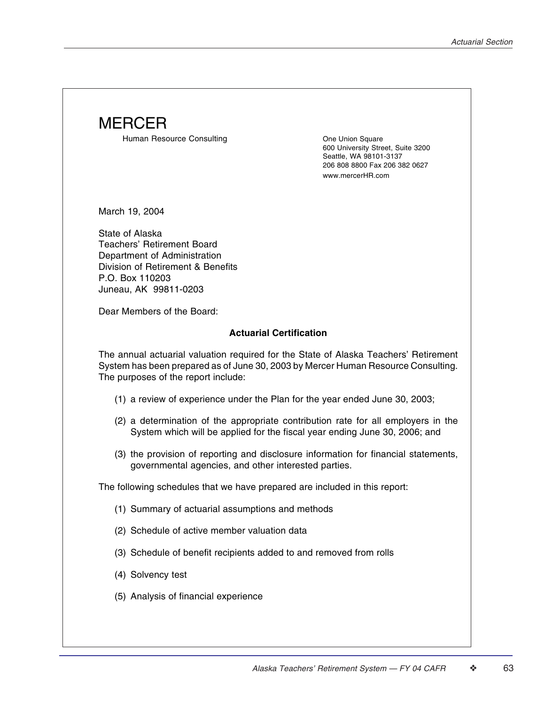# **MERCER**

Human Resource Consulting **Consulting** Consulting Consulting Consulting **One Union Square** 

600 University Street, Suite 3200 Seattle, WA 98101-3137 206 808 8800 Fax 206 382 0627 www.mercerHR.com

March 19, 2004

State of Alaska Teachers' Retirement Board Department of Administration Division of Retirement & Benefits P.O. Box 110203 Juneau, AK 99811-0203

Dear Members of the Board:

#### **Actuarial Certification**

The annual actuarial valuation required for the State of Alaska Teachers' Retirement System has been prepared as of June 30, 2003 by Mercer Human Resource Consulting. The purposes of the report include:

- (1) a review of experience under the Plan for the year ended June 30, 2003;
- (2) a determination of the appropriate contribution rate for all employers in the System which will be applied for the fiscal year ending June 30, 2006; and
- (3) the provision of reporting and disclosure information for financial statements, governmental agencies, and other interested parties.

The following schedules that we have prepared are included in this report:

- (1) Summary of actuarial assumptions and methods
- (2) Schedule of active member valuation data
- (3) Schedule of benefit recipients added to and removed from rolls
- (4) Solvency test
- (5) Analysis of financial experience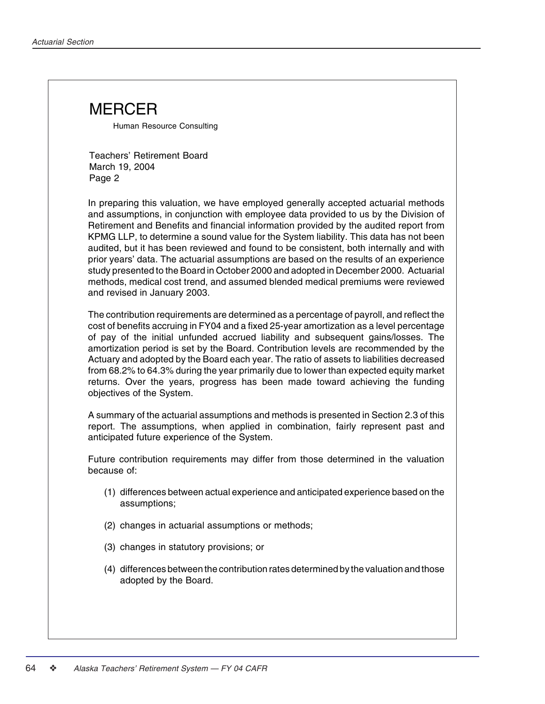# **MERCER**

Human Resource Consulting

Teachers' Retirement Board March 19, 2004 Page 2

In preparing this valuation, we have employed generally accepted actuarial methods and assumptions, in conjunction with employee data provided to us by the Division of Retirement and Benefits and financial information provided by the audited report from KPMG LLP, to determine a sound value for the System liability. This data has not been audited, but it has been reviewed and found to be consistent, both internally and with prior years' data. The actuarial assumptions are based on the results of an experience study presented to the Board in October 2000 and adopted in December 2000. Actuarial methods, medical cost trend, and assumed blended medical premiums were reviewed and revised in January 2003.

The contribution requirements are determined as a percentage of payroll, and reflect the cost of benefits accruing in FY04 and a fixed 25-year amortization as a level percentage of pay of the initial unfunded accrued liability and subsequent gains/losses. The amortization period is set by the Board. Contribution levels are recommended by the Actuary and adopted by the Board each year. The ratio of assets to liabilities decreased from 68.2% to 64.3% during the year primarily due to lower than expected equity market returns. Over the years, progress has been made toward achieving the funding objectives of the System.

A summary of the actuarial assumptions and methods is presented in Section 2.3 of this report. The assumptions, when applied in combination, fairly represent past and anticipated future experience of the System.

Future contribution requirements may differ from those determined in the valuation because of:

- (1) differences between actual experience and anticipated experience based on the assumptions;
- (2) changes in actuarial assumptions or methods;
- (3) changes in statutory provisions; or
- (4) differences between the contribution rates determined by the valuation and those adopted by the Board.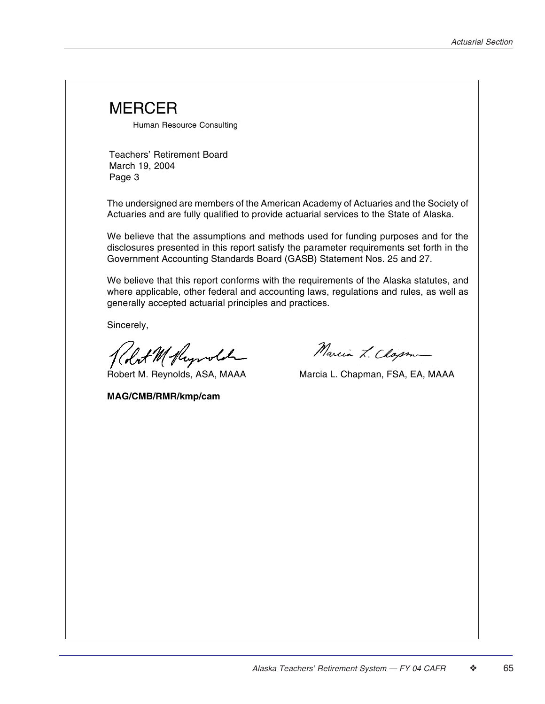# **MERCER**

Human Resource Consulting

Teachers' Retirement Board March 19, 2004 Page 3

The undersigned are members of the American Academy of Actuaries and the Society of Actuaries and are fully qualified to provide actuarial services to the State of Alaska.

We believe that the assumptions and methods used for funding purposes and for the disclosures presented in this report satisfy the parameter requirements set forth in the Government Accounting Standards Board (GASB) Statement Nos. 25 and 27.

We believe that this report conforms with the requirements of the Alaska statutes, and where applicable, other federal and accounting laws, regulations and rules, as well as generally accepted actuarial principles and practices.

Sincerely,

Int M Huywold

**MAG/CMB/RMR/kmp/cam**

Marcia L. Clapm

Robert M. Reynolds, ASA, MAAA Marcia L. Chapman, FSA, EA, MAAA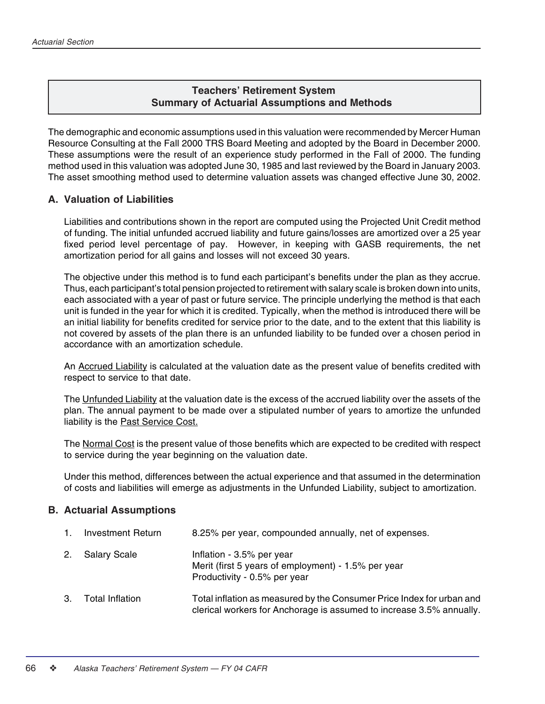### **Teachers' Retirement System Summary of Actuarial Assumptions and Methods**

The demographic and economic assumptions used in this valuation were recommended by Mercer Human Resource Consulting at the Fall 2000 TRS Board Meeting and adopted by the Board in December 2000. These assumptions were the result of an experience study performed in the Fall of 2000. The funding method used in this valuation was adopted June 30, 1985 and last reviewed by the Board in January 2003. The asset smoothing method used to determine valuation assets was changed effective June 30, 2002.

### **A. Valuation of Liabilities**

Liabilities and contributions shown in the report are computed using the Projected Unit Credit method of funding. The initial unfunded accrued liability and future gains/losses are amortized over a 25 year fixed period level percentage of pay. However, in keeping with GASB requirements, the net amortization period for all gains and losses will not exceed 30 years.

The objective under this method is to fund each participant's benefits under the plan as they accrue. Thus, each participant's total pension projected to retirement with salary scale is broken down into units, each associated with a year of past or future service. The principle underlying the method is that each unit is funded in the year for which it is credited. Typically, when the method is introduced there will be an initial liability for benefits credited for service prior to the date, and to the extent that this liability is not covered by assets of the plan there is an unfunded liability to be funded over a chosen period in accordance with an amortization schedule.

An Accrued Liability is calculated at the valuation date as the present value of benefits credited with respect to service to that date.

The Unfunded Liability at the valuation date is the excess of the accrued liability over the assets of the plan. The annual payment to be made over a stipulated number of years to amortize the unfunded liability is the Past Service Cost.

The Normal Cost is the present value of those benefits which are expected to be credited with respect to service during the year beginning on the valuation date.

Under this method, differences between the actual experience and that assumed in the determination of costs and liabilities will emerge as adjustments in the Unfunded Liability, subject to amortization.

#### **B. Actuarial Assumptions**

| $\mathbf{1}$ . | <b>Investment Return</b> | 8.25% per year, compounded annually, net of expenses.                                                                                         |
|----------------|--------------------------|-----------------------------------------------------------------------------------------------------------------------------------------------|
| 2.             | Salary Scale             | Inflation - 3.5% per year<br>Merit (first 5 years of employment) - 1.5% per year<br>Productivity - 0.5% per year                              |
| 3.             | <b>Total Inflation</b>   | Total inflation as measured by the Consumer Price Index for urban and<br>clerical workers for Anchorage is assumed to increase 3.5% annually. |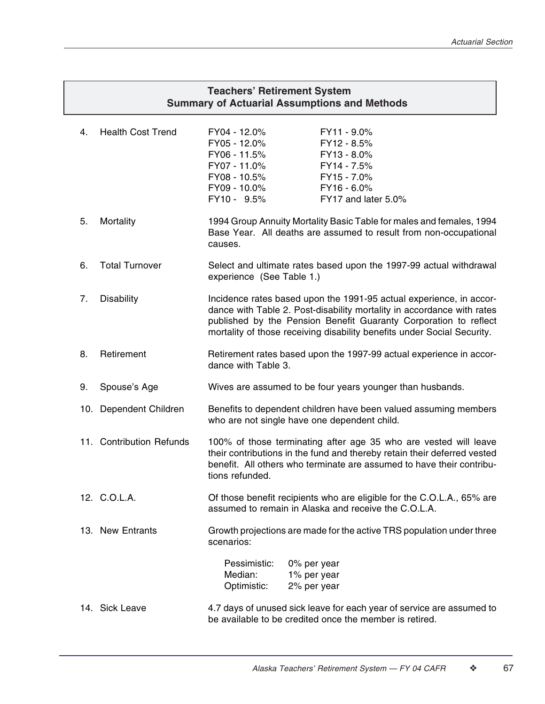## 4. Health Cost Trend FY04 - 12.0% FY11 - 9.0% FY05 - 12.0% FY12 - 8.5% FY06 - 11.5% FY13 - 8.0% FY07 - 11.0% FY14 - 7.5% FY08 - 10.5% FY15 - 7.0% FY09 - 10.0% FY16 - 6.0% FY10 - 9.5% FY17 and later 5.0% 5. Mortality 1994 Group Annuity Mortality Basic Table for males and females, 1994 Base Year. All deaths are assumed to result from non-occupational causes. 6. Total Turnover Select and ultimate rates based upon the 1997-99 actual withdrawal experience (See Table 1.) 7. Disability Incidence rates based upon the 1991-95 actual experience, in accordance with Table 2. Post-disability mortality in accordance with rates published by the Pension Benefit Guaranty Corporation to reflect mortality of those receiving disability benefits under Social Security. 8. Retirement Retirement rates based upon the 1997-99 actual experience in accordance with Table 3. 9. Spouse's Age Wives are assumed to be four years younger than husbands. 10. Dependent Children Benefits to dependent children have been valued assuming members who are not single have one dependent child. 11. Contribution Refunds 100% of those terminating after age 35 who are vested will leave their contributions in the fund and thereby retain their deferred vested benefit. All others who terminate are assumed to have their contributions refunded. 12. C.O.L.A. Of those benefit recipients who are eligible for the C.O.L.A., 65% are assumed to remain in Alaska and receive the C.O.L.A. 13. New Entrants Growth projections are made for the active TRS population under three scenarios: Pessimistic: 0% per year Median: 1% per year Optimistic: 2% per year 14. Sick Leave 4.7 days of unused sick leave for each year of service are assumed to be available to be credited once the member is retired. **Teachers' Retirement System Summary of Actuarial Assumptions and Methods**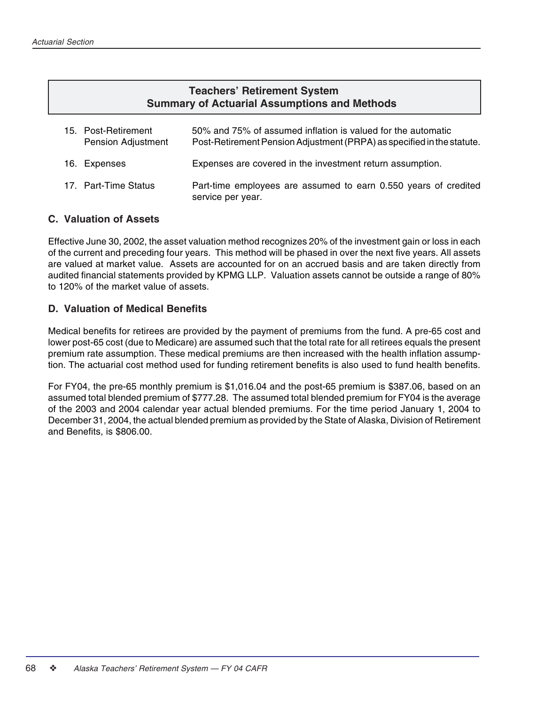### **Teachers' Retirement System Summary of Actuarial Assumptions and Methods**

| 15. Post-Retirement<br>Pension Adjustment | 50% and 75% of assumed inflation is valued for the automatic<br>Post-Retirement Pension Adjustment (PRPA) as specified in the statute. |
|-------------------------------------------|----------------------------------------------------------------------------------------------------------------------------------------|
| 16. Expenses                              | Expenses are covered in the investment return assumption.                                                                              |
| 17. Part-Time Status                      | Part-time employees are assumed to earn 0.550 years of credited<br>service per year.                                                   |

### **C. Valuation of Assets**

Effective June 30, 2002, the asset valuation method recognizes 20% of the investment gain or loss in each of the current and preceding four years. This method will be phased in over the next five years. All assets are valued at market value. Assets are accounted for on an accrued basis and are taken directly from audited financial statements provided by KPMG LLP. Valuation assets cannot be outside a range of 80% to 120% of the market value of assets.

### **D. Valuation of Medical Benefits**

Medical benefits for retirees are provided by the payment of premiums from the fund. A pre-65 cost and lower post-65 cost (due to Medicare) are assumed such that the total rate for all retirees equals the present premium rate assumption. These medical premiums are then increased with the health inflation assumption. The actuarial cost method used for funding retirement benefits is also used to fund health benefits.

For FY04, the pre-65 monthly premium is \$1,016.04 and the post-65 premium is \$387.06, based on an assumed total blended premium of \$777.28. The assumed total blended premium for FY04 is the average of the 2003 and 2004 calendar year actual blended premiums. For the time period January 1, 2004 to December 31, 2004, the actual blended premium as provided by the State of Alaska, Division of Retirement and Benefits, is \$806.00.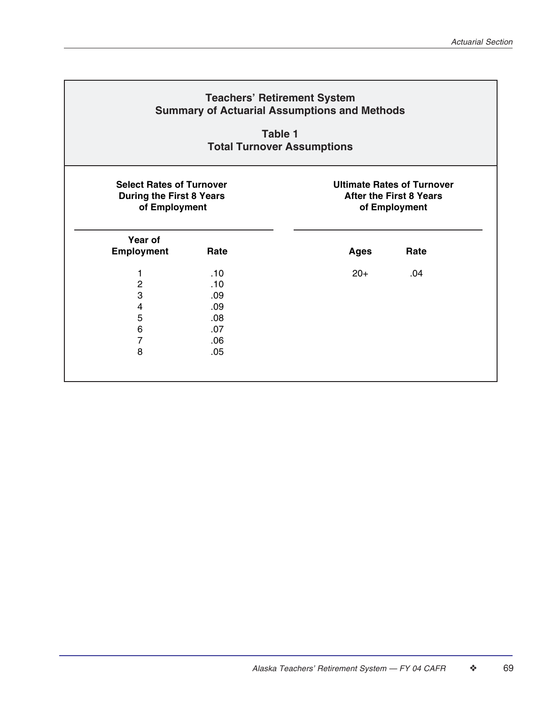| <b>Teachers' Retirement System</b><br><b>Summary of Actuarial Assumptions and Methods</b><br><b>Table 1</b><br><b>Total Turnover Assumptions</b> |                                                      |                                                                                      |      |  |  |  |  |
|--------------------------------------------------------------------------------------------------------------------------------------------------|------------------------------------------------------|--------------------------------------------------------------------------------------|------|--|--|--|--|
| <b>Select Rates of Turnover</b><br><b>During the First 8 Years</b><br>of Employment                                                              |                                                      | <b>Ultimate Rates of Turnover</b><br><b>After the First 8 Years</b><br>of Employment |      |  |  |  |  |
| Year of<br><b>Employment</b>                                                                                                                     | Rate                                                 | <b>Ages</b>                                                                          | Rate |  |  |  |  |
| 1<br>$\overline{c}$<br>3<br>$\overline{\mathbf{4}}$<br>5<br>6<br>$\overline{7}$<br>8                                                             | .10<br>.10<br>.09<br>.09<br>.08<br>.07<br>.06<br>.05 | $20+$                                                                                | .04  |  |  |  |  |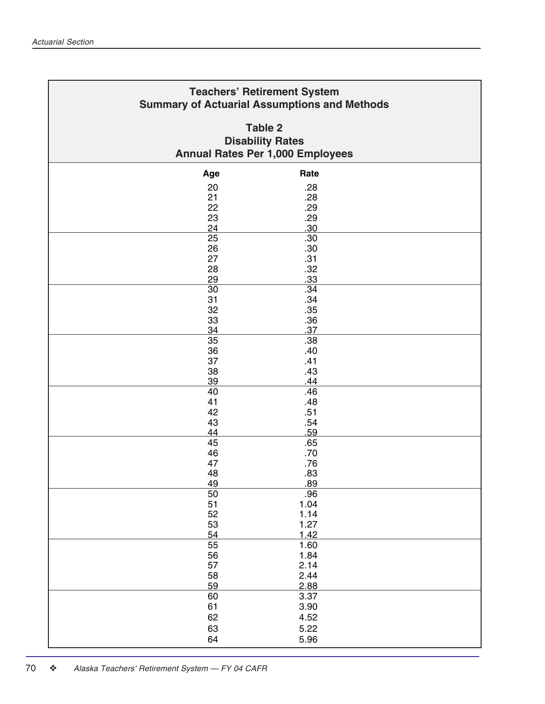| <b>Teachers' Retirement System</b><br><b>Summary of Actuarial Assumptions and Methods</b> |              |  |  |  |  |  |
|-------------------------------------------------------------------------------------------|--------------|--|--|--|--|--|
| <b>Table 2</b><br><b>Disability Rates</b><br><b>Annual Rates Per 1,000 Employees</b>      |              |  |  |  |  |  |
| Age                                                                                       | Rate         |  |  |  |  |  |
| 20                                                                                        | .28          |  |  |  |  |  |
| 21                                                                                        | .28          |  |  |  |  |  |
| 22                                                                                        | .29          |  |  |  |  |  |
| 23                                                                                        | .29          |  |  |  |  |  |
| 24                                                                                        | .30          |  |  |  |  |  |
| 25                                                                                        | .30          |  |  |  |  |  |
| 26                                                                                        | .30          |  |  |  |  |  |
| 27                                                                                        | .31          |  |  |  |  |  |
| 28                                                                                        | .32          |  |  |  |  |  |
| 29                                                                                        | .33          |  |  |  |  |  |
| $\overline{30}$                                                                           | .34          |  |  |  |  |  |
| 31                                                                                        | .34          |  |  |  |  |  |
| 32                                                                                        | .35          |  |  |  |  |  |
| 33                                                                                        | .36          |  |  |  |  |  |
| 34                                                                                        | .37          |  |  |  |  |  |
| 35                                                                                        | .38          |  |  |  |  |  |
| 36                                                                                        | .40          |  |  |  |  |  |
| 37                                                                                        | .41          |  |  |  |  |  |
| 38                                                                                        | .43          |  |  |  |  |  |
| 39                                                                                        | .44          |  |  |  |  |  |
| 40                                                                                        | .46          |  |  |  |  |  |
| 41                                                                                        | .48          |  |  |  |  |  |
| 42                                                                                        | .51          |  |  |  |  |  |
| 43                                                                                        | .54          |  |  |  |  |  |
| 44                                                                                        | .59          |  |  |  |  |  |
| 45                                                                                        | .65          |  |  |  |  |  |
| 46                                                                                        | .70          |  |  |  |  |  |
| 47                                                                                        | .76          |  |  |  |  |  |
| 48                                                                                        | .83          |  |  |  |  |  |
| 49                                                                                        | .89          |  |  |  |  |  |
| 50                                                                                        | .96          |  |  |  |  |  |
| 51                                                                                        | 1.04         |  |  |  |  |  |
| 52                                                                                        | 1.14         |  |  |  |  |  |
| 53                                                                                        | 1.27         |  |  |  |  |  |
| 54                                                                                        | 1.42         |  |  |  |  |  |
| 55                                                                                        | 1.60         |  |  |  |  |  |
| 56                                                                                        | 1.84         |  |  |  |  |  |
| 57                                                                                        | 2.14<br>2.44 |  |  |  |  |  |
| 58<br>59                                                                                  | 2.88         |  |  |  |  |  |
| 60                                                                                        | 3.37         |  |  |  |  |  |
| 61                                                                                        | $3.90\,$     |  |  |  |  |  |
|                                                                                           |              |  |  |  |  |  |
| 62                                                                                        | 4.52         |  |  |  |  |  |
| 63                                                                                        | 5.22         |  |  |  |  |  |
| 64                                                                                        | 5.96         |  |  |  |  |  |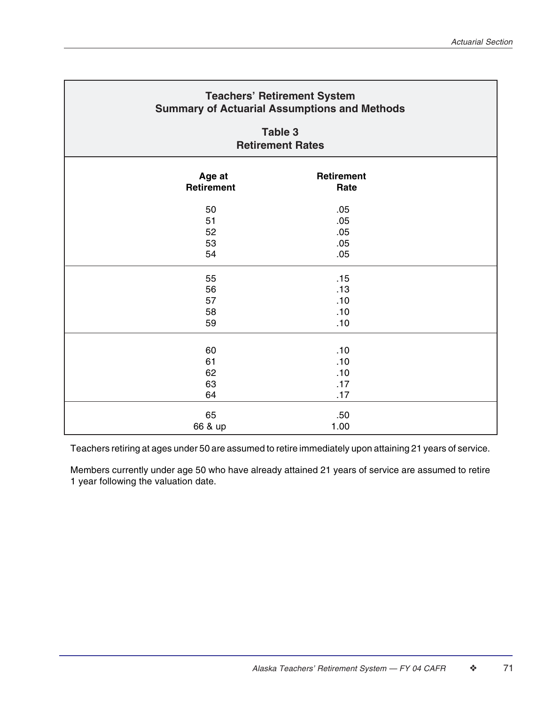| <b>Teachers' Retirement System</b><br><b>Summary of Actuarial Assumptions and Methods</b><br>Table 3<br><b>Retirement Rates</b> |                           |  |  |  |  |
|---------------------------------------------------------------------------------------------------------------------------------|---------------------------|--|--|--|--|
|                                                                                                                                 |                           |  |  |  |  |
| Age at<br><b>Retirement</b>                                                                                                     | <b>Retirement</b><br>Rate |  |  |  |  |
| 50                                                                                                                              | .05                       |  |  |  |  |
| 51                                                                                                                              | .05                       |  |  |  |  |
| 52                                                                                                                              | .05                       |  |  |  |  |
| 53                                                                                                                              | .05                       |  |  |  |  |
| 54                                                                                                                              | .05                       |  |  |  |  |
| 55                                                                                                                              | .15                       |  |  |  |  |
| 56                                                                                                                              | .13                       |  |  |  |  |
| 57                                                                                                                              | .10                       |  |  |  |  |
| 58                                                                                                                              | .10                       |  |  |  |  |
| 59                                                                                                                              | .10                       |  |  |  |  |
|                                                                                                                                 |                           |  |  |  |  |
| 60<br>61                                                                                                                        | .10<br>.10                |  |  |  |  |
| 62                                                                                                                              | .10                       |  |  |  |  |
| 63                                                                                                                              | .17                       |  |  |  |  |
| 64                                                                                                                              | .17                       |  |  |  |  |
|                                                                                                                                 |                           |  |  |  |  |
| 65                                                                                                                              | .50                       |  |  |  |  |
| 66 & up                                                                                                                         | 1.00                      |  |  |  |  |

Teachers retiring at ages under 50 are assumed to retire immediately upon attaining 21 years of service.

Members currently under age 50 who have already attained 21 years of service are assumed to retire 1 year following the valuation date.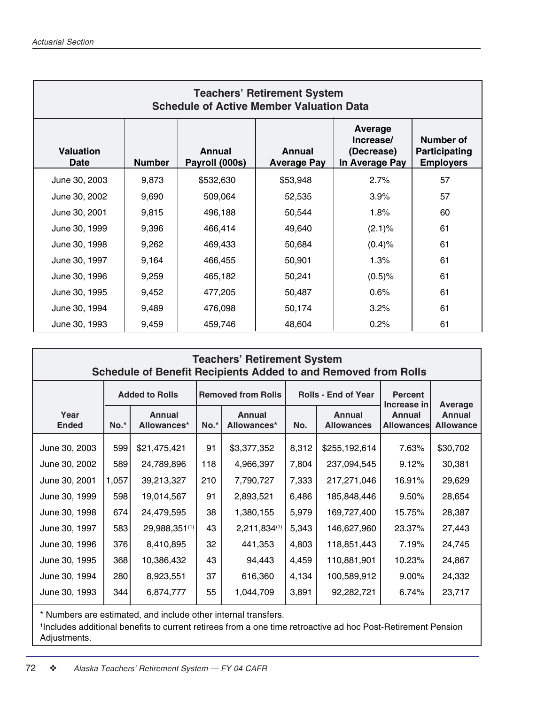| <b>Teachers' Retirement System</b><br><b>Schedule of Active Member Valuation Data</b> |               |                          |                              |                                                             |                                                |  |  |  |  |
|---------------------------------------------------------------------------------------|---------------|--------------------------|------------------------------|-------------------------------------------------------------|------------------------------------------------|--|--|--|--|
| <b>Valuation</b><br><b>Date</b>                                                       | <b>Number</b> | Annual<br>Payroll (000s) | Annual<br><b>Average Pay</b> | <b>Average</b><br>Increase/<br>(Decrease)<br>In Average Pay | Number of<br>Participating<br><b>Employers</b> |  |  |  |  |
| June 30, 2003                                                                         | 9,873         | \$532,630                | \$53,948                     | 2.7%                                                        | 57                                             |  |  |  |  |
| June 30, 2002                                                                         | 9,690         | 509,064                  | 52,535                       | $3.9\%$                                                     | 57                                             |  |  |  |  |
| June 30, 2001                                                                         | 9,815         | 496,188                  | 50,544                       | 1.8%                                                        | 60                                             |  |  |  |  |
| June 30, 1999                                                                         | 9,396         | 466,414                  | 49,640                       | (2.1)%                                                      | 61                                             |  |  |  |  |
| June 30, 1998                                                                         | 9,262         | 469,433                  | 50,684                       | (0.4)%                                                      | 61                                             |  |  |  |  |
| June 30, 1997                                                                         | 9,164         | 466,455                  | 50,901                       | 1.3%                                                        | 61                                             |  |  |  |  |
| June 30, 1996                                                                         | 9,259         | 465,182                  | 50,241                       | (0.5)%                                                      | 61                                             |  |  |  |  |
| June 30, 1995                                                                         | 9,452         | 477,205                  | 50,487                       | 0.6%                                                        | 61                                             |  |  |  |  |
| June 30, 1994                                                                         | 9,489         | 476,098                  | 50,174                       | 3.2%                                                        | 61                                             |  |  |  |  |
| June 30, 1993                                                                         | 9,459         | 459,746                  | 48,604                       | 0.2%                                                        | 61                                             |  |  |  |  |

| <b>Teachers' Retirement System</b><br><b>Schedule of Benefit Recipients Added to and Removed from Rolls</b> |       |                           |        |                            |       |                                    |                                            |                                       |  |  |
|-------------------------------------------------------------------------------------------------------------|-------|---------------------------|--------|----------------------------|-------|------------------------------------|--------------------------------------------|---------------------------------------|--|--|
| <b>Added to Rolls</b><br>Year<br>Annual<br><b>Ended</b><br>No.*<br>Allowances*                              |       | <b>Removed from Rolls</b> |        | <b>Rolls - End of Year</b> |       | <b>Percent</b>                     |                                            |                                       |  |  |
|                                                                                                             |       |                           | $No.*$ | Annual<br>Allowances*      | No.   | <b>Annual</b><br><b>Allowances</b> | Increase in<br>Annual<br><b>Allowances</b> | Average<br>Annual<br><b>Allowance</b> |  |  |
| June 30, 2003                                                                                               | 599   | \$21,475,421              | 91     | \$3,377,352                | 8,312 | \$255,192,614                      | 7.63%                                      | \$30,702                              |  |  |
| June 30, 2002                                                                                               | 589   | 24,789,896                | 118    | 4,966,397                  | 7,804 | 237,094,545                        | 9.12%                                      | 30,381                                |  |  |
| June 30, 2001                                                                                               | 1,057 | 39,213,327                | 210    | 7,790,727                  | 7,333 | 217,271,046                        | 16.91%                                     | 29,629                                |  |  |
| June 30, 1999                                                                                               | 598   | 19,014,567                | 91     | 2,893,521                  | 6,486 | 185,848,446                        | 9.50%                                      | 28,654                                |  |  |
| June 30, 1998                                                                                               | 674   | 24,479,595                | 38     | 1,380,155                  | 5,979 | 169,727,400                        | 15.75%                                     | 28,387                                |  |  |
| June 30, 1997                                                                                               | 583   | 29,988,351(1)             | 43     | $2,211,834^{(1)}$          | 5,343 | 146,627,960                        | 23.37%                                     | 27,443                                |  |  |
| June 30, 1996                                                                                               | 376   | 8,410,895                 | 32     | 441,353                    | 4,803 | 118,851,443                        | 7.19%                                      | 24,745                                |  |  |
| June 30, 1995                                                                                               | 368   | 10,386,432                | 43     | 94,443                     | 4,459 | 110,881,901                        | 10.23%                                     | 24,867                                |  |  |
| June 30, 1994                                                                                               | 280   | 8,923,551                 | 37     | 616,360                    | 4,134 | 100,589,912                        | 9.00%                                      | 24,332                                |  |  |
| June 30, 1993                                                                                               | 344   | 6,874,777                 | 55     | 1,044,709                  | 3,891 | 92,282,721                         | 6.74%                                      | 23,717                                |  |  |

\* Numbers are estimated, and include other internal transfers.

1 Includes additional benefits to current retirees from a one time retroactive ad hoc Post-Retirement Pension Adjustments.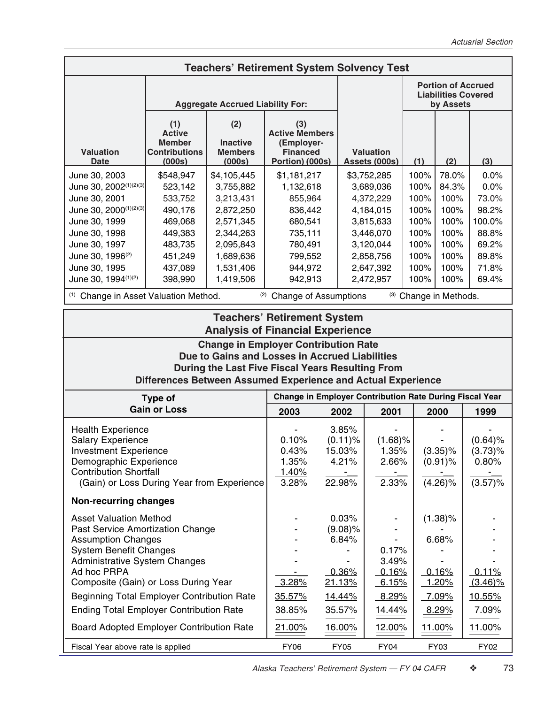| <b>Teachers' Retirement System Solvency Test</b>                                                                                                                                                                                                                                                   |                                                                                                                               |                                                                                         |                                                                                  |                                                          |                                                                                         |                                                      |                                                                      |                                                             |  |
|----------------------------------------------------------------------------------------------------------------------------------------------------------------------------------------------------------------------------------------------------------------------------------------------------|-------------------------------------------------------------------------------------------------------------------------------|-----------------------------------------------------------------------------------------|----------------------------------------------------------------------------------|----------------------------------------------------------|-----------------------------------------------------------------------------------------|------------------------------------------------------|----------------------------------------------------------------------|-------------------------------------------------------------|--|
|                                                                                                                                                                                                                                                                                                    | <b>Aggregate Accrued Liability For:</b>                                                                                       |                                                                                         |                                                                                  |                                                          |                                                                                         |                                                      | <b>Portion of Accrued</b><br><b>Liabilities Covered</b><br>by Assets |                                                             |  |
| <b>Valuation</b><br><b>Date</b>                                                                                                                                                                                                                                                                    | (1)<br>(2)<br><b>Active</b><br><b>Inactive</b><br><b>Member</b><br><b>Contributions</b><br><b>Members</b><br>(000s)<br>(000s) |                                                                                         | (3)<br><b>Active Members</b><br>(Employer-<br><b>Financed</b><br>Portion) (000s) |                                                          | <b>Valuation</b><br>Assets (000s)                                                       | (1)                                                  | (2)                                                                  | (3)                                                         |  |
| June 30, 2003                                                                                                                                                                                                                                                                                      | \$548,947                                                                                                                     | \$4,105,445                                                                             | \$1,181,217                                                                      |                                                          | \$3,752,285                                                                             | 100%                                                 | 78.0%                                                                | 0.0%                                                        |  |
| June 30, 2002(1)(2)(3)<br>June 30, 2001<br>June 30, 2000(1)(2)(3)<br>June 30, 1999<br>June 30, 1998<br>June 30, 1997<br>June 30, 1996 <sup>(2)</sup>                                                                                                                                               | 523,142<br>533,752<br>490,176<br>469,068<br>449,383<br>483,735<br>451,249                                                     | 3,755,882<br>3,213,431<br>2,872,250<br>2,571,345<br>2,344,263<br>2,095,843<br>1,689,636 | 1,132,618<br>855,964<br>836,442<br>680,541<br>735,111<br>780,491<br>799,552      |                                                          | 3,689,036<br>4,372,229<br>4,184,015<br>3,815,633<br>3,446,070<br>3,120,044<br>2,858,756 | 100%<br>100%<br>100%<br>100%<br>100%<br>100%<br>100% | 84.3%<br>100%<br>100%<br>100%<br>100%<br>100%<br>100%                | 0.0%<br>73.0%<br>98.2%<br>100.0%<br>88.8%<br>69.2%<br>89.8% |  |
| June 30, 1995                                                                                                                                                                                                                                                                                      | 437,089                                                                                                                       | 1,531,406                                                                               | 944,972                                                                          |                                                          | 2,647,392                                                                               | 100%                                                 | 100%                                                                 | 71.8%                                                       |  |
| June 30, 1994(1)(2)                                                                                                                                                                                                                                                                                | 398,990                                                                                                                       | 1,419,506                                                                               | 942,913                                                                          |                                                          | 2,472,957                                                                               | 100%                                                 | 100%                                                                 | 69.4%                                                       |  |
| <sup>(1)</sup> Change in Asset Valuation Method.                                                                                                                                                                                                                                                   |                                                                                                                               |                                                                                         | <sup>(2)</sup> Change of Assumptions                                             |                                                          |                                                                                         | (3) Change in Methods.                               |                                                                      |                                                             |  |
| <b>Teachers' Retirement System</b><br><b>Analysis of Financial Experience</b><br><b>Change in Employer Contribution Rate</b><br>Due to Gains and Losses in Accrued Liabilities<br>During the Last Five Fiscal Years Resulting From<br>Differences Between Assumed Experience and Actual Experience |                                                                                                                               |                                                                                         |                                                                                  |                                                          |                                                                                         |                                                      |                                                                      |                                                             |  |
|                                                                                                                                                                                                                                                                                                    | Type of                                                                                                                       |                                                                                         |                                                                                  |                                                          | Change in Employer Contribution Rate During Fiscal Year                                 |                                                      |                                                                      |                                                             |  |
| <b>Gain or Loss</b><br><b>Health Experience</b><br><b>Salary Experience</b><br><b>Investment Experience</b><br>Demographic Experience<br><b>Contribution Shortfall</b><br>(Gain) or Loss During Year from Experience                                                                               |                                                                                                                               |                                                                                         | 2003<br>0.10%<br>0.43%<br>1.35%<br>1.40%<br>3.28%                                | 2002<br>3.85%<br>$(0.11)\%$<br>15.03%<br>4.21%<br>22.98% | 2001<br>(1.68)%<br>1.35%<br>2.66%<br>$\sim$<br>2.33%                                    |                                                      | 2000<br>$(3.35)\%$<br>$(0.91)$ %<br>$(4.26)\%$                       | 1999<br>$(0.64)$ %<br>(3.73)%<br>0.80%<br>(3.57)%           |  |
| <b>Non-recurring changes</b>                                                                                                                                                                                                                                                                       |                                                                                                                               |                                                                                         |                                                                                  |                                                          |                                                                                         |                                                      |                                                                      |                                                             |  |
| <b>Asset Valuation Method</b><br>Past Service Amortization Change<br><b>Assumption Changes</b><br><b>System Benefit Changes</b><br>Administrative System Changes<br>Ad hoc PRPA                                                                                                                    |                                                                                                                               | 0.03%<br>$(9.08)\%$<br>6.84%<br>0.36%                                                   | 0.17%<br>3.49%<br>0.16%                                                          |                                                          | $(1.38)\%$<br>6.68%<br>0.16%                                                            | 0.11%                                                |                                                                      |                                                             |  |
| Composite (Gain) or Loss During Year                                                                                                                                                                                                                                                               |                                                                                                                               |                                                                                         | 3.28%                                                                            | <u>21.13%</u>                                            | 6.15%                                                                                   |                                                      | <u>1.20%</u>                                                         | $(3.46)\%$                                                  |  |
| Beginning Total Employer Contribution Rate                                                                                                                                                                                                                                                         |                                                                                                                               |                                                                                         | 35.57%                                                                           | 14.44%                                                   | 8.29%                                                                                   |                                                      | 7.09%                                                                | 10.55%                                                      |  |
| <b>Ending Total Employer Contribution Rate</b>                                                                                                                                                                                                                                                     | 38.85%                                                                                                                        | 35.57%                                                                                  | 14.44%                                                                           |                                                          | 8.29%                                                                                   | 7.09%                                                |                                                                      |                                                             |  |
| Board Adopted Employer Contribution Rate                                                                                                                                                                                                                                                           | 21.00%                                                                                                                        | 16.00%                                                                                  | 12.00%                                                                           |                                                          | 11.00%                                                                                  | 11.00%                                               |                                                                      |                                                             |  |
| Fiscal Year above rate is applied                                                                                                                                                                                                                                                                  | <b>FY06</b>                                                                                                                   | <b>FY05</b>                                                                             | <b>FY04</b>                                                                      |                                                          | <b>FY03</b>                                                                             | FY02                                                 |                                                                      |                                                             |  |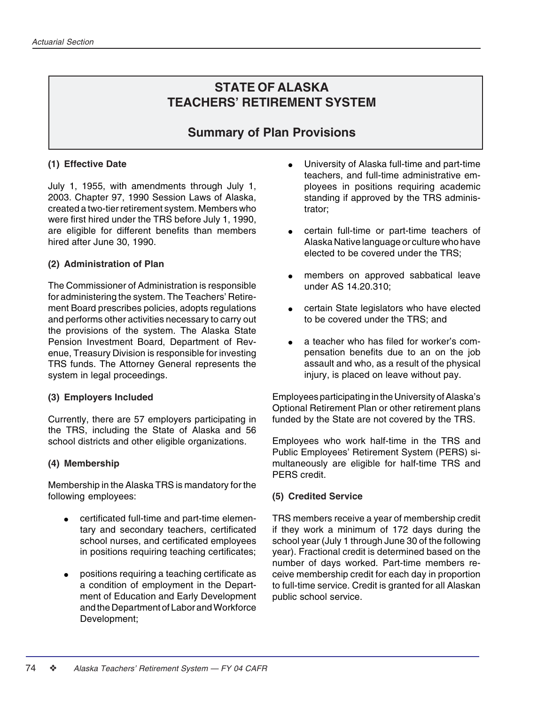### **Summary of Plan Provisions**

### **(1) Effective Date**

July 1, 1955, with amendments through July 1, 2003. Chapter 97, 1990 Session Laws of Alaska, created a two-tier retirement system. Members who were first hired under the TRS before July 1, 1990, are eligible for different benefits than members hired after June 30, 1990.

### **(2) Administration of Plan**

The Commissioner of Administration is responsible for administering the system. The Teachers' Retirement Board prescribes policies, adopts regulations and performs other activities necessary to carry out the provisions of the system. The Alaska State Pension Investment Board, Department of Revenue, Treasury Division is responsible for investing TRS funds. The Attorney General represents the system in legal proceedings.

### **(3) Employers Included**

Currently, there are 57 employers participating in the TRS, including the State of Alaska and 56 school districts and other eligible organizations.

#### **(4) Membership**

Membership in the Alaska TRS is mandatory for the following employees:

- certificated full-time and part-time elementary and secondary teachers, certificated school nurses, and certificated employees in positions requiring teaching certificates;
- positions requiring a teaching certificate as a condition of employment in the Department of Education and Early Development and the Department of Labor and Workforce Development;
- University of Alaska full-time and part-time teachers, and full-time administrative employees in positions requiring academic standing if approved by the TRS administrator;
- certain full-time or part-time teachers of Alaska Native language or culture who have elected to be covered under the TRS;
- members on approved sabbatical leave under AS 14.20.310;
- certain State legislators who have elected to be covered under the TRS; and
- a teacher who has filed for worker's compensation benefits due to an on the job assault and who, as a result of the physical injury, is placed on leave without pay.

Employees participating in the University of Alaska's Optional Retirement Plan or other retirement plans funded by the State are not covered by the TRS.

Employees who work half-time in the TRS and Public Employees' Retirement System (PERS) simultaneously are eligible for half-time TRS and PERS credit.

#### **(5) Credited Service**

TRS members receive a year of membership credit if they work a minimum of 172 days during the school year (July 1 through June 30 of the following year). Fractional credit is determined based on the number of days worked. Part-time members receive membership credit for each day in proportion to full-time service. Credit is granted for all Alaskan public school service.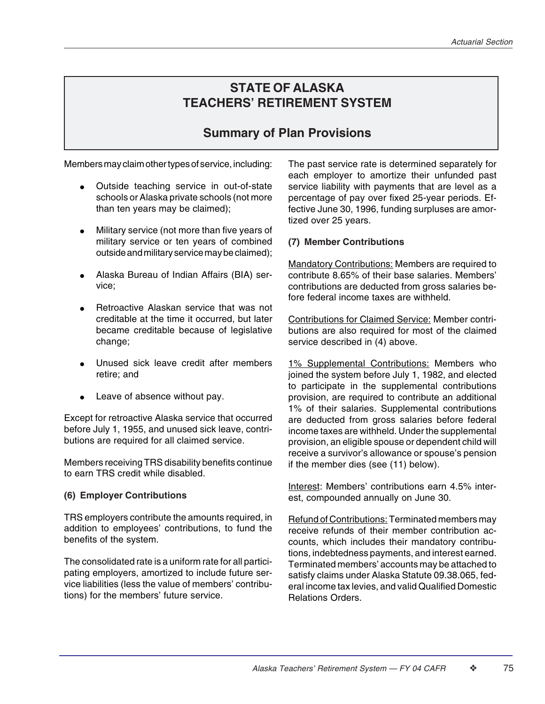### **Summary of Plan Provisions**

Members may claim other types of service, including:

- Outside teaching service in out-of-state schools or Alaska private schools (not more than ten years may be claimed);
- Military service (not more than five years of military service or ten years of combined outside and military service may be claimed);
- Alaska Bureau of Indian Affairs (BIA) service;
- Retroactive Alaskan service that was not creditable at the time it occurred, but later became creditable because of legislative change;
- Unused sick leave credit after members retire; and
- Leave of absence without pay.

Except for retroactive Alaska service that occurred before July 1, 1955, and unused sick leave, contributions are required for all claimed service.

Members receiving TRS disability benefits continue to earn TRS credit while disabled.

### **(6) Employer Contributions**

TRS employers contribute the amounts required, in addition to employees' contributions, to fund the benefits of the system.

The consolidated rate is a uniform rate for all participating employers, amortized to include future service liabilities (less the value of members' contributions) for the members' future service.

The past service rate is determined separately for each employer to amortize their unfunded past service liability with payments that are level as a percentage of pay over fixed 25-year periods. Effective June 30, 1996, funding surpluses are amortized over 25 years.

#### **(7) Member Contributions**

**Mandatory Contributions: Members are required to** contribute 8.65% of their base salaries. Members' contributions are deducted from gross salaries before federal income taxes are withheld.

Contributions for Claimed Service: Member contributions are also required for most of the claimed service described in (4) above.

1% Supplemental Contributions: Members who joined the system before July 1, 1982, and elected to participate in the supplemental contributions provision, are required to contribute an additional 1% of their salaries. Supplemental contributions are deducted from gross salaries before federal income taxes are withheld. Under the supplemental provision, an eligible spouse or dependent child will receive a survivor's allowance or spouse's pension if the member dies (see (11) below).

Interest: Members' contributions earn 4.5% interest, compounded annually on June 30.

Refund of Contributions: Terminated members may receive refunds of their member contribution accounts, which includes their mandatory contributions, indebtedness payments, and interest earned. Terminated members' accounts may be attached to satisfy claims under Alaska Statute 09.38.065, federal income tax levies, and valid Qualified Domestic Relations Orders.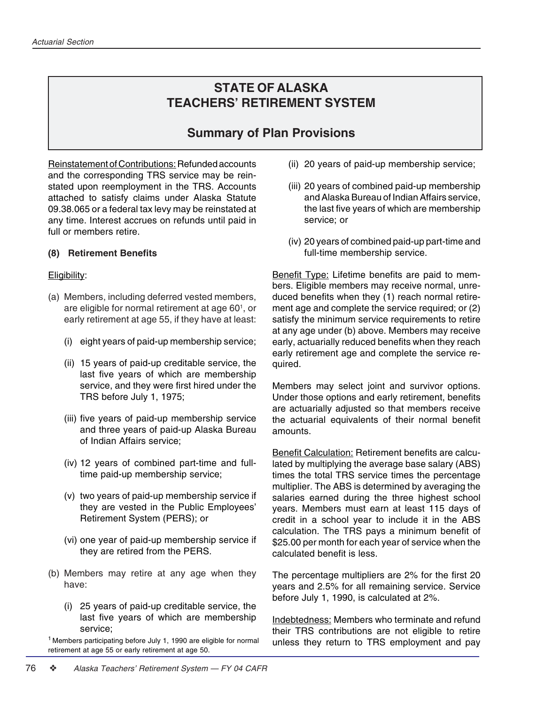### **Summary of Plan Provisions**

Reinstatement of Contributions: Refunded accounts and the corresponding TRS service may be reinstated upon reemployment in the TRS. Accounts attached to satisfy claims under Alaska Statute 09.38.065 or a federal tax levy may be reinstated at any time. Interest accrues on refunds until paid in full or members retire.

### **(8) Retirement Benefits**

#### Eligibility:

- (a) Members, including deferred vested members, are eligible for normal retirement at age 60<sup>1</sup>, or early retirement at age 55, if they have at least:
	- (i) eight years of paid-up membership service;
	- (ii) 15 years of paid-up creditable service, the last five years of which are membership service, and they were first hired under the TRS before July 1, 1975;
	- (iii) five years of paid-up membership service and three years of paid-up Alaska Bureau of Indian Affairs service;
	- (iv) 12 years of combined part-time and fulltime paid-up membership service;
	- (v) two years of paid-up membership service if they are vested in the Public Employees' Retirement System (PERS); or
	- (vi) one year of paid-up membership service if they are retired from the PERS.
- (b) Members may retire at any age when they have:
	- (i) 25 years of paid-up creditable service, the last five years of which are membership service;
- (ii) 20 years of paid-up membership service;
- (iii) 20 years of combined paid-up membership and Alaska Bureau of Indian Affairs service, the last five years of which are membership service; or
- (iv) 20 years of combined paid-up part-time and full-time membership service.

Benefit Type: Lifetime benefits are paid to members. Eligible members may receive normal, unreduced benefits when they (1) reach normal retirement age and complete the service required; or (2) satisfy the minimum service requirements to retire at any age under (b) above. Members may receive early, actuarially reduced benefits when they reach early retirement age and complete the service required.

Members may select joint and survivor options. Under those options and early retirement, benefits are actuarially adjusted so that members receive the actuarial equivalents of their normal benefit amounts.

Benefit Calculation: Retirement benefits are calculated by multiplying the average base salary (ABS) times the total TRS service times the percentage multiplier. The ABS is determined by averaging the salaries earned during the three highest school years. Members must earn at least 115 days of credit in a school year to include it in the ABS calculation. The TRS pays a minimum benefit of \$25.00 per month for each year of service when the calculated benefit is less.

The percentage multipliers are 2% for the first 20 years and 2.5% for all remaining service. Service before July 1, 1990, is calculated at 2%.

Indebtedness: Members who terminate and refund their TRS contributions are not eligible to retire <sup>1</sup> Members participating before July 1, 1990 are eligible for normal unless they return to TRS employment and pay

retirement at age 55 or early retirement at age 50.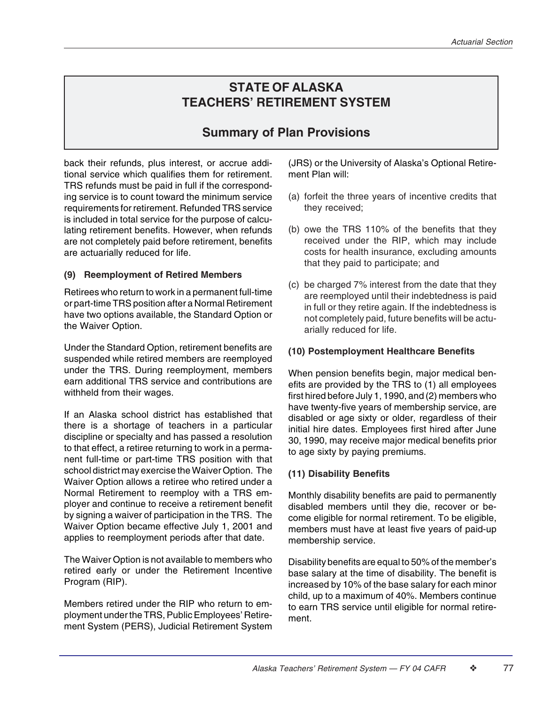### **Summary of Plan Provisions**

back their refunds, plus interest, or accrue additional service which qualifies them for retirement. TRS refunds must be paid in full if the corresponding service is to count toward the minimum service requirements for retirement. Refunded TRS service is included in total service for the purpose of calculating retirement benefits. However, when refunds are not completely paid before retirement, benefits are actuarially reduced for life.

#### **(9) Reemployment of Retired Members**

Retirees who return to work in a permanent full-time or part-time TRS position after a Normal Retirement have two options available, the Standard Option or the Waiver Option.

Under the Standard Option, retirement benefits are suspended while retired members are reemployed under the TRS. During reemployment, members earn additional TRS service and contributions are withheld from their wages.

If an Alaska school district has established that there is a shortage of teachers in a particular discipline or specialty and has passed a resolution to that effect, a retiree returning to work in a permanent full-time or part-time TRS position with that school district may exercise the Waiver Option. The Waiver Option allows a retiree who retired under a Normal Retirement to reemploy with a TRS employer and continue to receive a retirement benefit by signing a waiver of participation in the TRS. The Waiver Option became effective July 1, 2001 and applies to reemployment periods after that date.

The Waiver Option is not available to members who retired early or under the Retirement Incentive Program (RIP).

Members retired under the RIP who return to employment under the TRS, Public Employees' Retirement System (PERS), Judicial Retirement System (JRS) or the University of Alaska's Optional Retirement Plan will:

- (a) forfeit the three years of incentive credits that they received;
- (b) owe the TRS 110% of the benefits that they received under the RIP, which may include costs for health insurance, excluding amounts that they paid to participate; and
- (c) be charged 7% interest from the date that they are reemployed until their indebtedness is paid in full or they retire again. If the indebtedness is not completely paid, future benefits will be actuarially reduced for life.

### **(10) Postemployment Healthcare Benefits**

When pension benefits begin, major medical benefits are provided by the TRS to (1) all employees first hired before July 1, 1990, and (2) members who have twenty-five years of membership service, are disabled or age sixty or older, regardless of their initial hire dates. Employees first hired after June 30, 1990, may receive major medical benefits prior to age sixty by paying premiums.

### **(11) Disability Benefits**

Monthly disability benefits are paid to permanently disabled members until they die, recover or become eligible for normal retirement. To be eligible, members must have at least five years of paid-up membership service.

Disability benefits are equal to 50% of the member's base salary at the time of disability. The benefit is increased by 10% of the base salary for each minor child, up to a maximum of 40%. Members continue to earn TRS service until eligible for normal retirement.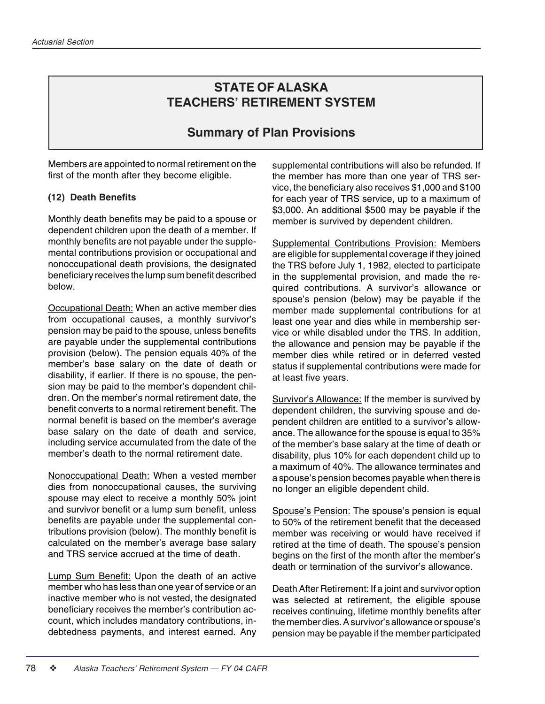### **Summary of Plan Provisions**

Members are appointed to normal retirement on the first of the month after they become eligible.

### **(12) Death Benefits**

Monthly death benefits may be paid to a spouse or dependent children upon the death of a member. If monthly benefits are not payable under the supplemental contributions provision or occupational and nonoccupational death provisions, the designated beneficiary receives the lump sum benefit described below.

Occupational Death: When an active member dies from occupational causes, a monthly survivor's pension may be paid to the spouse, unless benefits are payable under the supplemental contributions provision (below). The pension equals 40% of the member's base salary on the date of death or disability, if earlier. If there is no spouse, the pension may be paid to the member's dependent children. On the member's normal retirement date, the benefit converts to a normal retirement benefit. The normal benefit is based on the member's average base salary on the date of death and service, including service accumulated from the date of the member's death to the normal retirement date.

Nonoccupational Death: When a vested member dies from nonoccupational causes, the surviving spouse may elect to receive a monthly 50% joint and survivor benefit or a lump sum benefit, unless benefits are payable under the supplemental contributions provision (below). The monthly benefit is calculated on the member's average base salary and TRS service accrued at the time of death.

Lump Sum Benefit: Upon the death of an active member who has less than one year of service or an inactive member who is not vested, the designated beneficiary receives the member's contribution account, which includes mandatory contributions, indebtedness payments, and interest earned. Any supplemental contributions will also be refunded. If the member has more than one year of TRS service, the beneficiary also receives \$1,000 and \$100 for each year of TRS service, up to a maximum of \$3,000. An additional \$500 may be payable if the member is survived by dependent children.

Supplemental Contributions Provision: Members are eligible for supplemental coverage if they joined the TRS before July 1, 1982, elected to participate in the supplemental provision, and made the required contributions. A survivor's allowance or spouse's pension (below) may be payable if the member made supplemental contributions for at least one year and dies while in membership service or while disabled under the TRS. In addition, the allowance and pension may be payable if the member dies while retired or in deferred vested status if supplemental contributions were made for at least five years.

Survivor's Allowance: If the member is survived by dependent children, the surviving spouse and dependent children are entitled to a survivor's allowance. The allowance for the spouse is equal to 35% of the member's base salary at the time of death or disability, plus 10% for each dependent child up to a maximum of 40%. The allowance terminates and a spouse's pension becomes payable when there is no longer an eligible dependent child.

Spouse's Pension: The spouse's pension is equal to 50% of the retirement benefit that the deceased member was receiving or would have received if retired at the time of death. The spouse's pension begins on the first of the month after the member's death or termination of the survivor's allowance.

Death After Retirement: If a joint and survivor option was selected at retirement, the eligible spouse receives continuing, lifetime monthly benefits after the member dies. A survivor's allowance or spouse's pension may be payable if the member participated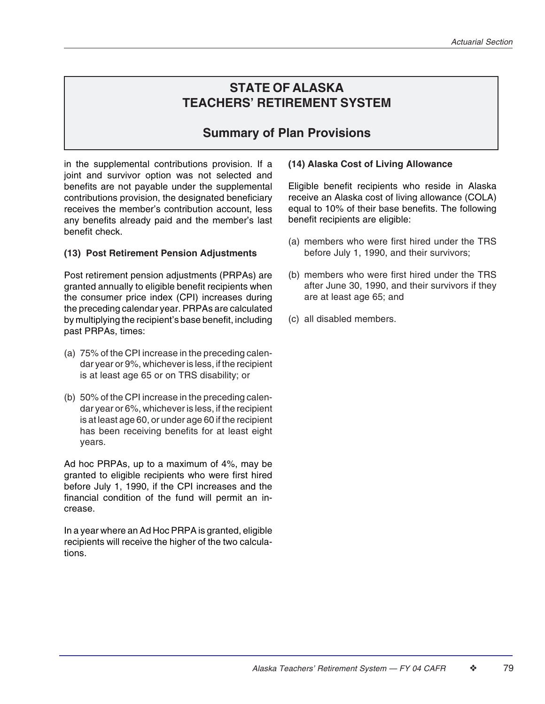### **Summary of Plan Provisions**

in the supplemental contributions provision. If a joint and survivor option was not selected and benefits are not payable under the supplemental contributions provision, the designated beneficiary receives the member's contribution account, less any benefits already paid and the member's last benefit check.

#### **(13) Post Retirement Pension Adjustments**

Post retirement pension adjustments (PRPAs) are granted annually to eligible benefit recipients when the consumer price index (CPI) increases during the preceding calendar year. PRPAs are calculated by multiplying the recipient's base benefit, including past PRPAs, times:

- (a) 75% of the CPI increase in the preceding calendar year or 9%, whichever is less, if the recipient is at least age 65 or on TRS disability; or
- (b) 50% of the CPI increase in the preceding calendar year or 6%, whichever is less, if the recipient is at least age 60, or under age 60 if the recipient has been receiving benefits for at least eight years.

Ad hoc PRPAs, up to a maximum of 4%, may be granted to eligible recipients who were first hired before July 1, 1990, if the CPI increases and the financial condition of the fund will permit an increase.

In a year where an Ad Hoc PRPA is granted, eligible recipients will receive the higher of the two calculations.

#### **(14) Alaska Cost of Living Allowance**

Eligible benefit recipients who reside in Alaska receive an Alaska cost of living allowance (COLA) equal to 10% of their base benefits. The following benefit recipients are eligible:

- (a) members who were first hired under the TRS before July 1, 1990, and their survivors;
- (b) members who were first hired under the TRS after June 30, 1990, and their survivors if they are at least age 65; and
- (c) all disabled members.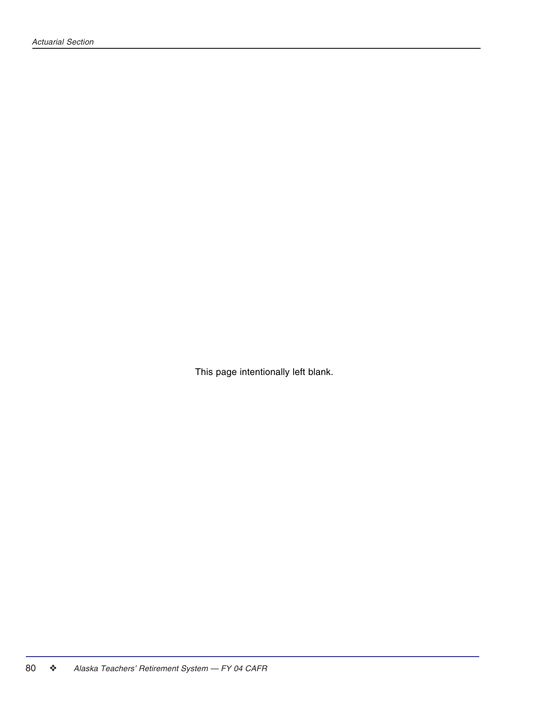This page intentionally left blank.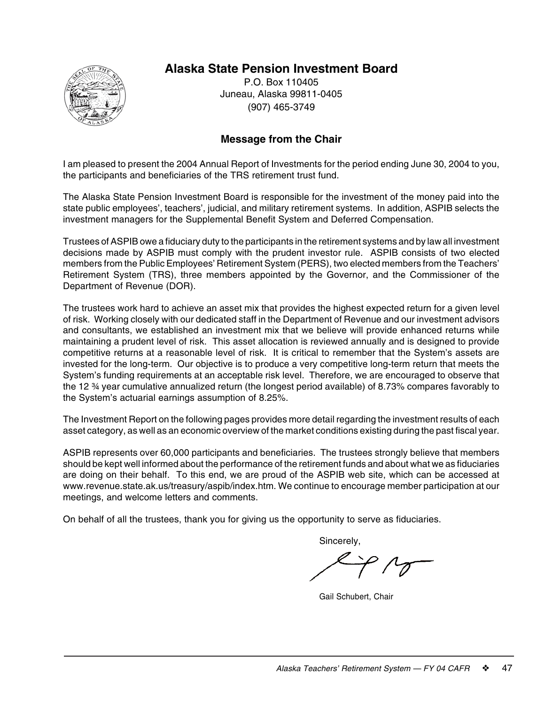**Alaska State Pension Investment Board**



P.O. Box 110405 Juneau, Alaska 99811-0405 (907) 465-3749

### **Message from the Chair**

I am pleased to present the 2004 Annual Report of Investments for the period ending June 30, 2004 to you, the participants and beneficiaries of the TRS retirement trust fund.

The Alaska State Pension Investment Board is responsible for the investment of the money paid into the state public employees', teachers', judicial, and military retirement systems. In addition, ASPIB selects the investment managers for the Supplemental Benefit System and Deferred Compensation.

Trustees of ASPIB owe a fiduciary duty to the participants in the retirement systems and by law all investment decisions made by ASPIB must comply with the prudent investor rule. ASPIB consists of two elected members from the Public Employees' Retirement System (PERS), two elected members from the Teachers' Retirement System (TRS), three members appointed by the Governor, and the Commissioner of the Department of Revenue (DOR).

The trustees work hard to achieve an asset mix that provides the highest expected return for a given level of risk. Working closely with our dedicated staff in the Department of Revenue and our investment advisors and consultants, we established an investment mix that we believe will provide enhanced returns while maintaining a prudent level of risk. This asset allocation is reviewed annually and is designed to provide competitive returns at a reasonable level of risk. It is critical to remember that the System's assets are invested for the long-term. Our objective is to produce a very competitive long-term return that meets the System's funding requirements at an acceptable risk level. Therefore, we are encouraged to observe that the 12 ¾ year cumulative annualized return (the longest period available) of 8.73% compares favorably to the System's actuarial earnings assumption of 8.25%.

The Investment Report on the following pages provides more detail regarding the investment results of each asset category, as well as an economic overview of the market conditions existing during the past fiscal year.

ASPIB represents over 60,000 participants and beneficiaries. The trustees strongly believe that members should be kept well informed about the performance of the retirement funds and about what we as fiduciaries are doing on their behalf. To this end, we are proud of the ASPIB web site, which can be accessed at www.revenue.state.ak.us/treasury/aspib/index.htm. We continue to encourage member participation at our meetings, and welcome letters and comments.

On behalf of all the trustees, thank you for giving us the opportunity to serve as fiduciaries.

Sincerely,

 $^3$  Mg

Gail Schubert, Chair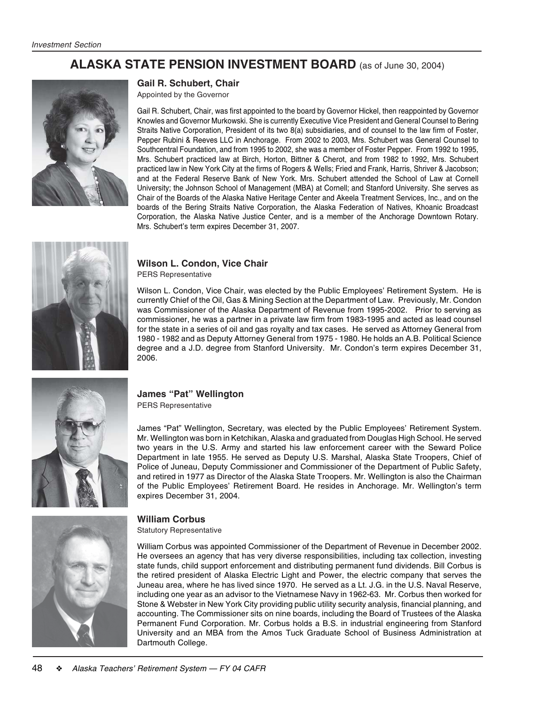### **ALASKA STATE PENSION INVESTMENT BOARD** (as of June 30, 2004)



#### **Gail R. Schubert, Chair**

Appointed by the Governor

Gail R. Schubert, Chair, was first appointed to the board by Governor Hickel, then reappointed by Governor Knowles and Governor Murkowski. She is currently Executive Vice President and General Counsel to Bering Straits Native Corporation, President of its two 8(a) subsidiaries, and of counsel to the law firm of Foster, Pepper Rubini & Reeves LLC in Anchorage. From 2002 to 2003, Mrs. Schubert was General Counsel to Southcentral Foundation, and from 1995 to 2002, she was a member of Foster Pepper. From 1992 to 1995, Mrs. Schubert practiced law at Birch, Horton, Bittner & Cherot, and from 1982 to 1992, Mrs. Schubert practiced law in New York City at the firms of Rogers & Wells; Fried and Frank, Harris, Shriver & Jacobson; and at the Federal Reserve Bank of New York. Mrs. Schubert attended the School of Law at Cornell University; the Johnson School of Management (MBA) at Cornell; and Stanford University. She serves as Chair of the Boards of the Alaska Native Heritage Center and Akeela Treatment Services, Inc., and on the boards of the Bering Straits Native Corporation, the Alaska Federation of Natives, Khoanic Broadcast Corporation, the Alaska Native Justice Center, and is a member of the Anchorage Downtown Rotary. Mrs. Schubert's term expires December 31, 2007.



# **Wilson L. Condon, Vice Chair**

PERS Representative

Wilson L. Condon, Vice Chair, was elected by the Public Employees' Retirement System. He is currently Chief of the Oil, Gas & Mining Section at the Department of Law. Previously, Mr. Condon was Commissioner of the Alaska Department of Revenue from 1995-2002. Prior to serving as commissioner, he was a partner in a private law firm from 1983-1995 and acted as lead counsel for the state in a series of oil and gas royalty and tax cases. He served as Attorney General from 1980 - 1982 and as Deputy Attorney General from 1975 - 1980. He holds an A.B. Political Science degree and a J.D. degree from Stanford University. Mr. Condon's term expires December 31, 2006.



### **James "Pat" Wellington**

PERS Representative

James "Pat" Wellington, Secretary, was elected by the Public Employees' Retirement System. Mr. Wellington was born in Ketchikan, Alaska and graduated from Douglas High School. He served two years in the U.S. Army and started his law enforcement career with the Seward Police Department in late 1955. He served as Deputy U.S. Marshal, Alaska State Troopers, Chief of Police of Juneau, Deputy Commissioner and Commissioner of the Department of Public Safety, and retired in 1977 as Director of the Alaska State Troopers. Mr. Wellington is also the Chairman of the Public Employees' Retirement Board. He resides in Anchorage. Mr. Wellington's term expires December 31, 2004.



#### **William Corbus**

Statutory Representative

William Corbus was appointed Commissioner of the Department of Revenue in December 2002. He oversees an agency that has very diverse responsibilities, including tax collection, investing state funds, child support enforcement and distributing permanent fund dividends. Bill Corbus is the retired president of Alaska Electric Light and Power, the electric company that serves the Juneau area, where he has lived since 1970. He served as a Lt. J.G. in the U.S. Naval Reserve, including one year as an advisor to the Vietnamese Navy in 1962-63. Mr. Corbus then worked for Stone & Webster in New York City providing public utility security analysis, financial planning, and accounting. The Commissioner sits on nine boards, including the Board of Trustees of the Alaska Permanent Fund Corporation. Mr. Corbus holds a B.S. in industrial engineering from Stanford University and an MBA from the Amos Tuck Graduate School of Business Administration at Dartmouth College.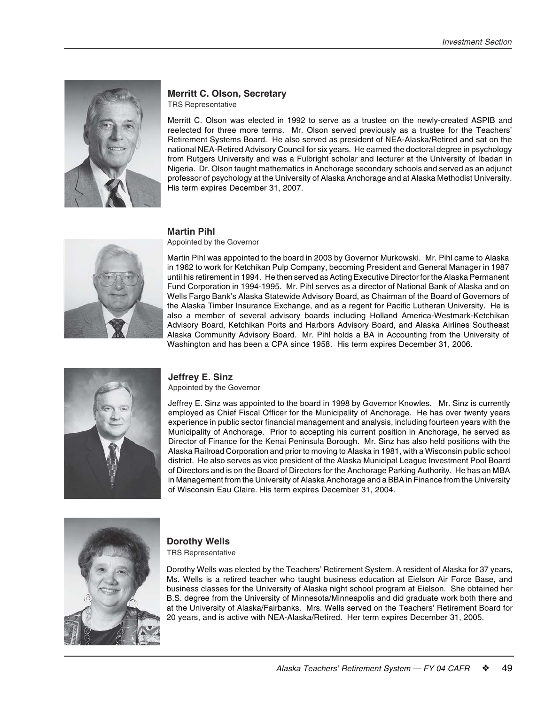

#### **Merritt C. Olson, Secretary**

TRS Representative

Merritt C. Olson was elected in 1992 to serve as a trustee on the newly-created ASPIB and reelected for three more terms. Mr. Olson served previously as a trustee for the Teachers' Retirement Systems Board. He also served as president of NEA-Alaska/Retired and sat on the national NEA-Retired Advisory Council for six years. He earned the doctoral degree in psychology from Rutgers University and was a Fulbright scholar and lecturer at the University of Ibadan in Nigeria. Dr. Olson taught mathematics in Anchorage secondary schools and served as an adjunct professor of psychology at the University of Alaska Anchorage and at Alaska Methodist University. His term expires December 31, 2007.



#### **Martin Pihl** Appointed by the Governor

Martin Pihl was appointed to the board in 2003 by Governor Murkowski. Mr. Pihl came to Alaska in 1962 to work for Ketchikan Pulp Company, becoming President and General Manager in 1987 until his retirement in 1994. He then served as Acting Executive Director for the Alaska Permanent Fund Corporation in 1994-1995. Mr. Pihl serves as a director of National Bank of Alaska and on Wells Fargo Bank's Alaska Statewide Advisory Board, as Chairman of the Board of Governors of the Alaska Timber Insurance Exchange, and as a regent for Pacific Lutheran University. He is also a member of several advisory boards including Holland America-Westmark-Ketchikan Advisory Board, Ketchikan Ports and Harbors Advisory Board, and Alaska Airlines Southeast Alaska Community Advisory Board. Mr. Pihl holds a BA in Accounting from the University of Washington and has been a CPA since 1958. His term expires December 31, 2006.



#### **Jeffrey E. Sinz**

Appointed by the Governor

Jeffrey E. Sinz was appointed to the board in 1998 by Governor Knowles. Mr. Sinz is currently employed as Chief Fiscal Officer for the Municipality of Anchorage. He has over twenty years experience in public sector financial management and analysis, including fourteen years with the Municipality of Anchorage. Prior to accepting his current position in Anchorage, he served as Director of Finance for the Kenai Peninsula Borough. Mr. Sinz has also held positions with the Alaska Railroad Corporation and prior to moving to Alaska in 1981, with a Wisconsin public school district. He also serves as vice president of the Alaska Municipal League Investment Pool Board of Directors and is on the Board of Directors for the Anchorage Parking Authority. He has an MBA in Management from the University of Alaska Anchorage and a BBA in Finance from the University of Wisconsin Eau Claire. His term expires December 31, 2004.



### **Dorothy Wells**

TRS Representative

Dorothy Wells was elected by the Teachers' Retirement System. A resident of Alaska for 37 years, Ms. Wells is a retired teacher who taught business education at Eielson Air Force Base, and business classes for the University of Alaska night school program at Eielson. She obtained her B.S. degree from the University of Minnesota/Minneapolis and did graduate work both there and at the University of Alaska/Fairbanks. Mrs. Wells served on the Teachers' Retirement Board for 20 years, and is active with NEA-Alaska/Retired. Her term expires December 31, 2005.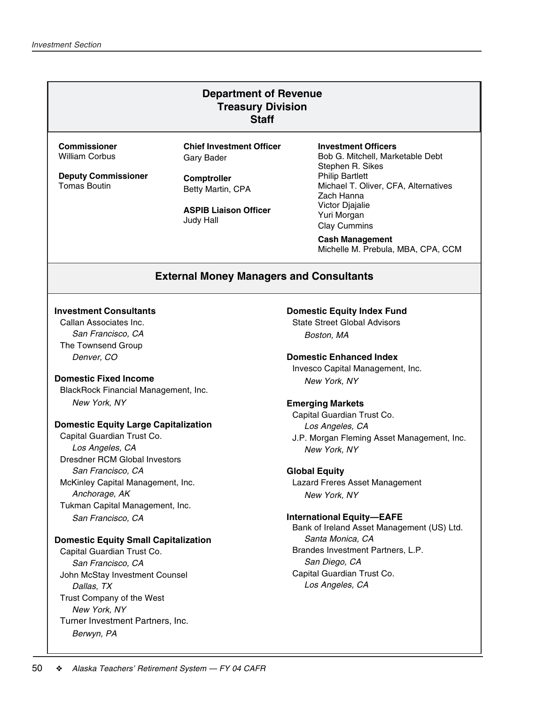### **Department of Revenue Department of Revenue Treasury Division Treasury Division Staff Staff**

**Commissioner** William Corbus

**Deputy Commissioner** Tomas Boutin

**Chief Investment Officer** Gary Bader

**Comptroller** Betty Martin, CPA

**ASPIB Liaison Officer** Judy Hall

**Investment Officers** Bob G. Mitchell, Marketable Debt Stephen R. Sikes Philip Bartlett Michael T. Oliver, CFA, Alternatives Zach Hanna Victor Djajalie Yuri Morgan Clay Cummins

**Cash Management** Michelle M. Prebula, MBA, CPA, CCM

#### **External Money Managers and Consultants**

#### **Investment Consultants**

Callan Associates Inc. San Francisco, CA The Townsend Group Denver, CO

#### **Domestic Fixed Income**

BlackRock Financial Management, Inc. New York, NY

#### **Domestic Equity Large Capitalization**

Capital Guardian Trust Co. Los Angeles, CA Dresdner RCM Global Investors San Francisco, CA McKinley Capital Management, Inc. Anchorage, AK Tukman Capital Management, Inc. San Francisco, CA

#### **Domestic Equity Small Capitalization**

Capital Guardian Trust Co. San Francisco, CA John McStay Investment Counsel Dallas, TX Trust Company of the West New York, NY Turner Investment Partners, Inc. Berwyn, PA

#### **Domestic Equity Index Fund**

State Street Global Advisors Boston, MA

#### **Domestic Enhanced Index**

Invesco Capital Management, Inc. New York, NY

#### **Emerging Markets**

Capital Guardian Trust Co. Los Angeles, CA J.P. Morgan Fleming Asset Management, Inc. New York, NY

#### **Global Equity**

Lazard Freres Asset Management New York, NY

#### **International Equity—EAFE**

Bank of Ireland Asset Management (US) Ltd. Santa Monica, CA Brandes Investment Partners, L.P. San Diego, CA Capital Guardian Trust Co. Los Angeles, CA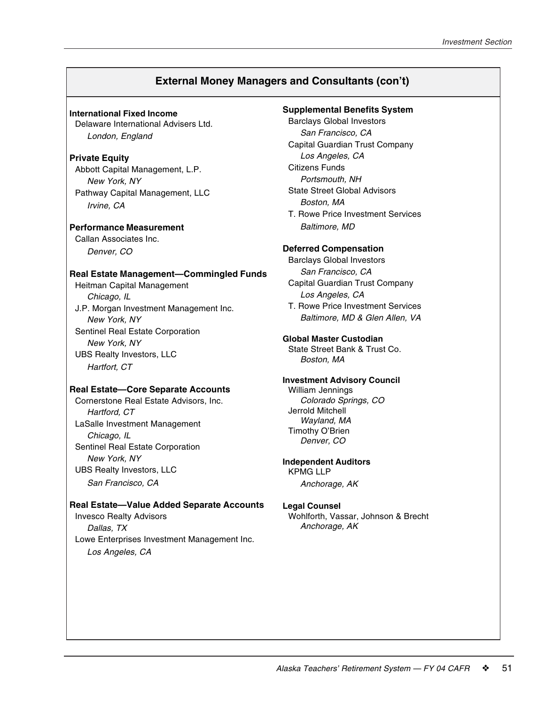## **External Money Managers and Consultants (con't)**

#### **International Fixed Income** Delaware International Advisers Ltd. London, England

## **Private Equity**

Abbott Capital Management, L.P. New York, NY Pathway Capital Management, LLC Irvine, CA

#### **Performance Measurement**

Callan Associates Inc. Denver, CO

#### **Real Estate Management—Commingled Funds**

Heitman Capital Management Chicago, IL J.P. Morgan Investment Management Inc. New York, NY Sentinel Real Estate Corporation New York, NY UBS Realty Investors, LLC Hartfort, CT

#### **Real Estate—Core Separate Accounts**

Cornerstone Real Estate Advisors, Inc. Hartford, CT LaSalle Investment Management Chicago, IL Sentinel Real Estate Corporation New York, NY UBS Realty Investors, LLC San Francisco, CA

#### **Real Estate—Value Added Separate Accounts**

Invesco Realty Advisors Dallas, TX Lowe Enterprises Investment Management Inc. Los Angeles, CA

## **Supplemental Benefits System**

Barclays Global Investors San Francisco, CA Capital Guardian Trust Company Los Angeles, CA Citizens Funds Portsmouth, NH State Street Global Advisors Boston, MA T. Rowe Price Investment Services Baltimore, MD

#### **Deferred Compensation**

Barclays Global Investors San Francisco, CA Capital Guardian Trust Company Los Angeles, CA T. Rowe Price Investment Services Baltimore, MD & Glen Allen, VA

#### **Global Master Custodian**

State Street Bank & Trust Co. Boston, MA

#### **Investment Advisory Council**

William Jennings Colorado Springs, CO Jerrold Mitchell Wayland, MA Timothy O'Brien Denver, CO

#### **Independent Auditors**

KPMG LLP Anchorage, AK

#### **Legal Counsel**

Wohlforth, Vassar, Johnson & Brecht Anchorage, AK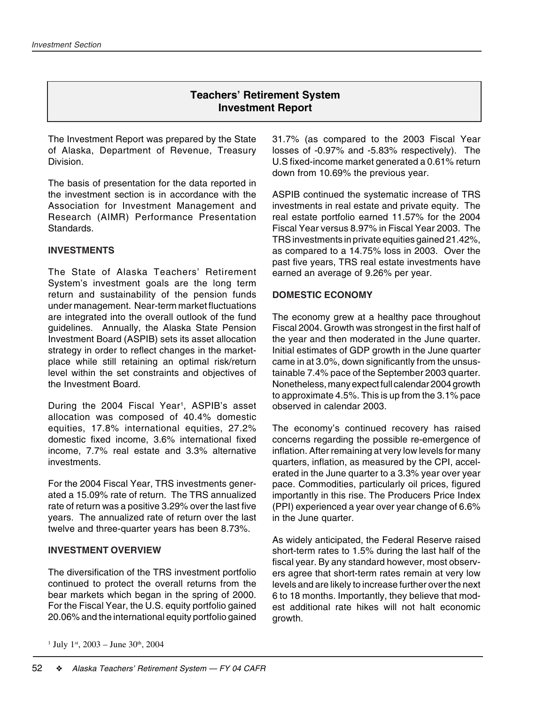## **Teachers' Retirement System Investment Report**

The Investment Report was prepared by the State of Alaska, Department of Revenue, Treasury Division.

The basis of presentation for the data reported in the investment section is in accordance with the Association for Investment Management and Research (AIMR) Performance Presentation **Standards** 

#### **INVESTMENTS**

The State of Alaska Teachers' Retirement System's investment goals are the long term return and sustainability of the pension funds under management. Near-term market fluctuations are integrated into the overall outlook of the fund guidelines. Annually, the Alaska State Pension Investment Board (ASPIB) sets its asset allocation strategy in order to reflect changes in the marketplace while still retaining an optimal risk/return level within the set constraints and objectives of the Investment Board.

During the 2004 Fiscal Year<sup>1</sup>, ASPIB's asset allocation was composed of 40.4% domestic equities, 17.8% international equities, 27.2% domestic fixed income, 3.6% international fixed income, 7.7% real estate and 3.3% alternative investments.

For the 2004 Fiscal Year, TRS investments generated a 15.09% rate of return. The TRS annualized rate of return was a positive 3.29% over the last five years. The annualized rate of return over the last twelve and three-quarter years has been 8.73%.

#### **INVESTMENT OVERVIEW**

The diversification of the TRS investment portfolio continued to protect the overall returns from the bear markets which began in the spring of 2000. For the Fiscal Year, the U.S. equity portfolio gained 20.06% and the international equity portfolio gained 31.7% (as compared to the 2003 Fiscal Year losses of -0.97% and -5.83% respectively). The U.S fixed-income market generated a 0.61% return down from 10.69% the previous year.

ASPIB continued the systematic increase of TRS investments in real estate and private equity. The real estate portfolio earned 11.57% for the 2004 Fiscal Year versus 8.97% in Fiscal Year 2003. The TRS investments in private equities gained 21.42%, as compared to a 14.75% loss in 2003. Over the past five years, TRS real estate investments have earned an average of 9.26% per year.

#### **DOMESTIC ECONOMY**

The economy grew at a healthy pace throughout Fiscal 2004. Growth was strongest in the first half of the year and then moderated in the June quarter. Initial estimates of GDP growth in the June quarter came in at 3.0%, down significantly from the unsustainable 7.4% pace of the September 2003 quarter. Nonetheless, many expect full calendar 2004 growth to approximate 4.5%. This is up from the 3.1% pace observed in calendar 2003.

The economy's continued recovery has raised concerns regarding the possible re-emergence of inflation. After remaining at very low levels for many quarters, inflation, as measured by the CPI, accelerated in the June quarter to a 3.3% year over year pace. Commodities, particularly oil prices, figured importantly in this rise. The Producers Price Index (PPI) experienced a year over year change of 6.6% in the June quarter.

As widely anticipated, the Federal Reserve raised short-term rates to 1.5% during the last half of the fiscal year. By any standard however, most observers agree that short-term rates remain at very low levels and are likely to increase further over the next 6 to 18 months. Importantly, they believe that modest additional rate hikes will not halt economic growth.

<sup>&</sup>lt;sup>1</sup> July 1<sup>st</sup>, 2003 – June 30<sup>th</sup>, 2004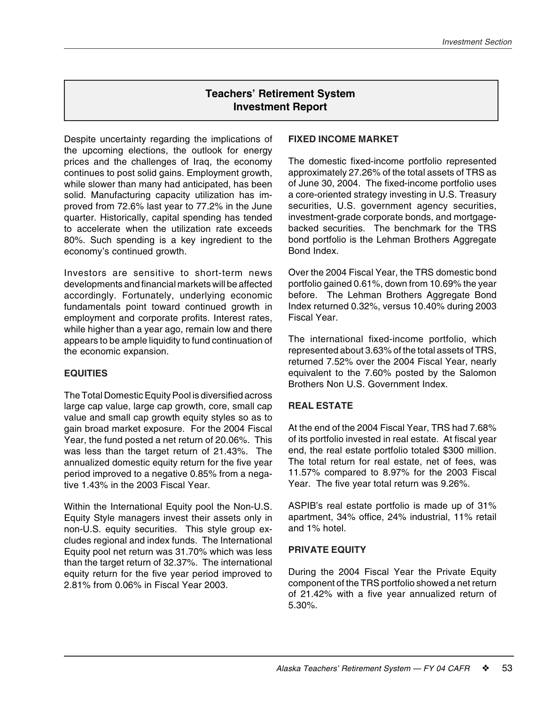## **Teachers' Retirement System Investment Report**

Despite uncertainty regarding the implications of the upcoming elections, the outlook for energy prices and the challenges of Iraq, the economy continues to post solid gains. Employment growth, while slower than many had anticipated, has been solid. Manufacturing capacity utilization has improved from 72.6% last year to 77.2% in the June quarter. Historically, capital spending has tended to accelerate when the utilization rate exceeds 80%. Such spending is a key ingredient to the economy's continued growth.

Investors are sensitive to short-term news developments and financial markets will be affected accordingly. Fortunately, underlying economic fundamentals point toward continued growth in employment and corporate profits. Interest rates, while higher than a year ago, remain low and there appears to be ample liquidity to fund continuation of the economic expansion.

## **EQUITIES**

The Total Domestic Equity Pool is diversified across large cap value, large cap growth, core, small cap value and small cap growth equity styles so as to gain broad market exposure. For the 2004 Fiscal Year, the fund posted a net return of 20.06%. This was less than the target return of 21.43%. The annualized domestic equity return for the five year period improved to a negative 0.85% from a negative 1.43% in the 2003 Fiscal Year.

Within the International Equity pool the Non-U.S. Equity Style managers invest their assets only in non-U.S. equity securities. This style group excludes regional and index funds. The International Equity pool net return was 31.70% which was less than the target return of 32.37%. The international equity return for the five year period improved to 2.81% from 0.06% in Fiscal Year 2003.

## **FIXED INCOME MARKET**

The domestic fixed-income portfolio represented approximately 27.26% of the total assets of TRS as of June 30, 2004. The fixed-income portfolio uses a core-oriented strategy investing in U.S. Treasury securities, U.S. government agency securities, investment-grade corporate bonds, and mortgagebacked securities. The benchmark for the TRS bond portfolio is the Lehman Brothers Aggregate Bond Index.

Over the 2004 Fiscal Year, the TRS domestic bond portfolio gained 0.61%, down from 10.69% the year before. The Lehman Brothers Aggregate Bond Index returned 0.32%, versus 10.40% during 2003 Fiscal Year.

The international fixed-income portfolio, which represented about 3.63% of the total assets of TRS, returned 7.52% over the 2004 Fiscal Year, nearly equivalent to the 7.60% posted by the Salomon Brothers Non U.S. Government Index.

## **REAL ESTATE**

At the end of the 2004 Fiscal Year, TRS had 7.68% of its portfolio invested in real estate. At fiscal year end, the real estate portfolio totaled \$300 million. The total return for real estate, net of fees, was 11.57% compared to 8.97% for the 2003 Fiscal Year. The five year total return was 9.26%.

ASPIB's real estate portfolio is made up of 31% apartment, 34% office, 24% industrial, 11% retail and 1% hotel.

### **PRIVATE EQUITY**

During the 2004 Fiscal Year the Private Equity component of the TRS portfolio showed a net return of 21.42% with a five year annualized return of 5.30%.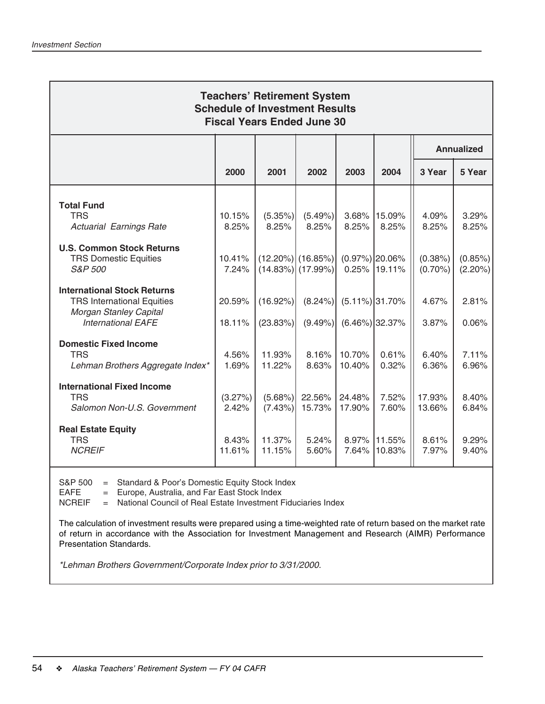| <b>Teachers' Retirement System</b><br><b>Schedule of Investment Results</b><br><b>Fiscal Years Ended June 30</b>               |                  |                            |                                              |                                          |                  |                          |                       |  |
|--------------------------------------------------------------------------------------------------------------------------------|------------------|----------------------------|----------------------------------------------|------------------------------------------|------------------|--------------------------|-----------------------|--|
|                                                                                                                                |                  |                            |                                              |                                          |                  |                          | <b>Annualized</b>     |  |
|                                                                                                                                | 2000             | 2001                       | 2002                                         | 2003                                     | 2004             | 3 Year                   | 5 Year                |  |
| <b>Total Fund</b><br><b>TRS</b><br><b>Actuarial Earnings Rate</b><br><b>U.S. Common Stock Returns</b>                          | 10.15%<br>8.25%  | $(5.35\%)$<br>8.25%        | $(5.49\%)$<br>8.25%                          | $3.68\%$<br>8.25%                        | 15.09%<br>8.25%  | 4.09%<br>8.25%           | 3.29%<br>8.25%        |  |
| <b>TRS Domestic Equities</b><br><b>S&amp;P 500</b>                                                                             | 10.41%<br>7.24%  |                            | $(12.20\%)$ (16.85%)<br>$(14.83\%)$ (17.99%) | $(0.97\%)$  20.06%<br>0.25%              | 19.11%           | $(0.38\%)$<br>$(0.70\%)$ | (0.85%)<br>$(2.20\%)$ |  |
| <b>International Stock Returns</b><br><b>TRS International Equities</b><br>Morgan Stanley Capital<br><b>International EAFE</b> | 20.59%<br>18.11% | $(16.92\%)$<br>$(23.83\%)$ | $(8.24\%)$<br>$(9.49\%)$                     | $(5.11\%)$  31.70%<br>$(6.46\%)$  32.37% |                  | 4.67%<br>3.87%           | 2.81%<br>0.06%        |  |
| <b>Domestic Fixed Income</b><br><b>TRS</b><br>Lehman Brothers Aggregate Index*                                                 | 4.56%<br>1.69%   | 11.93%<br>11.22%           | 8.16%<br>8.63%                               | 10.70%<br>10.40%                         | 0.61%<br>0.32%   | 6.40%<br>6.36%           | 7.11%<br>6.96%        |  |
| <b>International Fixed Income</b><br><b>TRS</b><br>Salomon Non-U.S. Government                                                 | (3.27%)<br>2.42% | $(5.68\%)$<br>(7.43%)      | 22.56%<br>15.73%                             | 24.48%<br>17.90%                         | 7.52%<br>7.60%   | 17.93%<br>13.66%         | 8.40%<br>6.84%        |  |
| <b>Real Estate Equity</b><br><b>TRS</b><br><b>NCREIF</b>                                                                       | 8.43%<br>11.61%  | 11.37%<br>11.15%           | 5.24%<br>5.60%                               | $8.97\%$<br>7.64%                        | 11.55%<br>10.83% | 8.61%<br>7.97%           | 9.29%<br>9.40%        |  |

S&P 500 = Standard & Poor's Domestic Equity Stock Index

EAFE = Europe, Australia, and Far East Stock Index

NCREIF = National Council of Real Estate Investment Fiduciaries Index

The calculation of investment results were prepared using a time-weighted rate of return based on the market rate of return in accordance with the Association for Investment Management and Research (AIMR) Performance Presentation Standards.

\*Lehman Brothers Government/Corporate Index prior to 3/31/2000.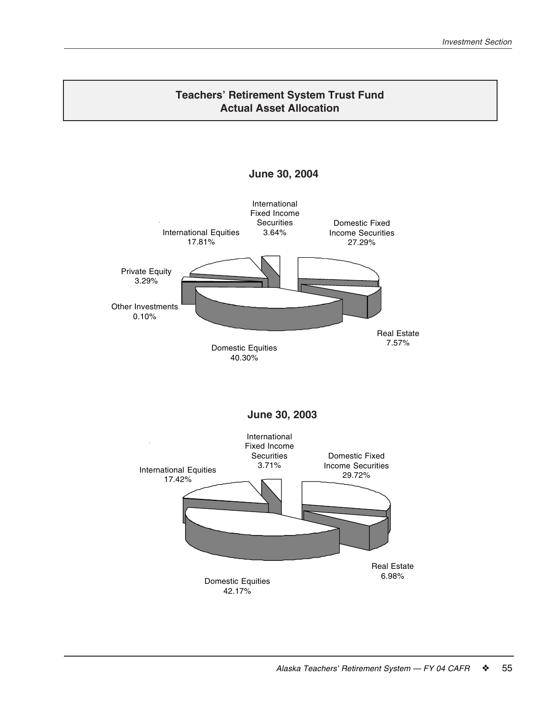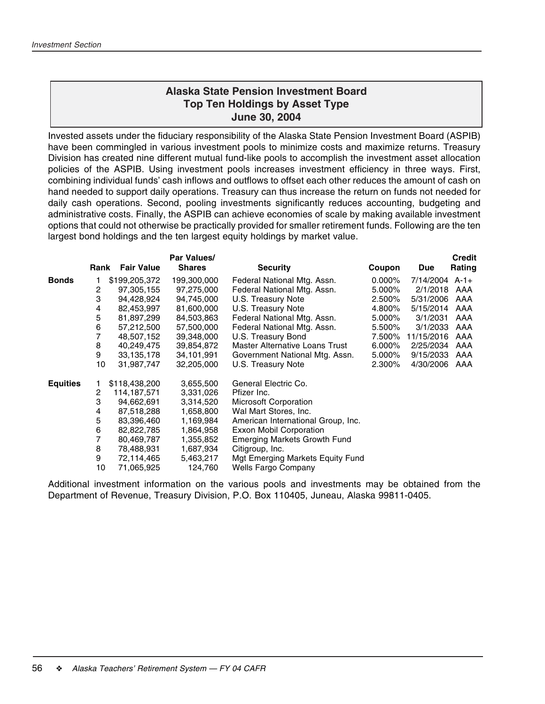## **Alaska State Pension Investment Board Top Ten Holdings by Asset Type June 30, 2004**

Invested assets under the fiduciary responsibility of the Alaska State Pension Investment Board (ASPIB) have been commingled in various investment pools to minimize costs and maximize returns. Treasury Division has created nine different mutual fund-like pools to accomplish the investment asset allocation policies of the ASPIB. Using investment pools increases investment efficiency in three ways. First, combining individual funds' cash inflows and outflows to offset each other reduces the amount of cash on hand needed to support daily operations. Treasury can thus increase the return on funds not needed for daily cash operations. Second, pooling investments significantly reduces accounting, budgeting and administrative costs. Finally, the ASPIB can achieve economies of scale by making available investment options that could not otherwise be practically provided for smaller retirement funds. Following are the ten largest bond holdings and the ten largest equity holdings by market value.

|                 |      |                   | Par Values/   |                                       |           |            | <b>Credit</b> |
|-----------------|------|-------------------|---------------|---------------------------------------|-----------|------------|---------------|
|                 | Rank | <b>Fair Value</b> | <b>Shares</b> | <b>Security</b>                       | Coupon    | <b>Due</b> | Rating        |
| <b>Bonds</b>    |      | \$199,205,372     | 199,300,000   | Federal National Mtg. Assn.           | $0.000\%$ | 7/14/2004  | $A-1+$        |
|                 | 2    | 97,305,155        | 97,275,000    | Federal National Mtg. Assn.           | 5.000%    | 2/1/2018   | AAA           |
|                 | 3    | 94,428,924        | 94,745,000    | U.S. Treasury Note                    | 2.500%    | 5/31/2006  | AAA           |
|                 | 4    | 82,453,997        | 81,600,000    | U.S. Treasury Note                    | 4.800%    | 5/15/2014  | AAA           |
|                 | 5    | 81,897,299        | 84,503,863    | Federal National Mtg. Assn.           | 5.000%    | 3/1/2031   | AAA           |
|                 | 6    | 57,212,500        | 57,500,000    | Federal National Mtg. Assn.           | 5.500%    | 3/1/2033   | AAA           |
|                 | 7    | 48,507,152        | 39,348,000    | U.S. Treasury Bond                    | 7.500%    | 11/15/2016 | AAA           |
|                 | 8    | 40,249,475        | 39,854,872    | <b>Master Alternative Loans Trust</b> | $6.000\%$ | 2/25/2034  | AAA           |
|                 | 9    | 33,135,178        | 34,101,991    | Government National Mtg. Assn.        | 5.000%    | 9/15/2033  | AAA           |
|                 | 10   | 31,987,747        | 32,205,000    | U.S. Treasury Note                    | 2.300%    | 4/30/2006  | AAA           |
| <b>Equities</b> | 1.   | \$118,438,200     | 3,655,500     | General Electric Co.                  |           |            |               |
|                 | 2    | 114, 187, 571     | 3,331,026     | Pfizer Inc.                           |           |            |               |
|                 | 3    | 94,662,691        | 3,314,520     | Microsoft Corporation                 |           |            |               |
|                 | 4    | 87,518,288        | 1,658,800     | Wal Mart Stores, Inc.                 |           |            |               |
|                 | 5    | 83,396,460        | 1,169,984     | American International Group, Inc.    |           |            |               |
|                 | 6    | 82,822,785        | 1,864,958     | <b>Exxon Mobil Corporation</b>        |           |            |               |
|                 | 7    | 80,469,787        | 1,355,852     | <b>Emerging Markets Growth Fund</b>   |           |            |               |
|                 | 8    | 78,488,931        | 1,687,934     | Citigroup, Inc.                       |           |            |               |
|                 | 9    | 72,114,465        | 5,463,217     | Mgt Emerging Markets Equity Fund      |           |            |               |
|                 | 10   | 71,065,925        | 124,760       | Wells Fargo Company                   |           |            |               |

Additional investment information on the various pools and investments may be obtained from the Department of Revenue, Treasury Division, P.O. Box 110405, Juneau, Alaska 99811-0405.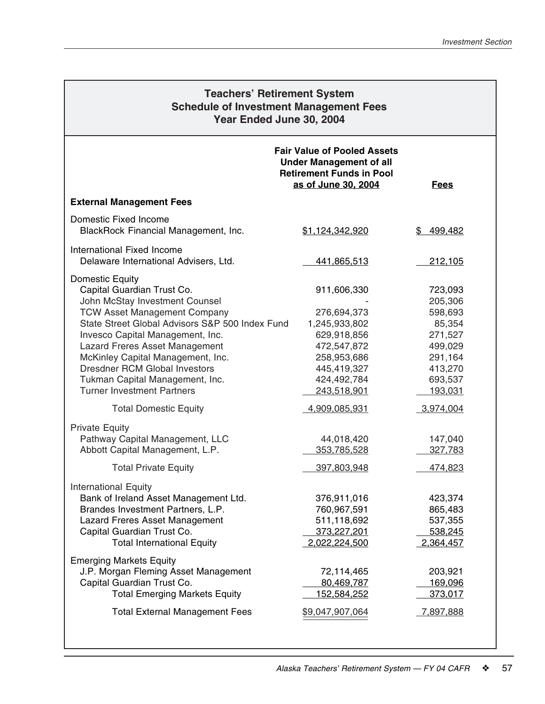| <b>Teachers' Retirement System</b>            |
|-----------------------------------------------|
| <b>Schedule of Investment Management Fees</b> |
| Year Ended June 30, 2004                      |

|                                                                                                                                                                                                                                                                                                                                                                                                                                             | <b>Fair Value of Pooled Assets</b><br><b>Under Management of all</b><br><b>Retirement Funds in Pool</b><br>as of June 30, 2004                         | <b>Fees</b>                                                                                                            |
|---------------------------------------------------------------------------------------------------------------------------------------------------------------------------------------------------------------------------------------------------------------------------------------------------------------------------------------------------------------------------------------------------------------------------------------------|--------------------------------------------------------------------------------------------------------------------------------------------------------|------------------------------------------------------------------------------------------------------------------------|
| <b>External Management Fees</b>                                                                                                                                                                                                                                                                                                                                                                                                             |                                                                                                                                                        |                                                                                                                        |
| Domestic Fixed Income<br>BlackRock Financial Management, Inc.                                                                                                                                                                                                                                                                                                                                                                               | \$1,124,342,920                                                                                                                                        | 499,482<br>\$                                                                                                          |
| International Fixed Income<br>Delaware International Advisers, Ltd.                                                                                                                                                                                                                                                                                                                                                                         | 441,865,513                                                                                                                                            | 212,105                                                                                                                |
| <b>Domestic Equity</b><br>Capital Guardian Trust Co.<br>John McStay Investment Counsel<br><b>TCW Asset Management Company</b><br>State Street Global Advisors S&P 500 Index Fund<br>Invesco Capital Management, Inc.<br>Lazard Freres Asset Management<br>McKinley Capital Management, Inc.<br><b>Dresdner RCM Global Investors</b><br>Tukman Capital Management, Inc.<br><b>Turner Investment Partners</b><br><b>Total Domestic Equity</b> | 911,606,330<br>276,694,373<br>1,245,933,802<br>629,918,856<br>472,547,872<br>258,953,686<br>445,419,327<br>424,492,784<br>243,518,901<br>4,909,085,931 | 723,093<br>205,306<br>598,693<br>85,354<br>271,527<br>499,029<br>291,164<br>413,270<br>693,537<br>193,031<br>3,974,004 |
|                                                                                                                                                                                                                                                                                                                                                                                                                                             |                                                                                                                                                        |                                                                                                                        |
| <b>Private Equity</b><br>Pathway Capital Management, LLC<br>Abbott Capital Management, L.P.                                                                                                                                                                                                                                                                                                                                                 | 44,018,420<br>353,785,528                                                                                                                              | 147,040<br>327,783                                                                                                     |
| <b>Total Private Equity</b>                                                                                                                                                                                                                                                                                                                                                                                                                 | 397,803,948                                                                                                                                            | 474,823                                                                                                                |
| <b>International Equity</b><br>Bank of Ireland Asset Management Ltd.<br>Brandes Investment Partners, L.P.<br><b>Lazard Freres Asset Management</b><br>Capital Guardian Trust Co.<br><b>Total International Equity</b>                                                                                                                                                                                                                       | 376,911,016<br>760,967,591<br>511,118,692<br>373,227,201<br>2,022,224,500                                                                              | 423,374<br>865,483<br>537,355<br>538,245<br>2,364,457                                                                  |
| <b>Emerging Markets Equity</b><br>J.P. Morgan Fleming Asset Management<br>Capital Guardian Trust Co.<br><b>Total Emerging Markets Equity</b><br><b>Total External Management Fees</b>                                                                                                                                                                                                                                                       | 72,114,465<br>80,469,787<br>152,584,252<br>\$9,047,907,064                                                                                             | 203,921<br>169,096<br>373,017<br>7,897,888                                                                             |
|                                                                                                                                                                                                                                                                                                                                                                                                                                             |                                                                                                                                                        |                                                                                                                        |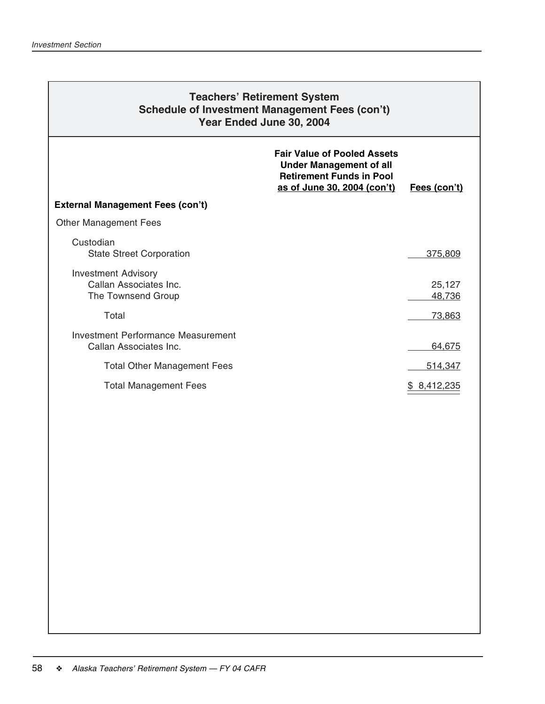| <b>Teachers' Retirement System</b><br><b>Schedule of Investment Management Fees (con't)</b><br>Year Ended June 30, 2004 |                                                                                                                                        |                  |  |  |  |
|-------------------------------------------------------------------------------------------------------------------------|----------------------------------------------------------------------------------------------------------------------------------------|------------------|--|--|--|
|                                                                                                                         | <b>Fair Value of Pooled Assets</b><br><b>Under Management of all</b><br><b>Retirement Funds in Pool</b><br>as of June 30, 2004 (con't) | Fees (con't)     |  |  |  |
| <b>External Management Fees (con't)</b>                                                                                 |                                                                                                                                        |                  |  |  |  |
| <b>Other Management Fees</b>                                                                                            |                                                                                                                                        |                  |  |  |  |
| Custodian<br><b>State Street Corporation</b>                                                                            |                                                                                                                                        | 375,809          |  |  |  |
| <b>Investment Advisory</b><br>Callan Associates Inc.<br>The Townsend Group                                              |                                                                                                                                        | 25,127<br>48,736 |  |  |  |
| Total                                                                                                                   |                                                                                                                                        | 73,863           |  |  |  |
| Investment Performance Measurement<br>Callan Associates Inc.                                                            |                                                                                                                                        | 64,675           |  |  |  |
| <b>Total Other Management Fees</b>                                                                                      |                                                                                                                                        | 514,347          |  |  |  |
| <b>Total Management Fees</b>                                                                                            |                                                                                                                                        | 8,412,235        |  |  |  |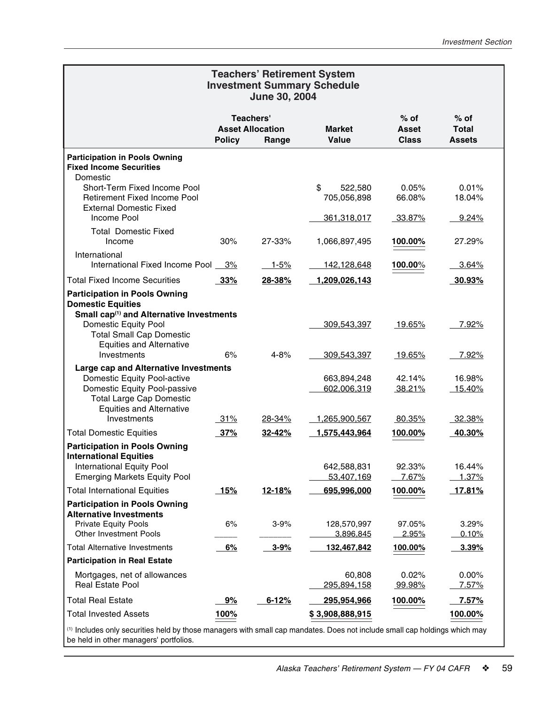| <b>Teachers' Retirement System</b><br><b>Investment Summary Schedule</b><br>June 30, 2004                                                                                                                                                    |               |                                               |                                             |                                 |                                         |  |
|----------------------------------------------------------------------------------------------------------------------------------------------------------------------------------------------------------------------------------------------|---------------|-----------------------------------------------|---------------------------------------------|---------------------------------|-----------------------------------------|--|
|                                                                                                                                                                                                                                              | <b>Policy</b> | Teachers'<br><b>Asset Allocation</b><br>Range | <b>Market</b><br>Value                      | $%$ of<br>Asset<br><b>Class</b> | $%$ of<br><b>Total</b><br><b>Assets</b> |  |
| <b>Participation in Pools Owning</b><br><b>Fixed Income Securities</b><br>Domestic                                                                                                                                                           |               |                                               |                                             |                                 |                                         |  |
| Short-Term Fixed Income Pool<br><b>Retirement Fixed Income Pool</b><br><b>External Domestic Fixed</b>                                                                                                                                        |               |                                               | \$<br>522,580<br>705,056,898                | 0.05%<br>66.08%                 | 0.01%<br>18.04%                         |  |
| Income Pool                                                                                                                                                                                                                                  |               |                                               | 361,318,017                                 | 33.87%                          | 9.24%                                   |  |
| <b>Total Domestic Fixed</b><br>Income                                                                                                                                                                                                        | 30%           | 27-33%                                        | 1,066,897,495                               | 100.00%                         | 27.29%                                  |  |
| International<br>International Fixed Income Pool 3%                                                                                                                                                                                          |               | $1 - 5%$                                      | <u>142,128,648</u>                          | 100.00%                         | 3.64%                                   |  |
| <b>Total Fixed Income Securities</b>                                                                                                                                                                                                         | 33%           | 28-38%                                        | 1,209,026,143                               |                                 | 30.93%                                  |  |
| <b>Participation in Pools Owning</b><br><b>Domestic Equities</b><br>Small cap <sup>(1)</sup> and Alternative Investments<br><b>Domestic Equity Pool</b><br><b>Total Small Cap Domestic</b><br><b>Equities and Alternative</b><br>Investments | 6%            | $4 - 8%$                                      | 309,543,397<br>309,543,397                  | 19.65%<br>19.65%                | 7.92%<br>7.92%                          |  |
| Large cap and Alternative Investments<br>Domestic Equity Pool-active<br>Domestic Equity Pool-passive<br><b>Total Large Cap Domestic</b><br><b>Equities and Alternative</b><br>Investments                                                    | 31%           | 28-34%                                        | 663,894,248<br>602,006,319<br>1,265,900,567 | 42.14%<br>38.21%<br>80.35%      | 16.98%<br>15.40%<br>32.38%              |  |
| <b>Total Domestic Equities</b>                                                                                                                                                                                                               | 37%           | 32-42%                                        | 1,575,443,964                               | 100.00%                         | 40.30%                                  |  |
| <b>Participation in Pools Owning</b><br><b>International Equities</b><br>International Equity Pool<br><b>Emerging Markets Equity Pool</b>                                                                                                    |               |                                               | 642,588,831<br>53,407,169                   | 92.33%<br><u>7.67%</u>          | 16.44%<br>1.37%                         |  |
| <b>Total International Equities</b>                                                                                                                                                                                                          | <u>15%</u>    | <u>12-18%</u>                                 | 695,996,000                                 | 100.00%                         | 17.81%                                  |  |
| <b>Participation in Pools Owning</b><br><b>Alternative Investments</b><br><b>Private Equity Pools</b>                                                                                                                                        | 6%            | $3 - 9%$                                      | 128,570,997                                 | 97.05%                          | 3.29%                                   |  |
| Other Investment Pools                                                                                                                                                                                                                       |               |                                               | 3,896,845                                   | 2.95%                           | 0.10%                                   |  |
| <b>Total Alternative Investments</b>                                                                                                                                                                                                         | 6%            | $3 - 9%$                                      | 132,467,842                                 | 100.00%                         | 3.39%                                   |  |
| <b>Participation in Real Estate</b>                                                                                                                                                                                                          |               |                                               |                                             |                                 |                                         |  |
| Mortgages, net of allowances<br><b>Real Estate Pool</b>                                                                                                                                                                                      |               |                                               | 60,808<br>295,894,158                       | 0.02%<br>99.98%                 | 0.00%<br>7.57%                          |  |
| <b>Total Real Estate</b>                                                                                                                                                                                                                     | 9%            | $6 - 12%$                                     | <u>295,954,966</u>                          | 100.00%                         | <u>7.57%</u>                            |  |
| <b>Total Invested Assets</b>                                                                                                                                                                                                                 | 100%          |                                               | \$3,908,888,915                             |                                 | 100.00%                                 |  |

 $^{(1)}$  Includes only securities held by those managers with small cap mandates. Does not include small cap holdings which may be held in other managers' portfolios.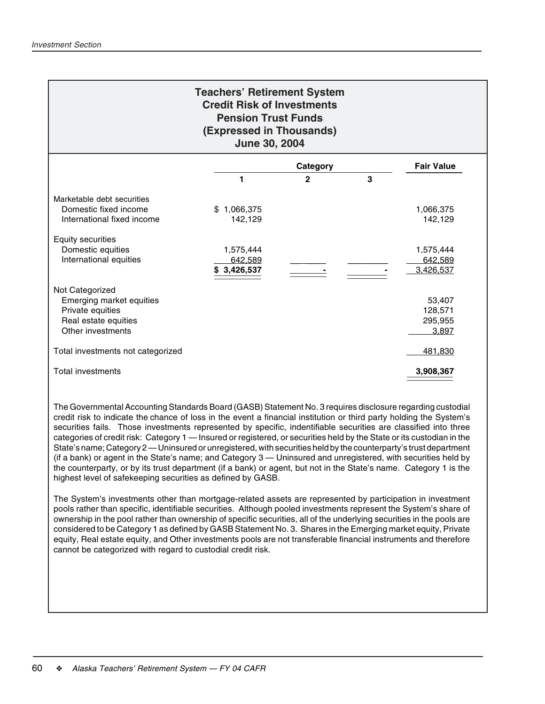## **Teachers' Retirement System Credit Risk of Investments Pension Trust Funds (Expressed in Thousands) June 30, 2004**

|                                   |                 | <b>Fair Value</b> |   |                |
|-----------------------------------|-----------------|-------------------|---|----------------|
|                                   | 1               | $\mathbf{2}$      | 3 |                |
| Marketable debt securities        |                 |                   |   |                |
| Domestic fixed income             | 1,066,375<br>\$ |                   |   | 1,066,375      |
| International fixed income        | 142,129         |                   |   | 142,129        |
| Equity securities                 |                 |                   |   |                |
| Domestic equities                 | 1,575,444       |                   |   | 1,575,444      |
| International equities            | 642,589         |                   |   | 642,589        |
|                                   | \$3,426,537     |                   |   | 3,426,537      |
| Not Categorized                   |                 |                   |   |                |
| Emerging market equities          |                 |                   |   | 53,407         |
| Private equities                  |                 |                   |   | 128,571        |
| Real estate equities              |                 |                   |   | 295,955        |
| Other investments                 |                 |                   |   | 3,897          |
| Total investments not categorized |                 |                   |   | <u>481,830</u> |
| Total investments                 |                 |                   |   | 3,908,367      |

The Governmental Accounting Standards Board (GASB) Statement No. 3 requires disclosure regarding custodial credit risk to indicate the chance of loss in the event a financial institution or third party holding the System's securities fails. Those investments represented by specific, indentifiable securities are classified into three categories of credit risk: Category 1 — Insured or registered, or securities held by the State or its custodian in the State's name; Category 2 — Uninsured or unregistered, with securities held by the counterparty's trust department (if a bank) or agent in the State's name; and Category 3 — Uninsured and unregistered, with securities held by the counterparty, or by its trust department (if a bank) or agent, but not in the State's name. Category 1 is the highest level of safekeeping securities as defined by GASB.

The System's investments other than mortgage-related assets are represented by participation in investment pools rather than specific, identifiable securities. Although pooled investments represent the System's share of ownership in the pool rather than ownership of specific securities, all of the underlying securities in the pools are considered to be Category 1 as defined by GASB Statement No. 3. Shares in the Emerging market equity, Private equity, Real estate equity, and Other investments pools are not transferable financial instruments and therefore cannot be categorized with regard to custodial credit risk.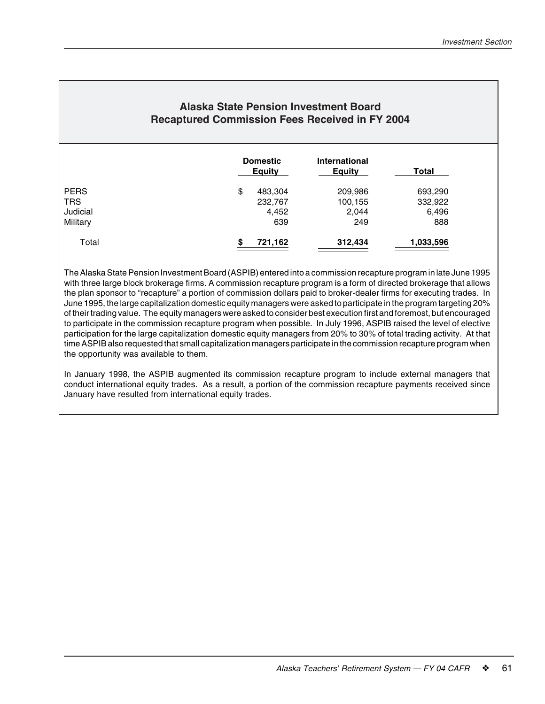| <b>Alaska State Pension Investment Board</b><br><b>Recaptured Commission Fees Received in FY 2004</b> |                                          |                                    |                                    |  |  |  |  |
|-------------------------------------------------------------------------------------------------------|------------------------------------------|------------------------------------|------------------------------------|--|--|--|--|
|                                                                                                       | <b>Domestic</b><br><b>Equity</b>         | International<br><b>Equity</b>     | Total                              |  |  |  |  |
| <b>PERS</b><br><b>TRS</b><br>Judicial<br>Military                                                     | \$<br>483,304<br>232.767<br>4,452<br>639 | 209,986<br>100.155<br>2,044<br>249 | 693,290<br>332,922<br>6,496<br>888 |  |  |  |  |
| Total                                                                                                 | S<br>721,162                             | 312,434                            | 1,033,596                          |  |  |  |  |

The Alaska State Pension Investment Board (ASPIB) entered into a commission recapture program in late June 1995 with three large block brokerage firms. A commission recapture program is a form of directed brokerage that allows the plan sponsor to "recapture" a portion of commission dollars paid to broker-dealer firms for executing trades. In June 1995, the large capitalization domestic equity managers were asked to participate in the program targeting 20% of their trading value. The equity managers were asked to consider best execution first and foremost, but encouraged to participate in the commission recapture program when possible. In July 1996, ASPIB raised the level of elective participation for the large capitalization domestic equity managers from 20% to 30% of total trading activity. At that time ASPIB also requested that small capitalization managers participate in the commission recapture program when the opportunity was available to them.

In January 1998, the ASPIB augmented its commission recapture program to include external managers that conduct international equity trades. As a result, a portion of the commission recapture payments received since January have resulted from international equity trades.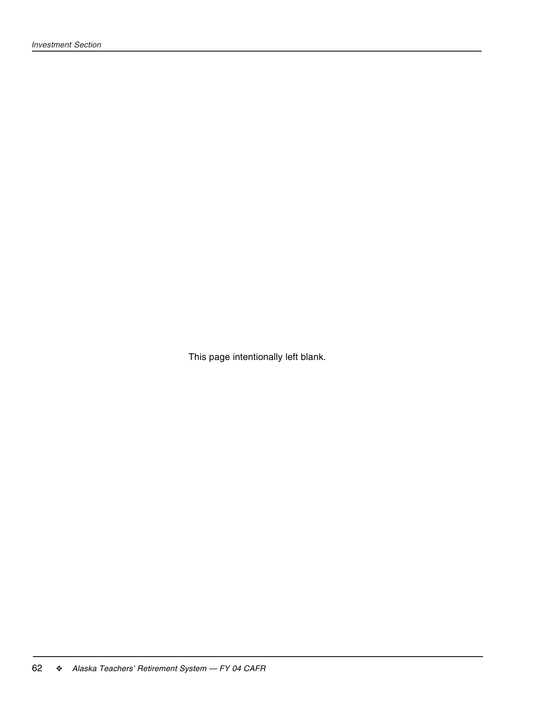This page intentionally left blank.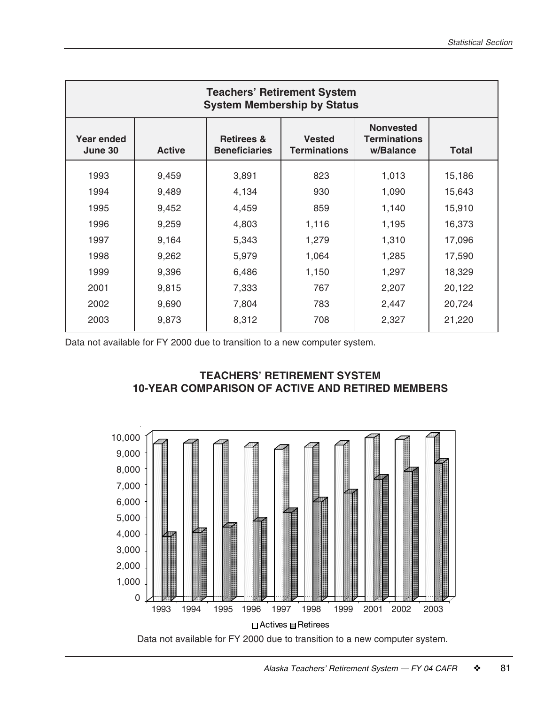| <b>Teachers' Retirement System</b><br><b>System Membership by Status</b> |               |                                               |                                      |                                                      |              |  |  |  |
|--------------------------------------------------------------------------|---------------|-----------------------------------------------|--------------------------------------|------------------------------------------------------|--------------|--|--|--|
| <b>Year ended</b><br>June 30                                             | <b>Active</b> | <b>Retirees &amp;</b><br><b>Beneficiaries</b> | <b>Vested</b><br><b>Terminations</b> | <b>Nonvested</b><br><b>Terminations</b><br>w/Balance | <b>Total</b> |  |  |  |
| 1993                                                                     | 9,459         | 3,891                                         | 823                                  | 1,013                                                | 15,186       |  |  |  |
| 1994                                                                     | 9,489         | 4,134                                         | 930                                  | 1,090                                                | 15,643       |  |  |  |
| 1995                                                                     | 9,452         | 4,459                                         | 859                                  | 1,140                                                | 15,910       |  |  |  |
| 1996                                                                     | 9,259         | 4,803                                         | 1,116                                | 1,195                                                | 16,373       |  |  |  |
| 1997                                                                     | 9,164         | 5,343                                         | 1,279                                | 1,310                                                | 17,096       |  |  |  |
| 1998                                                                     | 9,262         | 5,979                                         | 1,064                                | 1,285                                                | 17,590       |  |  |  |
| 1999                                                                     | 9,396         | 6,486                                         | 1,150                                | 1,297                                                | 18,329       |  |  |  |
| 2001                                                                     | 9,815         | 7,333                                         | 767                                  | 2,207                                                | 20,122       |  |  |  |
| 2002                                                                     | 9,690         | 7,804                                         | 783                                  | 2,447                                                | 20,724       |  |  |  |
| 2003                                                                     | 9,873         | 8,312                                         | 708                                  | 2,327                                                | 21,220       |  |  |  |

Data not available for FY 2000 due to transition to a new computer system.

## **TEACHERS' RETIREMENT SYSTEM 10-YEAR COMPARISON OF ACTIVE AND RETIRED MEMBERS**



Data not available for FY 2000 due to transition to a new computer system.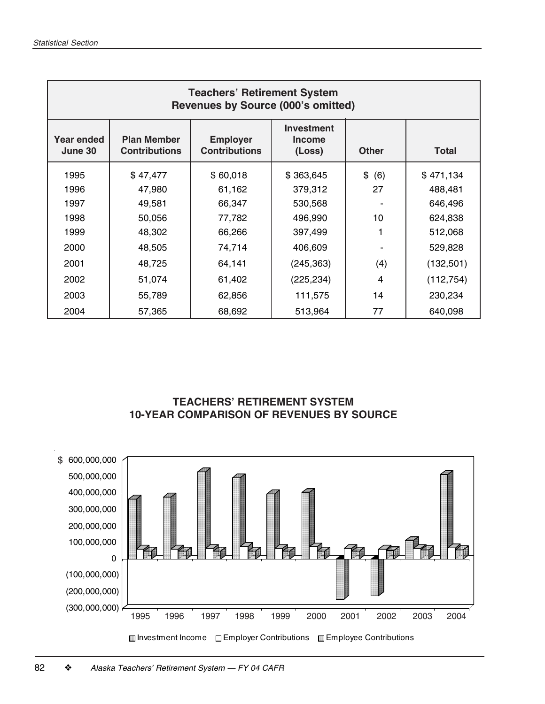| <b>Teachers' Retirement System</b><br><b>Revenues by Source (000's omitted)</b> |                                            |                                         |                                              |              |              |  |  |  |
|---------------------------------------------------------------------------------|--------------------------------------------|-----------------------------------------|----------------------------------------------|--------------|--------------|--|--|--|
| <b>Year ended</b><br>June 30                                                    | <b>Plan Member</b><br><b>Contributions</b> | <b>Employer</b><br><b>Contributions</b> | <b>Investment</b><br><b>Income</b><br>(Loss) | <b>Other</b> | <b>Total</b> |  |  |  |
| 1995                                                                            | \$47,477                                   | \$60,018                                | \$363,645                                    | \$<br>(6)    | \$471,134    |  |  |  |
| 1996                                                                            | 47,980                                     | 61,162                                  | 379,312                                      | 27           | 488,481      |  |  |  |
| 1997                                                                            | 49,581                                     | 66,347                                  | 530,568                                      |              | 646,496      |  |  |  |
| 1998                                                                            | 50,056                                     | 77,782                                  | 496,990                                      | 10           | 624,838      |  |  |  |
| 1999                                                                            | 48,302                                     | 66,266                                  | 397,499                                      |              | 512,068      |  |  |  |
| 2000                                                                            | 48,505                                     | 74,714                                  | 406,609                                      |              | 529,828      |  |  |  |
| 2001                                                                            | 48,725                                     | 64,141                                  | (245, 363)                                   | (4)          | (132, 501)   |  |  |  |
| 2002                                                                            | 51,074                                     | 61,402                                  | (225, 234)                                   | 4            | (112, 754)   |  |  |  |
| 2003                                                                            | 55,789                                     | 62,856                                  | 111,575                                      | 14           | 230,234      |  |  |  |
| 2004                                                                            | 57,365                                     | 68,692                                  | 513,964                                      | 77           | 640,098      |  |  |  |

# **TEACHERS' RETIREMENT SYSTEM 10-YEAR COMPARISON OF REVENUES BY SOURCE**

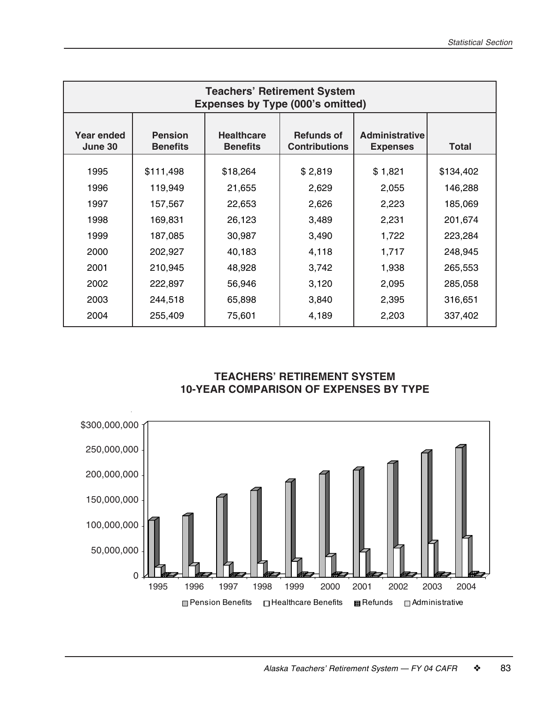| <b>Teachers' Retirement System</b><br><b>Expenses by Type (000's omitted)</b> |                                   |                                      |                                           |                                          |              |  |  |  |
|-------------------------------------------------------------------------------|-----------------------------------|--------------------------------------|-------------------------------------------|------------------------------------------|--------------|--|--|--|
| <b>Year ended</b><br>June 30                                                  | <b>Pension</b><br><b>Benefits</b> | <b>Healthcare</b><br><b>Benefits</b> | <b>Refunds of</b><br><b>Contributions</b> | <b>Administrative</b><br><b>Expenses</b> | <b>Total</b> |  |  |  |
| 1995                                                                          | \$111,498                         | \$18,264                             | \$2,819                                   | \$1,821                                  | \$134,402    |  |  |  |
| 1996                                                                          | 119,949                           | 21,655                               | 2,629                                     | 2,055                                    | 146,288      |  |  |  |
| 1997                                                                          | 157,567                           | 22,653                               | 2,626                                     | 2,223                                    | 185,069      |  |  |  |
| 1998                                                                          | 169,831                           | 26,123                               | 3,489                                     | 2,231                                    | 201,674      |  |  |  |
| 1999                                                                          | 187,085                           | 30,987                               | 3,490                                     | 1,722                                    | 223,284      |  |  |  |
| 2000                                                                          | 202,927                           | 40,183                               | 4,118                                     | 1,717                                    | 248,945      |  |  |  |
| 2001                                                                          | 210,945                           | 48,928                               | 3,742                                     | 1,938                                    | 265,553      |  |  |  |
| 2002                                                                          | 222,897                           | 56,946                               | 3,120                                     | 2,095                                    | 285,058      |  |  |  |
| 2003                                                                          | 244,518                           | 65,898                               | 3,840                                     | 2,395                                    | 316,651      |  |  |  |
| 2004                                                                          | 255,409                           | 75,601                               | 4,189                                     | 2,203                                    | 337,402      |  |  |  |

## **TEACHERS' RETIREMENT SYSTEM 10-YEAR COMPARISON OF EXPENSES BY TYPE**

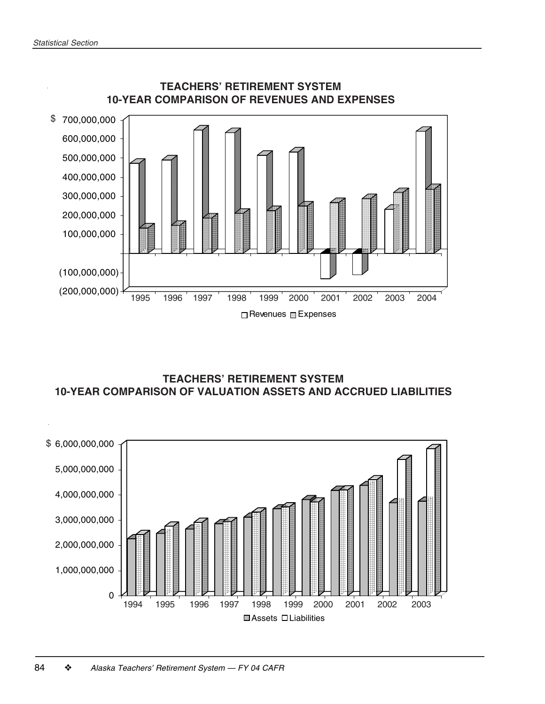

**TEACHERS' RETIREMENT SYSTEM 10-YEAR COMPARISON OF VALUATION ASSETS AND ACCRUED LIABILITIES**

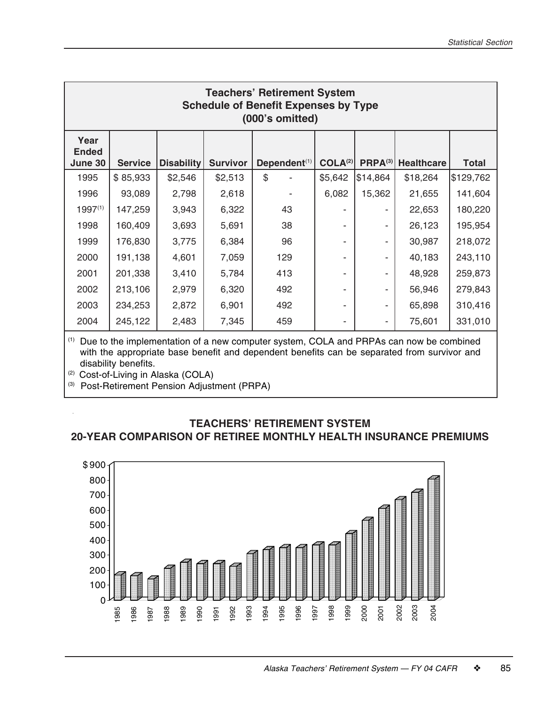| <b>Teachers' Retirement System</b><br><b>Schedule of Benefit Expenses by Type</b><br>(000's omitted) |                |                   |                 |                          |                     |          |                   |              |
|------------------------------------------------------------------------------------------------------|----------------|-------------------|-----------------|--------------------------|---------------------|----------|-------------------|--------------|
| Year<br><b>Ended</b><br>June 30                                                                      | <b>Service</b> | <b>Disability</b> | <b>Survivor</b> | Dependent <sup>(1)</sup> | COLA <sup>(2)</sup> | PRPA(3)  | <b>Healthcare</b> | <b>Total</b> |
| 1995                                                                                                 | \$85,933       | \$2,546           | \$2,513         | \$                       | \$5,642             | \$14,864 | \$18,264          | \$129,762    |
| 1996                                                                                                 | 93,089         | 2,798             | 2,618           |                          | 6,082               | 15,362   | 21,655            | 141,604      |
| 1997(1)                                                                                              | 147,259        | 3,943             | 6,322           | 43                       |                     |          | 22,653            | 180,220      |
| 1998                                                                                                 | 160,409        | 3,693             | 5,691           | 38                       |                     |          | 26,123            | 195,954      |
| 1999                                                                                                 | 176,830        | 3,775             | 6,384           | 96                       |                     |          | 30,987            | 218,072      |
| 2000                                                                                                 | 191,138        | 4,601             | 7,059           | 129                      |                     |          | 40,183            | 243,110      |
| 2001                                                                                                 | 201,338        | 3,410             | 5,784           | 413                      |                     |          | 48,928            | 259,873      |
| 2002                                                                                                 | 213,106        | 2,979             | 6,320           | 492                      |                     |          | 56,946            | 279,843      |
| 2003                                                                                                 | 234,253        | 2,872             | 6,901           | 492                      |                     |          | 65,898            | 310,416      |
| 2004                                                                                                 | 245,122        | 2,483             | 7,345           | 459                      |                     |          | 75,601            | 331,010      |

(1) Due to the implementation of a new computer system, COLA and PRPAs can now be combined with the appropriate base benefit and dependent benefits can be separated from survivor and disability benefits.

(2) Cost-of-Living in Alaska (COLA)

(3) Post-Retirement Pension Adjustment (PRPA)

## **TEACHERS' RETIREMENT SYSTEM 20-YEAR COMPARISON OF RETIREE MONTHLY HEALTH INSURANCE PREMIUMS**

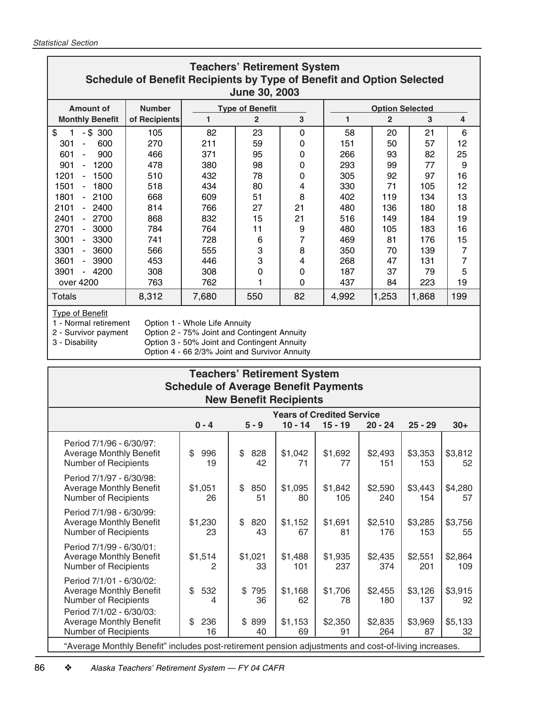| <b>Teachers' Retirement System</b><br>Schedule of Benefit Recipients by Type of Benefit and Option Selected<br><b>June 30, 2003</b> |                        |       |     |                        |       |              |       |     |  |  |  |  |
|-------------------------------------------------------------------------------------------------------------------------------------|------------------------|-------|-----|------------------------|-------|--------------|-------|-----|--|--|--|--|
| <b>Amount of</b>                                                                                                                    | <b>Type of Benefit</b> |       |     | <b>Option Selected</b> |       |              |       |     |  |  |  |  |
| <b>Monthly Benefit</b>                                                                                                              | of Recipients          | 1     | 2   | 3                      | 1     | $\mathbf{2}$ | 3     | 4   |  |  |  |  |
| \$<br>- \$<br>300<br>1                                                                                                              | 105                    | 82    | 23  | 0                      | 58    | 20           | 21    | 6   |  |  |  |  |
| 600<br>301                                                                                                                          | 270                    | 211   | 59  | 0                      | 151   | 50           | 57    | 12  |  |  |  |  |
| 601<br>900                                                                                                                          | 466                    | 371   | 95  | 0                      | 266   | 93           | 82    | 25  |  |  |  |  |
| 901<br>1200<br>۰                                                                                                                    | 478                    | 380   | 98  | 0                      | 293   | 99           | 77    | 9   |  |  |  |  |
| 1201<br>1500                                                                                                                        | 510                    | 432   | 78  | 0                      | 305   | 92           | 97    | 16  |  |  |  |  |
| 1501<br>1800                                                                                                                        | 518                    | 434   | 80  | 4                      | 330   | 71           | 105   | 12  |  |  |  |  |
| 1801<br>2100<br>÷.                                                                                                                  | 668                    | 609   | 51  | 8                      | 402   | 119          | 134   | 13  |  |  |  |  |
| 2101<br>2400                                                                                                                        | 814                    | 766   | 27  | 21                     | 480   | 136          | 180   | 18  |  |  |  |  |
| 2401<br>2700                                                                                                                        | 868                    | 832   | 15  | 21                     | 516   | 149          | 184   | 19  |  |  |  |  |
| 2701<br>3000                                                                                                                        | 784                    | 764   | 11  | 9                      | 480   | 105          | 183   | 16  |  |  |  |  |
| 3001<br>3300                                                                                                                        | 741                    | 728   | 6   | 7                      | 469   | 81           | 176   | 15  |  |  |  |  |
| 3301<br>3600                                                                                                                        | 566                    | 555   | 3   | 8                      | 350   | 70           | 139   | 7   |  |  |  |  |
| 3601<br>3900                                                                                                                        | 453                    | 446   | 3   | 4                      | 268   | 47           | 131   | 7   |  |  |  |  |
| 4200<br>3901                                                                                                                        | 308                    | 308   | 0   | 0                      | 187   | 37           | 79    | 5   |  |  |  |  |
| over 4200                                                                                                                           | 763                    | 762   |     | 0                      | 437   | 84           | 223   | 19  |  |  |  |  |
| Totals                                                                                                                              | 8,312                  | 7,680 | 550 | 82                     | 4,992 | 1,253        | 1,868 | 199 |  |  |  |  |

Type of Benefit<br>1 - Normal retirement

1 - Normal retirement Option 1 - Whole Life Annuity<br>2 - Survivor payment Option 2 - 75% Joint and Con

2 - Survivor payment Option 2 - 75% Joint and Contingent Annuity<br>3 - Disability Option 3 - 50% Joint and Contingent Annuity Option 3 - 50% Joint and Contingent Annuity

Option 4 - 66 2/3% Joint and Survivor Annuity

| <b>Teachers' Retirement System</b><br><b>Schedule of Average Benefit Payments</b>                    |                                  |                 |                |                |                |                |                |  |  |  |  |  |  |
|------------------------------------------------------------------------------------------------------|----------------------------------|-----------------|----------------|----------------|----------------|----------------|----------------|--|--|--|--|--|--|
| <b>New Benefit Recipients</b>                                                                        |                                  |                 |                |                |                |                |                |  |  |  |  |  |  |
|                                                                                                      | <b>Years of Credited Service</b> |                 |                |                |                |                |                |  |  |  |  |  |  |
|                                                                                                      | $0 - 4$                          | $5 - 9$         | $10 - 14$      | $15 - 19$      | $20 - 24$      | $25 - 29$      | $30+$          |  |  |  |  |  |  |
| Period 7/1/96 - 6/30/97:<br><b>Average Monthly Benefit</b><br>Number of Recipients                   | \$<br>996<br>19                  | \$<br>828<br>42 | \$1,042<br>71  | \$1,692<br>77  | \$2,493<br>151 | \$3,353<br>153 | \$3,812<br>52  |  |  |  |  |  |  |
| Period 7/1/97 - 6/30/98:<br><b>Average Monthly Benefit</b><br>Number of Recipients                   | \$1,051<br>26                    | \$<br>850<br>51 | \$1,095<br>80  | \$1,842<br>105 | \$2,590<br>240 | \$3,443<br>154 | \$4,280<br>57  |  |  |  |  |  |  |
| Period 7/1/98 - 6/30/99:<br><b>Average Monthly Benefit</b><br>Number of Recipients                   | \$1,230<br>23                    | \$<br>820<br>43 | \$1,152<br>67  | \$1,691<br>81  | \$2,510<br>176 | \$3,285<br>153 | \$3,756<br>55  |  |  |  |  |  |  |
| Period 7/1/99 - 6/30/01:<br><b>Average Monthly Benefit</b><br>Number of Recipients                   | \$1,514<br>2                     | \$1,021<br>33   | \$1,488<br>101 | \$1,935<br>237 | \$2,435<br>374 | \$2,551<br>201 | \$2,864<br>109 |  |  |  |  |  |  |
| Period 7/1/01 - 6/30/02:<br><b>Average Monthly Benefit</b><br>Number of Recipients                   | \$<br>532<br>4                   | \$<br>795<br>36 | \$1,168<br>62  | \$1,706<br>78  | \$2,455<br>180 | \$3,126<br>137 | \$3,915<br>92  |  |  |  |  |  |  |
| Period 7/1/02 - 6/30/03:<br><b>Average Monthly Benefit</b><br>Number of Recipients                   | \$<br>236<br>16                  | \$<br>899<br>40 | \$1,153<br>69  | \$2,350<br>91  | \$2,835<br>264 | \$3,969<br>87  | \$5,133<br>32  |  |  |  |  |  |  |
| "Average Monthly Benefit" includes post-retirement pension adjustments and cost-of-living increases. |                                  |                 |                |                |                |                |                |  |  |  |  |  |  |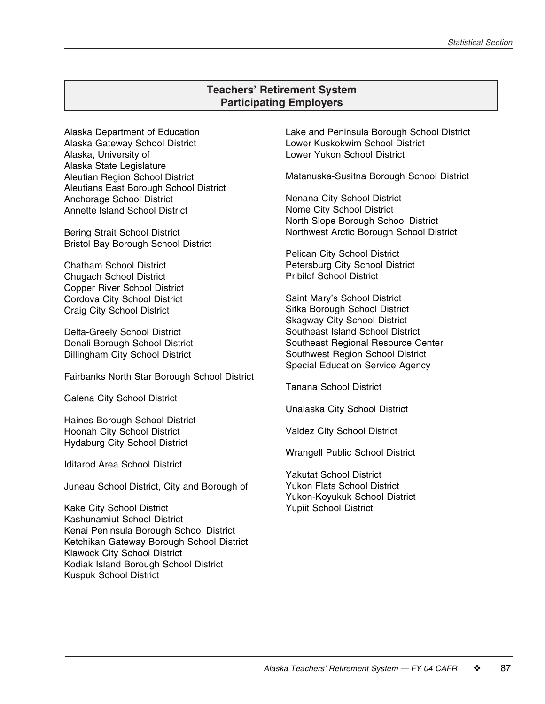## **Teachers' Retirement System Participating Employers**

Alaska Department of Education Alaska Gateway School District Alaska, University of Alaska State Legislature Aleutian Region School District Aleutians East Borough School District Anchorage School District Annette Island School District

Bering Strait School District Bristol Bay Borough School District

Chatham School District Chugach School District Copper River School District Cordova City School District Craig City School District

Delta-Greely School District Denali Borough School District Dillingham City School District

Fairbanks North Star Borough School District

Galena City School District

Haines Borough School District Hoonah City School District Hydaburg City School District

Iditarod Area School District

Juneau School District, City and Borough of

Kake City School District Kashunamiut School District Kenai Peninsula Borough School District Ketchikan Gateway Borough School District Klawock City School District Kodiak Island Borough School District Kuspuk School District

Lake and Peninsula Borough School District Lower Kuskokwim School District Lower Yukon School District

Matanuska-Susitna Borough School District

Nenana City School District Nome City School District North Slope Borough School District Northwest Arctic Borough School District

Pelican City School District Petersburg City School District Pribilof School District

Saint Mary's School District Sitka Borough School District Skagway City School District Southeast Island School District Southeast Regional Resource Center Southwest Region School District Special Education Service Agency

Tanana School District

Unalaska City School District

Valdez City School District

Wrangell Public School District

Yakutat School District Yukon Flats School District Yukon-Koyukuk School District Yupiit School District